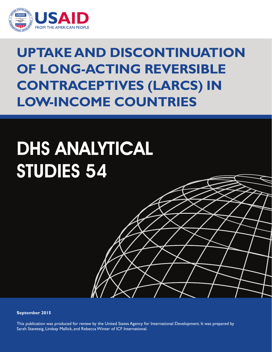

## **Uptake and Discontinuation of Long-Acting Reversible Contraceptives (LARCs) in Low-Income Countries**

# DHS ANALYTICAL STUDIES 54

**September 2015**

This publication was produced for review by the United States Agency for International Development. It was prepared by Sarah Staveteig, Lindsay Mallick, and Rebecca Winter of ICF International.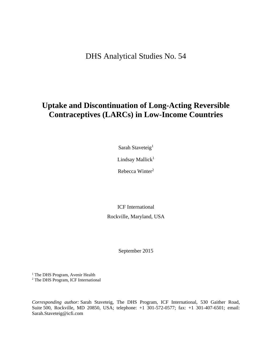DHS Analytical Studies No. 54

## **Uptake and Discontinuation of Long-Acting Reversible Contraceptives (LARCs) in Low-Income Countries**

Sarah Staveteig<sup>1</sup>

Lindsay Mallick<sup>1</sup>

Rebecca Winter<sup>2</sup>

ICF International Rockville, Maryland, USA

September 2015

<sup>1</sup> The DHS Program, Avenir Health 2 The DHS Program, ICF International

*Corresponding author:* Sarah Staveteig, The DHS Program, ICF International, 530 Gaither Road, Suite 500, Rockville, MD 20850, USA; telephone: +1 301-572-0577; fax: +1 301-407-6501; email: Sarah.Staveteig@icfi.com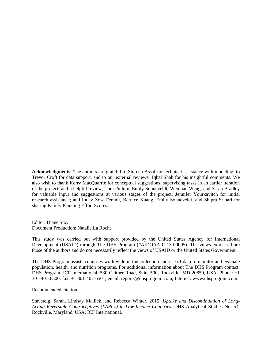**Acknowledgments:** The authors are grateful to Shireen Assaf for technical assistance with modeling, to Trevor Croft for data support, and to our external reviewer Iqbal Shah for his insightful comments. We also wish to thank Kerry MacQuarrie for conceptual suggestions, supervising tasks in an earlier iteration of the project, and a helpful review; Tom Pullum, Emily Sonneveldt, Wenjuan Wang, and Sarah Bradley for valuable input and suggestions at various stages of the project; Jennifer Yourkavitch for initial research assistance; and Inday Zosa-Feranil, Bernice Kuang, Emily Sonneveldt, and Shipra Srihari for sharing Family Planning Effort Scores.

Editor: Diane Stoy Document Production: Natalie La Roche

This study was carried out with support provided by the United States Agency for International Development (USAID) through The DHS Program (#AIDOAA-C-13-00095). The views expressed are those of the authors and do not necessarily reflect the views of USAID or the United States Government.

The DHS Program assists countries worldwide in the collection and use of data to monitor and evaluate population, health, and nutrition programs. For additional information about The DHS Program contact: DHS Program, ICF International, 530 Gaither Road, Suite 500, Rockville, MD 20850, USA. Phone: +1 301-407-6500; fax: +1 301-407-6501; email: reports@dhsprogram.com; Internet: www.dhsprogram.com.

Recommended citation:

Staveteig, Sarah, Lindsay Mallick, and Rebecca Winter. 2015. *Uptake and Discontinuation of Long-Acting Reversible Contraceptives (LARCs) in Low-Income Countries.* DHS Analytical Studies No. 54. Rockville, Maryland, USA: ICF International.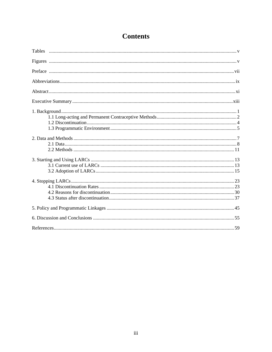## **Contents**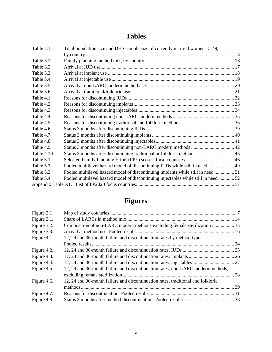## **Tables**

| Table 2.1.  | Total population size and DHS sample size of currently married women 15-49,         |  |
|-------------|-------------------------------------------------------------------------------------|--|
|             |                                                                                     |  |
| Table 3.1.  |                                                                                     |  |
| Table 3.2.  |                                                                                     |  |
| Table 3.3.  |                                                                                     |  |
| Table 3.4.  |                                                                                     |  |
| Table 3.5.  |                                                                                     |  |
| Table 3.6.  |                                                                                     |  |
| Table 4.1.  |                                                                                     |  |
| Table 4.2.  |                                                                                     |  |
| Table 4.3.  |                                                                                     |  |
| Table 4.4.  |                                                                                     |  |
| Table 4.5.  |                                                                                     |  |
| Table 4.6.  |                                                                                     |  |
| Table 4.7.  |                                                                                     |  |
| Table 4.8.  |                                                                                     |  |
| Table 4.9.  |                                                                                     |  |
| Table 4.10. |                                                                                     |  |
| Table 5.1.  |                                                                                     |  |
| Table 5.2.  | Pooled multilevel hazard model of discontinuing IUDs while still in need  49        |  |
| Table 5.3.  | Pooled multilevel hazard model of discontinuing implants while still in need  51    |  |
| Table 5.4.  | Pooled multilevel hazard model of discontinuing injectables while still in need  52 |  |
|             |                                                                                     |  |

## **Figures**

| Figure 2.1  |                                                                                  |  |
|-------------|----------------------------------------------------------------------------------|--|
| Figure 3.1. |                                                                                  |  |
| Figure 3.2. | Composition of non-LARC modern methods excluding female sterilization  15        |  |
| Figure 3.3. |                                                                                  |  |
| Figure 4.1. | 12, 24 and 36-month failure and discontinuation rates by method type:            |  |
|             |                                                                                  |  |
| Figure 4.2. |                                                                                  |  |
| Figure 4.3. |                                                                                  |  |
| Figure 4.4. |                                                                                  |  |
| Figure 4.5. | 12, 24 and 36-month failure and discontinuation rates, non-LARC modern methods,  |  |
|             |                                                                                  |  |
| Figure 4.6. | 12, 24 and 36-month failure and discontinuation rates, traditional and folkloric |  |
|             |                                                                                  |  |
| Figure 4.7. |                                                                                  |  |
| Figure 4.8. |                                                                                  |  |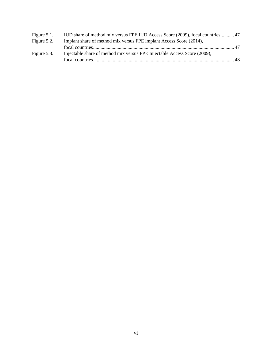| Figure 5.1. | IUD share of method mix versus FPE IUD Access Score (2009), focal countries 47 |  |
|-------------|--------------------------------------------------------------------------------|--|
| Figure 5.2. | Implant share of method mix versus FPE implant Access Score (2014),            |  |
|             |                                                                                |  |
| Figure 5.3. | Injectable share of method mix versus FPE Injectable Access Score (2009),      |  |
|             |                                                                                |  |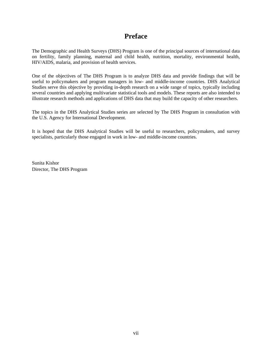## **Preface**

The Demographic and Health Surveys (DHS) Program is one of the principal sources of international data on fertility, family planning, maternal and child health, nutrition, mortality, environmental health, HIV/AIDS, malaria, and provision of health services.

One of the objectives of The DHS Program is to analyze DHS data and provide findings that will be useful to policymakers and program managers in low- and middle-income countries. DHS Analytical Studies serve this objective by providing in-depth research on a wide range of topics, typically including several countries and applying multivariate statistical tools and models. These reports are also intended to illustrate research methods and applications of DHS data that may build the capacity of other researchers.

The topics in the DHS Analytical Studies series are selected by The DHS Program in consultation with the U.S. Agency for International Development.

It is hoped that the DHS Analytical Studies will be useful to researchers, policymakers, and survey specialists, particularly those engaged in work in low- and middle-income countries.

Sunita Kishor Director, The DHS Program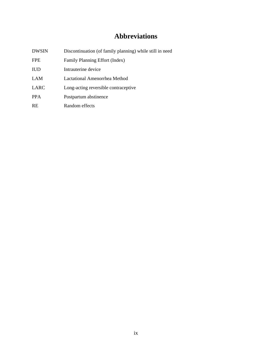## **Abbreviations**

| <b>DWSIN</b> | Discontinuation (of family planning) while still in need |
|--------------|----------------------------------------------------------|
| <b>FPE</b>   | Family Planning Effort (Index)                           |
| <b>IUD</b>   | Intrauterine device                                      |
| LAM          | Lactational Amenorrhea Method                            |
| LARC         | Long-acting reversible contraceptive                     |
| <b>PPA</b>   | Postpartum abstinence                                    |
| <b>RE</b>    | Random effects                                           |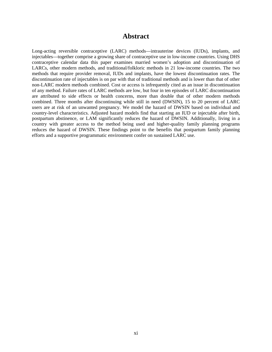## **Abstract**

Long-acting reversible contraceptive (LARC) methods—intrauterine devices (IUDs), implants, and injectables—together comprise a growing share of contraceptive use in low-income countries. Using DHS contraceptive calendar data this paper examines married women's adoption and discontinuation of LARCs, other modern methods, and traditional/folkloric methods in 21 low-income countries. The two methods that require provider removal, IUDs and implants, have the lowest discontinuation rates. The discontinuation rate of injectables is on par with that of traditional methods and is lower than that of other non-LARC modern methods combined. Cost or access is infrequently cited as an issue in discontinuation of any method. Failure rates of LARC methods are low, but four in ten episodes of LARC discontinuation are attributed to side effects or health concerns, more than double that of other modern methods combined. Three months after discontinuing while still in need (DWSIN), 15 to 20 percent of LARC users are at risk of an unwanted pregnancy. We model the hazard of DWSIN based on individual and country-level characteristics. Adjusted hazard models find that starting an IUD or injectable after birth, postpartum abstinence, or LAM significantly reduces the hazard of DWSIN. Additionally, living in a country with greater access to the method being used and higher-quality family planning programs reduces the hazard of DWSIN. These findings point to the benefits that postpartum family planning efforts and a supportive programmatic environment confer on sustained LARC use.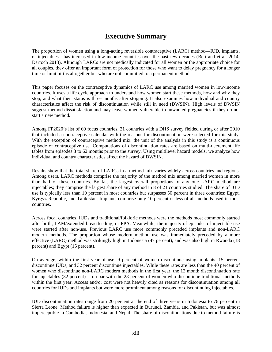## **Executive Summary**

The proportion of women using a long-acting reversible contraceptive (LARC) method—IUD, implants, or injectables—has increased in low-income countries over the past few decades (Bertrand et al. 2014; Darroch 2013). Although LARCs are not medically indicated for all women or the appropriate choice for all couples, they offer an important form of protection for those who want to delay pregnancy for a longer time or limit births altogether but who are not committed to a permanent method.

This paper focuses on the contraceptive dynamics of LARC use among married women in low-income countries. It uses a life cycle approach to understand how women start these methods, how and why they stop, and what their status is three months after stopping. It also examines how individual and country characteristics affect the risk of discontinuation while still in need (DWSIN). High levels of DWSIN suggest method dissatisfaction and may leave women vulnerable to unwanted pregnancies if they do not start a new method.

Among FP2020's list of 69 focus countries, 21 countries with a DHS survey fielded during or after 2010 that included a contraceptive calendar with the reasons for discontinuation were selected for this study. With the exception of contraceptive method mix, the unit of the analysis in this study is a continuous episode of contraceptive use. Computations of discontinuation rates are based on multi-decrement life tables from episodes 3 to 62 months prior to the survey. Using multilevel hazard models, we analyze how individual and country characteristics affect the hazard of DWSIN.

Results show that the total share of LARCs in a method mix varies widely across countries and regions. Among users, LARC methods comprise the majority of the method mix among married women in more than half of these countries. By far, the largest overall proportions of any one LARC method are injectables; they comprise the largest share of any method in 8 of 21 countries studied. The share of IUD use is typically less than 10 percent in most countries but surpasses 50 percent in three countries: Egypt, Kyrgyz Republic, and Tajikistan. Implants comprise only 10 percent or less of all methods used in most countries.

Across focal countries, IUDs and traditional/folkloric methods were the methods most commonly started after birth, LAM/extended breastfeeding, or PPA. Meanwhile, the majority of episodes of injectable use were started after non-use. Previous LARC use more commonly preceded implants and non-LARC modern methods. The proportion whose modern method use was immediately preceded by a more effective (LARC) method was strikingly high in Indonesia (47 percent), and was also high in Rwanda (18 percent) and Egypt (15 percent).

On average, within the first year of use, 9 percent of women discontinue using implants, 15 percent discontinue IUDs, and 32 percent discontinue injectables. While these rates are less than the 40 percent of women who discontinue non-LARC modern methods in the first year, the 12 month discontinuation rate for injectables (32 percent) is on par with the 28 percent of women who discontinue traditional methods within the first year. Access and/or cost were not heavily cited as reasons for discontinuation among all countries for IUDs and implants but were more prominent among reasons for discontinuing injectables.

IUD discontinuation rates range from 20 percent at the end of three years in Indonesia to 76 percent in Sierra Leone. Method failure is higher than expected in Burundi, Zambia, and Pakistan, but was almost imperceptible in Cambodia, Indonesia, and Nepal. The share of discontinuations due to method failure is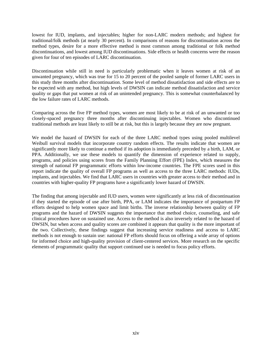lowest for IUD, implants, and injectables; higher for non-LARC modern methods; and highest for traditional/folk methods (at nearly 30 percent). In comparisons of reasons for discontinuation across the method types, desire for a more effective method is most common among traditional or folk method discontinuations, and lowest among IUD discontinuations. Side effects or health concerns were the reason given for four of ten episodes of LARC discontinuation.

Discontinuation while still in need is particularly problematic when it leaves women at risk of an unwanted pregnancy, which was true for 15 to 20 percent of the pooled sample of former LARC users in this study three months after discontinuation. Some level of method dissatisfaction and side effects are to be expected with any method, but high levels of DWSIN can indicate method dissatisfaction and service quality or gaps that put women at risk of an unintended pregnancy. This is somewhat counterbalanced by the low failure rates of LARC methods.

Comparing across the five FP method types, women are most likely to be at risk of an unwanted or too closely-spaced pregnancy three months after discontinuing injectables. Women who discontinued traditional methods are least likely to still be at risk, but this is largely because they are now pregnant.

We model the hazard of DWSIN for each of the three LARC method types using pooled multilevel Weibull survival models that incorporate country random effects. The results indicate that women are significantly more likely to continue a method if its adoption is immediately preceded by a birth, LAM, or PPA. Additionally, we use these models to quantify the dimension of experience related to supply, programs, and policies using scores from the Family Planning Effort (FPE) Index, which measures the strength of national FP programmatic efforts within low-income countries. The FPE scores used in this report indicate the quality of overall FP programs as well as access to the three LARC methods: IUDs, implants, and injectables. We find that LARC users in countries with greater access to their method and in countries with higher-quality FP programs have a significantly lower hazard of DWSIN.

The finding that among injectable and IUD users, women were significantly at less risk of discontinuation if they started the episode of use after birth, PPA, or LAM indicates the importance of postpartum FP efforts designed to help women space and limit births. The inverse relationship between quality of FP programs and the hazard of DWSIN suggests the importance that method choice, counseling, and safe clinical procedures have on sustained use. Access to the method is also inversely related to the hazard of DWSIN, but when access and quality scores are combined it appears that quality is the more important of the two. Collectively, these findings suggest that increasing service readiness and access to LARC methods is not enough to sustain use: national FP efforts should focus on offering a wide array of options for informed choice and high-quality provision of client-centered services. More research on the specific elements of programmatic quality that support continued use is needed to focus policy efforts.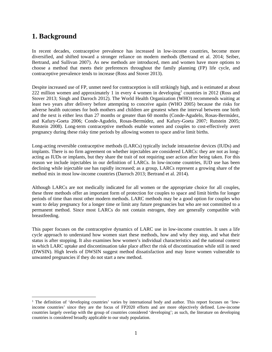## **1. Background**

 $\overline{a}$ 

In recent decades, contraceptive prevalence has increased in low-income countries, become more diversified, and shifted toward a stronger reliance on modern methods (Bertrand et al. 2014; Seiber, Bertrand, and Sullivan 2007). As new methods are introduced, men and women have more options to choose a method that meets their preferences throughout the family planning (FP) life cycle, and contraceptive prevalence tends to increase (Ross and Stover 2013).

Despite increased use of FP, unmet need for contraception is still strikingly high, and is estimated at about 222 million women and approximately 1 in every 4 women in developing<sup>1</sup> countries in 2012 (Ross and Stover 2013; Singh and Darroch 2012). The World Health Organization (WHO) recommends waiting at least two years after delivery before attempting to conceive again (WHO 2005) because the risks for adverse health outcomes for both mothers and children are greatest when the interval between one birth and the next is either less than 27 months or greater than 60 months (Conde-Agudelo, Rosas-Bermúdez, and Kafury-Goeta 2006; Conde-Agudelo, Rosas-Bermúdez, and Kafury-Goeta 2007; Rutstein 2005; Rutstein 2008). Long-term contraceptive methods enable women and couples to cost-effectively avert pregnancy during these risky time periods by allowing women to space and/or limit births.

Long-acting reversible contraceptive methods (LARCs) typically include intrauterine devices (IUDs) and implants. There is no firm agreement on whether injectables are considered LARCs: they are not as longacting as IUDs or implants, but they share the trait of not requiring user action after being taken. For this reason we include injectables in our definition of LARCs. In low-income countries, IUD use has been declining while injectable use has rapidly increased; as a group, LARCs represent a growing share of the method mix in most low-income countries (Darroch 2013; Bertrand et al. 2014).

Although LARCs are not medically indicated for all women or the appropriate choice for all couples, these three methods offer an important form of protection for couples to space and limit births for longer periods of time than most other modern methods. LARC methods may be a good option for couples who want to delay pregnancy for a longer time or limit any future pregnancies but who are not committed to a permanent method. Since most LARCs do not contain estrogen, they are generally compatible with breastfeeding.

This paper focuses on the contraceptive dynamics of LARC use in low-income countries. It uses a life cycle approach to understand how women start these methods, how and why they stop, and what their status is after stopping. It also examines how women's individual characteristics and the national context in which LARC uptake and discontinuation take place affect the risk of discontinuation while still in need (DWSIN). High levels of DWSIN suggest method dissatisfaction and may leave women vulnerable to unwanted pregnancies if they do not start a new method.

<sup>&</sup>lt;sup>1</sup> The definition of 'developing countries' varies by international body and author. This report focuses on 'lowincome countries' since they are the focus of FP2020 efforts and are more objectively defined. Low-income countries largely overlap with the group of countries considered 'developing'; as such, the literature on developing countries is considered broadly applicable to our study population.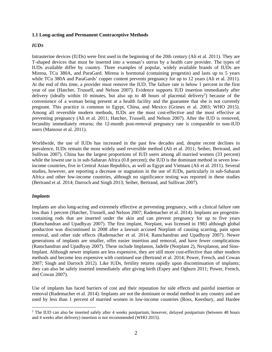#### **1.1 Long-acting and Permanent Contraceptive Methods**

## *IUDS*

Intrauterine devices (IUDs) were first used in the beginning of the 20th century (Ali et al. 2011). They are T-shaped devices that must be inserted into a woman's uterus by a health care provider. The types of IUDs available differ by country. Three examples of popular, widely available brands of IUDs are Mirena, TCu 380A, and ParaGard. Mirena is hormonal (containing progestin) and lasts up to 5 years while TCu 380A and ParaGards' copper content prevents pregnancy for up to 12 years (Ali et al. 2011). At the end of this time, a provider must remove the IUD. The failure rate is below 1 percent in the first year of use (Hatcher, Trussell, and Nelson 2007). Evidence supports IUD insertion immediately after delivery (ideally within 10 minutes, but also up to 48 hours of placental delivery<sup>2</sup>) because of the convenience of a woman being present at a health facility and the guarantee that she is not currently pregnant. This practice is common in Egypt, China, and Mexico (Grimes et al. 2003; WHO 2015). Among all reversible modern methods, IUDs are the most cost-effective and the most effective at preventing pregnancy (Ali et al. 2011; Hatcher, Trussell, and Nelson 2007). After the IUD is removed, fecundity immediately returns; the 12-month post-removal pregnancy rate is comparable to non-IUD users (Mansour et al. 2011).

Worldwide, the use of IUDs has increased in the past few decades and, despite recent declines in prevalence, IUDs remain the most widely used reversible method (Ali et al. 2011; Seiber, Bertrand, and Sullivan 2007). China has the largest proportions of IUD users among all married women (33 percent) while the lowest use is in sub-Saharan Africa (0.8 percent); the IUD is the dominant method in seven lowincome countries, five in Central Asian Republics, as well as Egypt and Vietnam (Ali et al. 2011). Several studies, however, are reporting a decrease or stagnation in the use of IUDs, particularly in sub-Saharan Africa and other low-income countries, although no significance testing was reported in these studies (Bertrand et al. 2014; Darroch and Singh 2013; Seiber, Bertrand, and Sullivan 2007).

#### *Implants*

Implants are also long-acting and extremely effective at preventing pregnancy, with a clinical failure rate less than 1 percent (Hatcher, Trussell, and Nelson 2007; Rademacher et al. 2014). Implants are progestincontaining rods that are inserted under the skin and can prevent pregnancy for up to five years (Ramchandran and Upadhyay 2007). The first implant, Norplant, was licensed in 1983 although global production was discontinued in 2008 after a lawsuit accused Norplant of causing scarring, pain upon removal, and other side effects (Rademacher et al. 2014; Ramchandran and Upadhyay 2007). Newer generations of implants are smaller, offer easier insertion and removal, and have fewer complications (Ramchandran and Upadhyay 2007). These include Implanon, Jadelle (Norplant 2), Nexplanon, and Sino-Implant. Although newer implants are less expensive, they are still more cost-effective than other modern methods and become less expensive with continued use (Bertrand et al. 2014; Power, French, and Cowan 2007; Singh and Darroch 2012). Like IUDs, fertility returns rapidly upon discontinuation of implants; they can also be safely inserted immediately after giving birth (Espey and Ogburn 2011; Power, French, and Cowan 2007).

Use of implants has faced barriers of cost and their reputation for side effects and painful insertion or removal (Rademacher et al. 2014). Implants are not the dominant or modal method in any country and are used by less than 1 percent of married women in low-income countries (Ross, Keesbury, and Hardee

 2 The IUD can also be inserted safely after 4 weeks postpartum; however, delayed postpartum (between 48 hours and 4 weeks after delivery) insertion is not recommended (WHO 2015).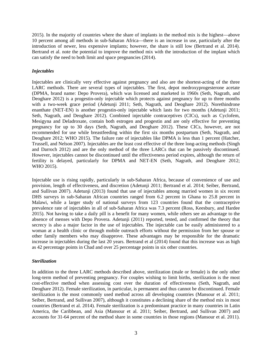2015). In the majority of countries where the share of implants in the method mix is the highest—above 10 percent among all methods in sub-Saharan Africa—there is an increase in use, particularly after the introduction of newer, less expensive implants; however, the share is still low (Bertrand et al. 2014). Bertrand et al. note the potential to improve the method mix with the introduction of the implant which can satisfy the need to both limit and space pregnancies (2014).

## *Injectables*

Injectables are clinically very effective against pregnancy and also are the shortest-acting of the three LARC methods. There are several types of injectables. The first, depot medroxyprogesterone acetate (DPMA, brand name: Depo Provera), which was licensed and marketed in 1960s (Seth, Nagrath, and Deoghare 2012) is a progestin-only injectable which protects against pregnancy for up to three months with a two-week grace period (Adetunji 2011; Seth, Nagrath, and Deoghare 2012). Norethindrone enanthate (NET-EN) is another progestin-only injectable which lasts for two months (Adetunji 2011; Seth, Nagrath, and Deoghare 2012). Combined injectable contraceptives (CICs), such as Cyclofem, Mesigyna and Deladroxate, contain both estrogen and progestin and are only effective for preventing pregnancy for up to 30 days (Seth, Nagrath, and Deoghare 2012). These CICs, however, are not recommended for use while breastfeeding within the first six months postpartum (Seth, Nagrath, and Deoghare 2012; WHO 2015). The failure rate of injectables like DPMA is less than 1 percent (Hatcher, Trussell, and Nelson 2007). Injectables are the least cost effective of the three long-acting methods (Singh and Darroch 2012) and are the only method of the three LARCs that can be passively discontinued. However, injectables cannot be discontinued until the effectiveness period expires, although the return of fertility is delayed, particularly for DPMA and NET-EN (Seth, Nagrath, and Deoghare 2012; WHO 2015).

Injectable use is rising rapidly, particularly in sub-Saharan Africa, because of convenience of use and provision, length of effectiveness, and discretion (Adetunji 2011; Bertrand et al. 2014; Seiber, Bertrand, and Sullivan 2007). Adetunji (2013) found that use of injectables among married women in six recent DHS surveys in sub-Saharan African countries ranged from 6.2 percent in Ghana to 25.8 percent in Malawi, while a larger study of national surveys from 123 countries found that the contraceptive prevalence rate of injectables in all of sub-Saharan Africa was 7.3 percent (Ross, Keesbury, and Hardee 2015). Not having to take a daily pill is a benefit for many women, while others see an advantage to the absence of menses with Depo Provera. Adetunji (2011) reported, tested, and confirmed the theory that secrecy is also a major factor in the use of injectables. The injectable can be easily administered to a woman at a health clinic or through mobile outreach efforts without the permission from her spouse or other family members who may disapprove. These advantages may be responsible for the dramatic increase in injectables during the last 20 years. Bertrand et al (2014) found that this increase was as high as 42 percentage points in Chad and over 25 percentage points in six other countries.

## *Sterilization*

In addition to the three LARC methods described above, sterilization (male or female) is the only other long-term method of preventing pregnancy. For couples wishing to limit births, sterilization is the most cost-effective method when assessing cost over the duration of effectiveness (Seth, Nagrath, and Deoghare 2012). Female sterilization, in particular, is permanent and thus cannot be discontinued. Female sterilization is the most commonly used method across all developing countries (Mansour et al. 2011; Seiber, Bertrand, and Sullivan 2007), although it constitutes a declining share of the method mix in most countries (Bertrand et al. 2014). Female sterilization is a predominant practice in many countries in Latin America, the Caribbean, and Asia (Mansour et al. 2011; Seiber, Bertrand, and Sullivan 2007) and accounts for 31-64 percent of the method share in some countries in those regions (Mansour et al. 2011).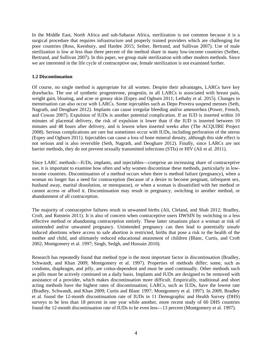In the Middle East, North Africa and sub-Saharan Africa, sterilization is not common because it is a surgical procedure that requires infrastructure and properly trained providers which are challenging for poor countries (Ross, Keesbury, and Hardee 2015; Seiber, Bertrand, and Sullivan 2007). Use of male sterilization is low at less than three percent of the method share in many low-income countries (Seiber, Bertrand, and Sullivan 2007). In this paper, we group male sterilization with other modern methods. Since we are interested in the life cycle of contraceptive use, female sterilization is not examined further.

## **1.2 Discontinuation**

Of course, no single method is appropriate for all women. Despite their advantages, LARCs have key drawbacks. The use of synthetic progesterone, progestin, in all LARCs is associated with breast pain, weight gain, bloating, and acne or greasy skin (Espey and Ogburn 2011; Lethaby et al. 2015). Changes in menstruation can also occur with LARCs. Some injectables such as Depo Provera suspend menses (Seth, Nagrath, and Deoghare 2012). Implants can cause irregular bleeding and/or amenorrhea (Power, French, and Cowan 2007). Expulsion of IUDs is another potential complication. If an IUD is inserted within 10 minutes of placental delivery, the risk of expulsion is lower than if the IUD is inserted between 10 minutes and 48 hours after delivery, and is lowest when inserted weeks after (The ACQUIRE Project 2008). Serious complications are rare but sometimes occur with IUDs, including perforation of the uterus (Espey and Ogburn 2011). Injectables can cause a loss of bone mineral density, although this side effect is not serious and is also reversible (Seth, Nagrath, and Deoghare 2012). Finally, since LARCs are not barrier methods, they do not prevent sexually transmitted infections (STIs) or HIV (Ali et al. 2011).

Since LARC methods—IUDs, implants, and injectables—comprise an increasing share of contraceptive use, it is important to examine how often and why women discontinue these methods, particularly in lowincome countries. Discontinuation of a method occurs when there is method failure (pregnancy), when a woman no longer has a need for contraception (because of a desire to become pregnant, infrequent sex, husband away, marital dissolution, or menopause), or when a woman is dissatisfied with her method or cannot access or afford it. Discontinuation may result in pregnancy, switching to another method, or abandonment of all contraception.

The majority of contraceptive failures result in unwanted births (Ali, Cleland, and Shah 2012; Bradley, Croft, and Rutstein 2011). It is also of concern when contraceptive users DWSIN by switching to a less effective method or abandoning contraception entirely. These latter situations place a woman at risk of unintended and/or unwanted pregnancy. Unintended pregnancy can then lead to potentially unsafe induced abortions where access to safe abortion is restricted, births that pose a risk to the health of the mother and child, and ultimately reduced educational attainment of children (Blanc, Curtis, and Croft 2002; Montgomery et al. 1997; Singh, Sedgh, and Hussain 2010).

Research has repeatedly found that method type is the most important factor in discontinuation (Bradley, Schwandt, and Khan 2009; Montgomery et al. 1997). Properties of methods differ; some, such as condoms, diaphragm, and jelly, are coitus-dependent and must be used continually. Other methods such as pills must be actively continued on a daily basis. Implants and IUDs are designed to be removed with assistance of a provider, which makes discontinuation more difficult. Empirically, traditional and short acting methods have the highest rates of discontinuation; LARCs, such as IUDs, have the lowest rate (Bradley, Schwandt, and Khan 2009; Curtis and Blanc 1997; Montgomery et al. 1997). In 2009, Bradley et al. found the 12-month discontinuation rate of IUDs in 11 Demographic and Health Survey (DHS) surveys to be less than 18 percent in one year while another, more recent study of 60 DHS countries found the 12-month discontinuation rate of IUDs to be even less—13 percent (Montgomery et al. 1997).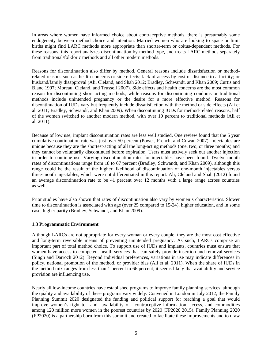In areas where women have informed choice about contraceptive methods, there is presumably some endogeneity between method choice and intention. Married women who are looking to space or limit births might find LARC methods more appropriate than shorter-term or coitus-dependent methods. For these reasons, this report analyzes discontinuation by method type, and treats LARC methods separately from traditional/folkloric methods and all other modern methods.

Reasons for discontinuation also differ by method. General reasons include dissatisfaction or methodrelated reasons such as health concerns or side effects; lack of access by cost or distance to a facility; or husband/family disapproval (Ali, Cleland, and Shah 2012; Bradley, Schwandt, and Khan 2009; Curtis and Blanc 1997; Moreau, Cleland, and Trussell 2007). Side effects and health concerns are the most common reason for discontinuing short acting methods, while reasons for discontinuing condoms or traditional methods include unintended pregnancy or the desire for a more effective method. Reasons for discontinuation of IUDs vary but frequently include dissatisfaction with the method or side effects (Ali et al. 2011; Bradley, Schwandt, and Khan 2009). When discontinuing IUDs for method-related reasons, half of the women switched to another modern method, with over 10 percent to traditional methods (Ali et al. 2011).

Because of low use, implant discontinuation rates are less well studied. One review found that the 5 year cumulative continuation rate was just over 50 percent (Power, French, and Cowan 2007). Injectables are unique because they are the shortest-acting of all the long-acting methods (one, two, or three months) and they cannot be voluntarily discontinued before expiration. Users must actively seek out another injection in order to continue use. Varying discontinuation rates for injectables have been found. Twelve month rates of discontinuations range from 18 to 67 percent (Bradley, Schwandt, and Khan 2009), although this range could be the result of the higher likelihood of discontinuation of one-month injectables versus three-month injectables, which were not differentiated in this report. Ali, Cleland and Shah (2012) found an average discontinuation rate to be 41 percent over 12 months with a large range across countries as well.

Prior studies have also shown that rates of discontinuation also vary by women's characteristics. Slower time to discontinuation is associated with age (over 25 compared to 15-24), higher education, and in some case, higher parity (Bradley, Schwandt, and Khan 2009).

## **1.3 Programmatic Environment**

Although LARCs are not appropriate for every woman or every couple, they are the most cost-effective and long-term reversible means of preventing unintended pregnancy. As such, LARCs comprise an important part of total method choice. To support use of IUDs and implants, countries must ensure that women have access to competent health services that can safely provide insertion and removal services (Singh and Darroch 2012). Beyond individual preferences, variations in use may indicate differences in policy, national promotion of the method, or provider bias (Ali et al. 2011). When the share of IUDs in the method mix ranges from less than 1 percent to 66 percent, it seems likely that availability and service provision are influencing use.

Nearly all low-income countries have established programs to improve family planning services, although the quality and availability of these programs vary widely. Convened in London in July 2012, the Family Planning Summit 2020 designated the funding and political support for reaching a goal that would improve women's right to—and availability of—contraceptive information, access, and commodities among 120 million more women in the poorest countries by 2020 (FP2020 2015). Family Planning 2020 (FP2020) is a partnership born from this summit and created to facilitate these improvements and to draw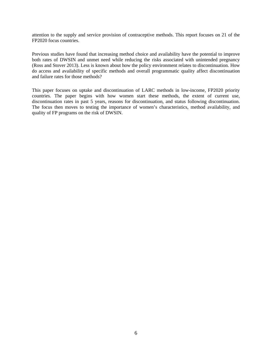attention to the supply and service provision of contraceptive methods. This report focuses on 21 of the FP2020 focus countries.

Previous studies have found that increasing method choice and availability have the potential to improve both rates of DWSIN and unmet need while reducing the risks associated with unintended pregnancy (Ross and Stover 2013). Less is known about how the policy environment relates to discontinuation. How do access and availability of specific methods and overall programmatic quality affect discontinuation and failure rates for those methods?

This paper focuses on uptake and discontinuation of LARC methods in low-income, FP2020 priority countries. The paper begins with how women start these methods, the extent of current use, discontinuation rates in past 5 years, reasons for discontinuation, and status following discontinuation. The focus then moves to testing the importance of women's characteristics, method availability, and quality of FP programs on the risk of DWSIN.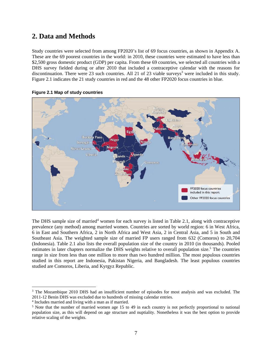## **2. Data and Methods**

Study countries were selected from among FP2020's list of 69 focus countries, as shown in Appendix A. These are the 69 poorest countries in the world: in 2010, these countries were estimated to have less than \$2,500 gross domestic product (GDP) per capita. From these 69 countries, we selected all countries with a DHS survey fielded during or after 2010 that included a contraceptive calendar with the reasons for discontinuation. There were 23 such countries. All 21 of 23 viable surveys<sup>3</sup> were included in this study. Figure 2.1 indicates the 21 study countries in red and the 48 other FP2020 focus countries in blue.



**Figure 2.1 Map of study countries** 

The DHS sample size of married<sup>4</sup> women for each survey is listed in Table 2.1, along with contraceptive prevalence (any method) among married women. Countries are sorted by world region: 6 in West Africa, 6 in East and Southern Africa, 2 in North Africa and West Asia, 2 in Central Asia, and 5 in South and Southeast Asia. The weighted sample size of married FP users ranged from 632 (Comoros) to 20,704 (Indonesia). Table 2.1 also lists the overall population size of the country in 2010 (in thousands). Pooled estimates in later chapters normalize the DHS weights relative to overall population size.<sup>5</sup> The countries range in size from less than one million to more than two hundred million. The most populous countries studied in this report are Indonesia, Pakistan Nigeria, and Bangladesh. The least populous countries studied are Comoros, Liberia, and Kyrgyz Republic.

 $\overline{a}$ 

<sup>&</sup>lt;sup>3</sup> The Mozambique 2010 DHS had an insufficient number of episodes for most analysis and was excluded. The 2011-12 Benin DHS was excluded due to hundreds of missing calendar entries.

 $^{4}$  Includes married and living with a man as if married.<br> $^{5}$  Note that the number of married women age 15 to

<sup>&</sup>lt;sup>5</sup> Note that the number of married women age 15 to 49 in each country is not perfectly proportional to national population size, as this will depend on age structure and nuptiality. Nonetheless it was the best option to provide relative scaling of the weights.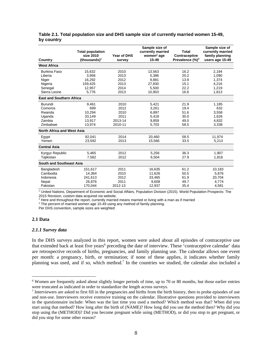| Country                         | <b>Total population</b><br>size 2010<br>(thousands) $1$ | Year of DHS<br>survey | Sample size of<br>currently married<br>women <sup>2</sup> age<br>15-49 | <b>Total</b><br>Contraceptive<br>Prevalence $(\%)^3$ | Sample size of<br>currently married<br>family planning<br>users age 15-49 |
|---------------------------------|---------------------------------------------------------|-----------------------|------------------------------------------------------------------------|------------------------------------------------------|---------------------------------------------------------------------------|
| <b>West Africa</b>              |                                                         |                       |                                                                        |                                                      |                                                                           |
| <b>Burkina Faso</b>             | 15.632                                                  | 2010                  | 13.563                                                                 | 16.2                                                 | 2.194                                                                     |
| Liberia                         | 3,958                                                   | 2013                  | 5.386                                                                  | 20.2                                                 | 1,090                                                                     |
| Niger                           | 16,292                                                  | 2012                  | 9,881                                                                  | 13.9                                                 | 1,374                                                                     |
| Nigeria                         | 159,425                                                 | 2013                  | 27,830                                                                 | 15.1                                                 | 4,216                                                                     |
| Senegal                         | 12,957                                                  | 2014                  | 5,500                                                                  | 22.2                                                 | 1,219                                                                     |
| Sierra Leone                    | 5,776                                                   | 2013                  | 10,903                                                                 | 16.6                                                 | 1,813                                                                     |
| <b>East and Southern Africa</b> |                                                         |                       |                                                                        |                                                      |                                                                           |
| Burundi                         | 9.461                                                   | 2010                  | 5,421                                                                  | 21.9                                                 | 1,185                                                                     |
| Comoros                         | 699                                                     | 2012                  | 3.261                                                                  | 19.4                                                 | 632                                                                       |
| Rwanda                          | 10.294                                                  | 2010                  | 6.897                                                                  | 51.6                                                 | 3.558                                                                     |
| Uganda                          | 33.149                                                  | 2011                  | 5.418                                                                  | 30.0                                                 | 1,626                                                                     |
| Zambia                          | 13.917                                                  | 2013-14               | 9.859                                                                  | 49.0                                                 | 4.832                                                                     |
| Zimbabwe                        | 13,974                                                  | 2010-11               | 5,703                                                                  | 58.5                                                 | 3,338                                                                     |
| North Africa and West Asia      |                                                         |                       |                                                                        |                                                      |                                                                           |
| Egypt                           | 82,041                                                  | 2014                  | 20,460                                                                 | 58.5                                                 | 11,974                                                                    |
| Yemen                           | 23.592                                                  | 2013                  | 15,566                                                                 | 33.5                                                 | 5,213                                                                     |
| <b>Central Asia</b>             |                                                         |                       |                                                                        |                                                      |                                                                           |
| Kyrgyz Republic                 | 5.465                                                   | 2012                  | 5.256                                                                  | 36.3                                                 | 1.907                                                                     |
| Tajikistan                      | 7,582                                                   | 2012                  | 6,504                                                                  | 27.9                                                 | 1,816                                                                     |
| <b>South and Southeast Asia</b> |                                                         |                       |                                                                        |                                                      |                                                                           |
| Bangladesh                      | 151,617                                                 | 2011                  | 16,635                                                                 | 61.2                                                 | 10,183                                                                    |
| Cambodia                        | 14,364                                                  | 2010                  | 11,626                                                                 | 50.5                                                 | 5,876                                                                     |
| Indonesia                       | 241,613                                                 | 2012                  | 33,465                                                                 | 61.9                                                 | 20,704                                                                    |
| Nepal                           | 26,876                                                  | 2011                  | 9,608                                                                  | 49.7                                                 | 4,774                                                                     |
| Pakistan                        | 170,044                                                 | 2012-13               | 12,937                                                                 | 35.4                                                 | 4,581                                                                     |

## **Table 2.1. Total population size and DHS sample size of currently married women 15-49, by country**

1 United Nations, Department of Economic and Social Affairs, Population Division (2015). World Population Prospects: The 2015 Revision, custom data acquired via website.

<sup>2</sup> Here and throughout the report, currently married means married or living with a man as if married  $\frac{3}{10}$  The percent of married women age 15-49 using any method of family planning

<sup>3</sup> The percent of married women age 15-49 using any method of family planning.

Per DHS convention, sample sizes are weighted

#### **2.1 Data**

 $\overline{a}$ 

#### *2.1.1 Survey data*

In the DHS surveys analyzed in this report, women were asked about all episodes of contraceptive use that extended back at least five years<sup>6</sup> preceding the date of interview. These 'contraceptive calendar' data are retrospective records of births, pregnancies, and family planning use. The calendar allows one event per month: a pregnancy, birth, or termination; if none of these applies, it indicates whether family planning was used, and if so, which method.<sup>7</sup> In the countries we studied, the calendar also included a

<sup>&</sup>lt;sup>6</sup> Women are frequently asked about slightly longer periods of time, up to 70 or 80 months, but those earlier entries were truncated as indicated in order to standardize the length across surveys.

Interviewers are asked to first fill in the pregnancies and births from the birth history, then to probe episodes of use and non-use. Interviewers receive extensive training on the calendar. Illustrative questions provided to interviewers in the questionnaire include: When was the last time you used a method? Which method was that? When did you start using that method? How long after the birth of (NAME)? How long did you use the method then? Why did you stop using the (METHOD)? Did you become pregnant while using (METHOD), or did you stop to get pregnant, or did you stop for some other reason?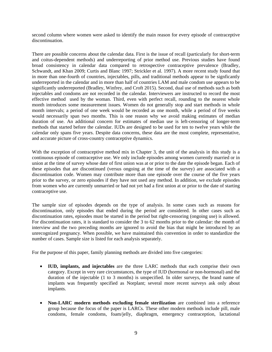second column where women were asked to identify the main reason for every episode of contraceptive discontinuation.

There are possible concerns about the calendar data. First is the issue of recall (particularly for short-term and coitus-dependent methods) and underreporting of prior method use. Previous studies have found broad consistency in calendar data compared to retrospective contraceptive prevalence (Bradley, Schwandt, and Khan 2009; Curtis and Blanc 1997; Strickler et al. 1997). A more recent study found that in more than one-fourth of countries, injectables, pills, and traditional methods appear to be signficantly underreported in the calendar and in more than half of countries LAM and male condom use appears to be significantly underreported (Bradley, Winfrey, and Croft 2015). Second, dual use of methods such as both injectables and condoms are not recorded in the calendar. Interviewers are instructed to record the most effective method used by the woman. Third, even with perfect recall, rounding to the nearest whole month introduces some measurement issues. Women do not generally stop and start methods in whole month intervals; a period of one week would be recorded as one month, while a period of five weeks would necessarily span two months. This is one reason why we avoid making estimates of median duration of use. An additional concern for estimates of median use is left-censoring of longer-term methods that started before the calendar. IUDs are designed to be used for ten to twelve years while the calendar only spans five years. Despite data concerns, these data are the most complete, representative, and accurate picture of cross-country contraceptive dynamics.

With the exception of contraceptive method mix in Chapter 3, the unit of the analysis in this study is a continuous episode of contraceptive use. We only include episodes among women currently married or in union at the time of survey whose date of first union was at or prior to the date the episode began. Each of these episodes that are discontinued (versus ongoing at the time of the survey) are associated with a discontinuation code. Women may contribute more than one episode over the course of the five years prior to the survey, or zero episodes if they have not used any method. In addition, we exclude episodes from women who are currently unmarried or had not yet had a first union at or prior to the date of starting contraceptive use.

The sample size of episodes depends on the type of analysis. In some cases such as reasons for discontinuation, only episodes that ended during the period are considered. In other cases such as discontinuation rates, episodes must be started in the period but right-censoring (ongoing use) is allowed. For discontinuation rates, it is standard to consider the 3 to 62 months prior to the calendar: the month of interview and the two preceding months are ignored to avoid the bias that might be introduced by an unrecognized pregnancy. When possible, we have maintained this convention in order to standardize the number of cases. Sample size is listed for each analysis separately.

For the purpose of this paper, family planning methods are divided into five categories:

- **IUD, implants, and injectables** are the three LARC methods that each comprise their own category. Except in very rare circumstances, the type of IUD (hormonal or non-hormonal) and the duration of the injectable (1 to 3 months) is unspecified. In older surveys, the brand name of implants was frequently specified as Norplant; several more recent surveys ask only about implants.
- **Non-LARC modern methods excluding female sterilization** are combined into a reference group because the focus of the paper is LARCs. These other modern methods include pill, male condoms, female condoms, foam/jelly, diaphragm, emergency contraception, lactational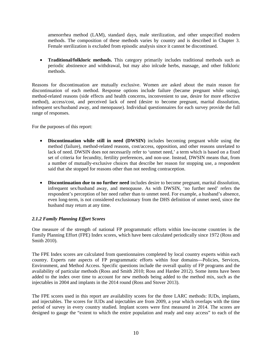amenorrhea method (LAM), standard days, male sterilization, and other unspecified modern methods. The composition of these methods varies by country and is described in Chapter 3. Female sterilization is excluded from episodic analysis since it cannot be discontinued.

• **Traditional/folkloric methods.** This category primarily includes traditional methods such as periodic abstinence and withdrawal, but may also inlcude herbs, massage, and other folkloric methods.

Reasons for discontinuation are mutually exclusive. Women are asked about the main reason for discontinuation of each method. Response options include failure (became pregnant while using), method-related reasons (side effects and health concerns, inconvenient to use, desire for more effective method), access/cost, and perceived lack of need (desire to become pregnant, marital dissolution, infrequent sex/husband away, and menopause). Individual questionnaires for each survey provide the full range of responses.

For the purposes of this report:

- **Discontinuation while still in need (DWSIN)** includes becoming pregnant while using the method (failure), method-related reasons, cost/access, opposition, and other reasons unrelated to lack of need. DWSIN does not necessarily refer to 'unmet need,' a term which is based on a fixed set of criteria for fecundity, fertility preferences, and non-use. Instead, DWSIN means that, from a number of mutually-exclusive choices that describe her reason for stopping use, a respondent said that she stopped for reasons other than not needing contraception.
- **Discontinuation due to no further need** includes desire to become pregnant, marital dissolution, infrequent sex/husband away, and menopause. As with DWSIN, 'no further need' refers the respondent's perception of her need rather than to unmet need. For example, a husband's absence, even long-term, is not considered exclusionary from the DHS definition of unmet need, since the husband may return at any time.

## *2.1.2 Family Planning Effort Scores*

One measure of the strength of national FP programmatic efforts within low-income countries is the Family Planning Effort (FPE) Index scores, which have been calculated periodically since 1972 (Ross and Smith 2010).

The FPE Index scores are calculated from questionnaires completed by local country experts within each country. Experts rate aspects of FP programmatic efforts within four domains—Policies, Services, Environment, and Method Access. Specific questions include the overall quality of FP programs and the availability of particular methods (Ross and Smith 2010; Ross and Hardee 2012). Some items have been added to the index over time to account for new methods being added to the method mix, such as the injectables in 2004 and implants in the 2014 round (Ross and Stover 2013).

The FPE scores used in this report are availability scores for the three LARC methods: IUDs, implants, and injectables. The scores for IUDs and injectables are from 2009, a year which overlaps with the time period of survey in every country studied. Implant scores were first measured in 2014. The scores are designed to gauge the "extent to which the entire population and ready and easy access" to each of the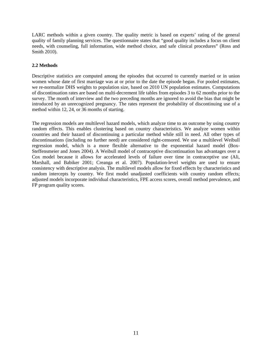LARC methods within a given country. The quality metric is based on experts' rating of the general quality of family planning services. The questionnaire states that "good quality includes a focus on client needs, with counseling, full information, wide method choice, and safe clinical procedures" (Ross and Smith 2010).

## **2.2 Methods**

Descriptive statistics are computed among the episodes that occurred to currently married or in union women whose date of first marriage was at or prior to the date the episode began. For pooled estimates, we re-normalize DHS weights to population size, based on 2010 UN population estimates. Computations of discontinuation rates are based on multi-decrement life tables from episodes 3 to 62 months prior to the survey. The month of interview and the two preceding months are ignored to avoid the bias that might be introduced by an unrecognized pregnancy. The rates represent the probability of discontinuing use of a method within 12, 24, or 36 months of starting.

The regression models are multilevel hazard models, which analyze time to an outcome by using country random effects. This enables clustering based on country characteristics. We analyze women within countries and their hazard of discontinuing a particular method while still in need. All other types of discontinuations (including no further need) are considered right-censored. We use a multilevel Weibull regression model, which is a more flexible alternative to the exponential hazard model (Box-Steffensmeier and Jones 2004). A Weibull model of contraceptive discontinuation has advantages over a Cox model because it allows for accelerated levels of failure over time in contraceptive use (Ali, Marshall, and Babiker 2001; Creanga et al. 2007). Population-level weights are used to ensure consistency with descriptive analysis. The multilevel models allow for fixed effects by characteristics and random intercepts by country. We first model unadjusted coefficients with country random effects; adjusted models incorporate individual characteristics, FPE access scores, overall method prevalence, and FP program quality scores.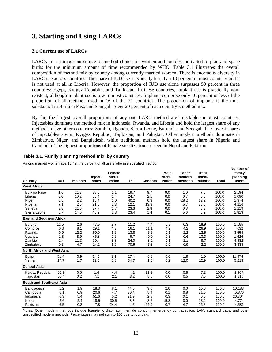## **3. Starting and Using LARCs**

## **3.1 Current use of LARCs**

LARCs are an important source of method choice for women and couples motivated to plan and space births for the minimum amount of time recommended by WHO. Table 3.1 illustrates the overall composition of method mix by country among currently married women. There is enormous diversity in LARC use across countries. The share of IUD use is typically less than 10 percent in most countries and it is not used at all in Liberia. However, the proportion of IUD use alone surpasses 50 percent in three countries: Egypt, Kyrgyz Republic, and Tajikistan. In these countries, implant use is practically nonexistent, although implant use is low in most countries. Implants comprise only 10 percent or less of the proportion of all methods used in 16 of the 21 countries. The proportion of implants is the most substantial in Burkina Faso and Senegal—over 20 percent of each country's method mix.

By far, the largest overall proportions of any one LARC method are injectables in most countries. Injectables dominate the method mix in Indonesia, Rwanda, and Liberia and hold the largest share of any method in five other countries: Zambia, Uganda, Sierra Leone, Burundi, and Senegal. The lowest shares of injectables are in Kyrgyz Republic, Tajikistan, and Pakistan. Other modern methods dominate in Zimbabwe, Niger, and Bangladesh, while traditional methods hold the largest share in Nigeria and Cambodia. The highest proportions of female sterilization are seen in Nepal and Pakistan.

|                                   | <b>IUD</b> |                 | Inject- | <b>Female</b><br>sterili- |      |        | Male<br>sterili- | Other<br>modern | Tradi-<br>tional/ |              | Number of<br>family<br>planning |
|-----------------------------------|------------|-----------------|---------|---------------------------|------|--------|------------------|-----------------|-------------------|--------------|---------------------------------|
| Country<br><b>West Africa</b>     |            | <b>Implants</b> | ables   | zation                    | Pill | Condom | zation           | methods         | <b>Folkloric</b>  | <b>Total</b> | users                           |
|                                   |            |                 |         |                           |      |        |                  |                 |                   |              |                                 |
| <b>Burkina Faso</b>               | 1.6        | 21.3            | 38.6    | 1.1                       | 19.7 | 9.7    | 0.0              | 1.0             | 7.0               | 100.0        | 2,194                           |
| Liberia                           | 0.0        | 10.2            | 55.4    | 1.4                       | 24.7 | 2.1    | 0.0              | 0.7             | 5.5               | 100.0        | 1,090                           |
| Niger                             | 0.5        | 2.2             | 15.4    | 1.0                       | 40.2 | 0.3    | 0.0              | 28.2            | 12.2              | 100.0        | 1,374                           |
| Nigeria                           | 7.1        | 2.5             | 21.0    | 2.3                       | 12.1 | 13.8   | 0.0              | 5.7             | 35.5              | 100.0        | 4,216                           |
| Senegal                           | 3.8        | 21.6            | 37.7    | 1.7                       | 23.3 | 2.8    | 0.0              | 0.8             | 8.3               | 100.0        | 1,219                           |
| Sierra Leone                      | 0.7        | 14.6            | 45.2    | 2.8                       | 23.4 | 1.4    | 0.1              | 5.6             | 6.2               | 100.0        | 1,813                           |
| <b>East and Southern Africa</b>   |            |                 |         |                           |      |        |                  |                 |                   |              |                                 |
| Burundi                           | 12.5       | 2.6             | 47.5    | 2.7                       | 11.2 | 4.4    | 0.3              | 0.3             | 18.9              | 100.0        | 1,185                           |
| Comoros                           | 0.3        | 8.1             | 29.1    | 4.3                       | 16.1 | 11.1   | 4.2              | 4.2             | 26.9              | 100.0        | 632                             |
| Rwanda                            | 0.9        | 12.2            | 50.9    | 1.6                       | 13.8 | 5.6    | 0.1              | 2.2             | 12.5              | 100.0        | 3,558                           |
| Uganda                            | 1.8        | 8.9             | 46.8    | 9.6                       | 9.7  | 9.0    | 0.3              | 0.6             | 13.3              | 100.0        | 1,626                           |
| Zambia                            | 2.4        | 11.3            | 39.4    | 3.8                       | 24.0 | 8.2    | 0.1              | 2.1             | 8.7               | 100.0        | 4,832                           |
| Zimbabwe                          | 0.3        | 4.7             | 14.2    | 1.9                       | 70.6 | 5.3    | 0.0              | 0.9             | 2.2               | 100.0        | 3,338                           |
| <b>North Africa and West Asia</b> |            |                 |         |                           |      |        |                  |                 |                   |              |                                 |
| Egypt                             | 51.4       | 0.9             | 14.5    | 2.1                       | 27.4 | 0.8    | 0.0              | 1.9             | 1.0               | 100.0        | 11,974                          |
| Yemen                             | 17.7       | 1.7             | 12.5    | 6.8                       | 34.7 | 1.6    | 0.2              | 12.0            | 12.9              | 100.0        | 5,213                           |
| <b>Central Asia</b>               |            |                 |         |                           |      |        |                  |                 |                   |              |                                 |
| Kyrgyz Republic                   | 60.9       | 0.0             | 1.4     | 4.4                       | 4.2  | 21.1   | 0.0              | 0.8             | 7.2               | 100.0        | 1,907                           |
| Tajikistan                        | 66.4       | 0.2             | 7.1     | 2.1                       | 8.2  | 8.0    | 0.0              | 0.5             | 7.5               | 100.0        | 1,816                           |
| <b>South and Southeast Asia</b>   |            |                 |         |                           |      |        |                  |                 |                   |              |                                 |
| Bangladesh                        | 1.2        | 1.9             | 18.3    | 8.1                       | 44.5 | 9.0    | 2.0              | 0.0             | 15.0              | 100.0        | 10,183                          |
| Cambodia                          | 6.1        | 0.9             | 20.6    | 4.7                       | 30.4 | 5.4    | 0.1              | 0.8             | 31.0              | 100.0        | 5,876                           |
| Indonesia                         | 6.3        | 5.4             | 51.6    | 5.2                       | 21.9 | 2.8    | 0.3              | 0.1             | 6.5               | 100.0        | 20,704                          |
| Nepal                             | 2.6        | 2.4             | 18.5    | 30.5                      | 8.3  | 8.7    | 15.8             | 0.0             | 13.2              | 100.0        | 4,774                           |
| Pakistan                          | 6.5        | 0.2             | 7.8     | 24.4                      | 4.5  | 24.9   | 0.7              | 4.7             | 26.3              | 100.0        | 4,581                           |

## **Table 3.1. Family planning method mix, by country**

Among married women age 15-49, the percent of all users who use specified method

Notes: Other modern methods include foam/jelly, diaphragm, female condom, emergency contraception, LAM, standard days, and other unspecified modern methods. Percentages may not sum to 100 due to rounding.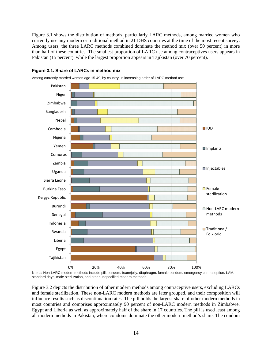Figure 3.1 shows the distribution of methods, particularly LARC methods, among married women who currently use any modern or traditional method in 21 DHS countries at the time of the most recent survey. Among users, the three LARC methods combined dominate the method mix (over 50 percent) in more than half of these countries. The smallest proportion of LARC use among contraceptives users appears in Pakistan (15 percent), while the largest proportion appears in Tajikistan (over 70 percent).



### **Figure 3.1. Share of LARCs in method mix**

Among currently married women age 15-49, by country, in increasing order of LARC method use

Figure 3.2 depicts the distribution of other modern methods among contraceptive users, excluding LARCs and female sterilization. These non-LARC modern methods are later grouped, and their composition will influence results such as discontinuation rates. The pill holds the largest share of other modern methods in most countries and comprises approximately 90 percent of non-LARC modern methods in Zimbabwe, Egypt and Liberia as well as approximately half of the share in 17 countries. The pill is used least among all modern methods in Pakistan, where condoms dominate the other modern method's share. The condom

Notes: Non-LARC modern methods include pill, condom, foam/jelly, diaphragm, female condom, emergency contraception, LAM, standard days, male sterilization, and other unspecified modern methods.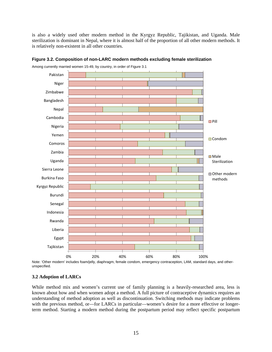is also a widely used other modern method in the Kyrgyz Republic, Tajikistan, and Uganda. Male sterilization is dominant in Nepal, where it is almost half of the proportion of all other modern methods. It is relatively non-existent in all other countries.



**Figure 3.2. Composition of non-LARC modern methods excluding female sterilization** 

Among currently married women 15-49, by country, in order of Figure 3.1

Note: 'Other modern' includes foam/jelly, diaphragm, female condom, emergency contraception, LAM, standard days, and otherunspecified.

#### **3.2 Adoption of LARCs**

While method mix and women's current use of family planning is a heavily-researched area, less is known about how and when women adopt a method. A full picture of contraceptive dynamics requires an understanding of method adoption as well as discontinuation. Switching methods may indicate problems with the previous method, or—for LARCs in particular—women's desire for a more effective or longerterm method. Starting a modern method during the postpartum period may reflect specific postpartum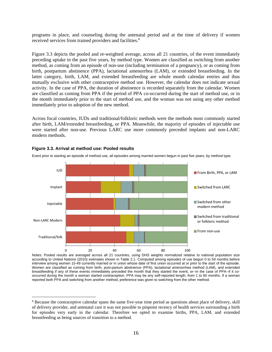programs in place, and counseling during the antenatal period and at the time of delivery if women received services from trained providers and facilities.<sup>8</sup>

Figure 3.3 depicts the pooled and re-weighted average, across all 21 countries, of the event immediately preceding uptake in the past five years, by method type. Women are classified as switching from another method, as coming from an episode of non-use (including termination of a pregnancy), or as coming from birth, postpartum abstinence (PPA), lactational amenorrhea (LAM), or extended breastfeeding. In the latter category, birth, LAM, and extended breastfeeding are whole month calendar entries and thus mutually exclusive with other contraceptive method use. However, the calendar does not indicate sexual activity. In the case of PPA, the duration of abstinence is recorded separately from the calendar. Women are classified as coming from PPA if the period of PPA co-occurred during the start of method use, or in the month immediately prior to the start of method use, and the woman was not using any other method immediately prior to adoption of the new method.

Across focal countries, IUDs and traditional/folkloric methods were the methods most commonly started after birth, LAM/extended breastfeeding, or PPA. Meanwhile, the majority of episodes of injectable use were started after non-use. Previous LARC use more commonly preceded implants and non-LARC modern methods.



#### **Figure 3.3. Arrival at method use: Pooled results**

 $\overline{a}$ 

Event prior to starting an episode of method use, all episodes among married women begun in past five years, by method type.

Notes: Pooled results are averaged across all 21 countries, using DHS weights normalized relative to national population size according to United Nations (2010) estimates shown in Table 2.1. Computed among episodes of use begun 0 to 59 months before interview among women 15-49 currently married or in union whose date of first union occurred at or prior to the start of the episode. Women are classified as coming from birth, post-partum abstinence (PPA), lactational amenorrhea method (LAM), and extended breastfeeding if any of these events immediately preceded the month that they started the event, or--in the case of PPA--if it cooccurred during the month a woman started contraception. PPA may be any self-reported length, from 1 to 60 months. If a woman reported both PPA and switching from another method, preference was given to switching from the other method.

<sup>&</sup>lt;sup>8</sup> Because the contraceptive calendar spans the same five-year time period as questions about place of delivery, skill of delivery provider, and antenatal care it was not possible to pinpoint recency of health services surrounding a birth for episodes very early in the calendar. Therefore we opted to examine births, PPA, LAM, and extended breastfeeding as being sources of transition to a method.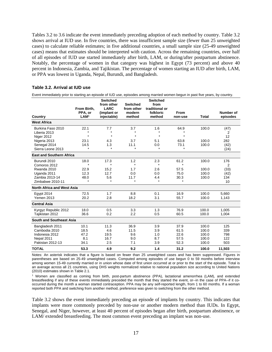Tables 3.2 to 3.6 indicate the event immediately preceding adoption of each method by country. Table 3.2 shows arrival at IUD use. In five countries, there was insufficient sample size (fewer than 25 unweighted cases) to calculate reliable estimates; in five additional countries, a small sample size (25-49 unweighted cases) means that estimates should be interpreted with caution. Across the remaining countries, over half of all episodes of IUD use started immediately after birth, LAM, or during/after postpartum abstinence. Notably, the percentage of women in that category was highest in Egypt (73 percent) and above 40 percent in Indonesia, Zambia, and Tajikistan. The percentage of women starting an IUD after birth, LAM, or PPA was lowest in Uganda, Nepal, Burundi, and Bangladesh.

|                                                   | From Birth,                | <b>Switched</b><br>from other<br><b>LARC</b> | <b>Switched</b><br>from other | <b>Switched</b><br>from<br>traditional or |                         |                         |                       |
|---------------------------------------------------|----------------------------|----------------------------------------------|-------------------------------|-------------------------------------------|-------------------------|-------------------------|-----------------------|
| Country                                           | PPA, or<br>LM <sup>1</sup> | (implant or<br>injectable)                   | modern<br>method              | folkloric<br>method                       | From<br>non-use         | <b>Total</b>            | Number of<br>episodes |
| <b>West Africa</b>                                |                            |                                              |                               |                                           |                         |                         |                       |
| Burkina Faso 2010<br>Liberia 2013                 | 22.1                       | 7.7<br>$\star$                               | 3.7<br>$\star$                | 1.6                                       | 64.9                    | 100.0                   | (47)<br>2             |
| Niger 2012                                        | ÷                          | $\star$                                      | $\star$                       | $\star$                                   | $\star$                 |                         | 12                    |
| Nigeria 2013<br>Senegal 2014<br>Sierra Leone 2013 | 23.1<br>14.5               | 4.3<br>1.3<br>$\star$                        | 3.7<br>11.1<br>$\star$        | 5.1<br>0.0                                | 63.8<br>73.1<br>$\star$ | 100.0<br>100.0          | 282<br>(42)<br>(24)   |
| <b>East and Southern Africa</b>                   |                            |                                              |                               |                                           |                         |                         |                       |
| Burundi 2010<br>Comoros 2012                      | 18.0                       | 17.3                                         | 1.2                           | 2.3<br>$\star$                            | 61.2                    | 100.0                   | 176<br>$\overline{2}$ |
| Rwanda 2010                                       | 22.9                       | 15.2                                         | 1.7                           | 2.6                                       | 57.5                    | 100.0                   | (33)                  |
| Uganda 2011<br>Zambia 2013-14<br>Zimbabwe 2010-11 | 12.3<br>48.0               | 12.7<br>5.6<br>÷                             | 0.0<br>11.7<br>$\star$        | 0.0<br>4.4<br>$\star$                     | 75.0<br>30.3            | 100.0<br>100.0          | (42)<br>134<br>10     |
| North Africa and West Asia                        |                            |                                              |                               |                                           |                         |                         |                       |
| <b>Egypt 2014</b><br><b>Yemen 2013</b>            | 72.5<br>20.2               | 1.7<br>2.8                                   | 8.8<br>18.2                   | 0.1<br>3.1                                | 16.9<br>55.7            | 100.0<br>100.0          | 5,660<br>1,143        |
| <b>Central Asia</b>                               |                            |                                              |                               |                                           |                         |                         |                       |
| Kyrgyz Republic 2012<br>Tajikistan 2012           | 18.0<br>36.6               | 0.5<br>0.2                                   | 3.3<br>2.2                    | 1.3<br>0.5                                | 76.9<br>60.5            | 100.0<br>100.0          | 1.005<br>1,004        |
| South and Southeast Asia                          |                            |                                              |                               |                                           |                         |                         |                       |
| Bangladesh 2011<br>Cambodia 2010                  | 10.1<br>18.5               | 11.3<br>4.6                                  | 36.9<br>11.5                  | 3.9<br>3.9                                | 37.9<br>61.5            | 100.0<br>100.0          | 125<br>339            |
| Indonesia 2012<br>Nepal 2011<br>Pakistan 2012-13  | 47.2<br>8.1<br>34.1        | 19.5<br>16.7<br>2.5                          | 9.6<br>9.0<br>7.1             | 1.0<br>8.7<br>3.9                         | 22.6<br>57.5<br>52.3    | 100.0<br>100.0<br>100.0 | 798<br>122<br>503     |
| <b>TOTAL</b>                                      | 53.3                       | 4.9                                          | 9.2                           | 1.4                                       | 31.2                    | 100.0                   | 11.503                |

#### **Table 3.2. Arrival at IUD use**

Event immediately prior to starting an episode of IUD use, episodes among married women begun in past five years, by country.

Notes: An asterisk indicates that a figure is based on fewer than 25 unweighted cases and has been suppressed. Figures in parentheses are based on 25-49 unweighted cases. Computed among episodes of use begun 0 to 59 months before interview among women 15-49 currently married or in union whose date of first union occurred at or prior to the start of the episode. Total is an average across all 21 countries, using DHS weights normalized relative to national population size according to United Nations (2010) estimates shown in Table 2.1.

1 Women are classified as coming from birth, post-partum abstinence (PPA), lactational amenorrhea (LAM), and extended breastfeeding if any of these events immediately preceded the month that they started the event, or--in the case of PPA--if it cooccurred during the month a woman started contraception. PPA may be any self-reported length, from 1 to 60 months. If a woman reported both PPA and switching from another method, preference was given to switching from the other method.

Table 3.2 shows the event immediately preceding an episode of implants by country. This indicates that implants were more commonly preceded by non-use or another modern method than IUDs. In Egypt, Senegal, and Niger, however, at least 40 percent of episodes began after birth, postpartum abstinence, or LAM/ extended breastfeeding. The most common event preceding an implant was non-use.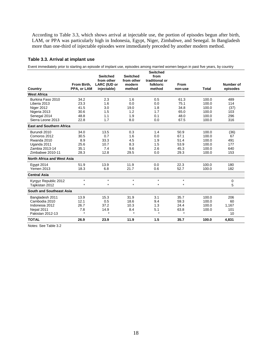According to Table 3.3, which shows arrival at injectable use, the portion of episodes begun after birth, LAM, or PPA was particularly high in Indonesia, Egypt, Niger, Zimbabwe, and Senegal. In Bangladesh more than one-third of injectable episodes were immediately preceded by another modern method.

#### **Table 3.3. Arrival at implant use**

Event immediately prior to starting an episode of implant use, episodes among married women begun in past five years, by country

|                                   | From Birth. | <b>Switched</b><br>from other<br><b>LARC (IUD or</b> | <b>Switched</b><br>from other<br>modern | <b>Switched</b><br>from<br>traditional or<br>folkloric | <b>From</b> |              | Number of |
|-----------------------------------|-------------|------------------------------------------------------|-----------------------------------------|--------------------------------------------------------|-------------|--------------|-----------|
| Country                           | PPA, or LAM | injectable)                                          | method                                  | method                                                 | non-use     | <b>Total</b> | episodes  |
| <b>West Africa</b>                |             |                                                      |                                         |                                                        |             |              |           |
| Burkina Faso 2010                 | 34.2        | 2.3                                                  | 1.6                                     | 0.5                                                    | 61.3        | 100.0        | 489       |
| Liberia 2013                      | 23.3        | 1.6                                                  | 0.0                                     | 0.0                                                    | 75.1        | 100.0        | 114       |
| Niger 2012                        | 41.5        | 3.0                                                  | 19.0                                    | 1.8                                                    | 34.8        | 100.0        | (37)      |
| Nigeria 2013                      | 30.6        | 1.5                                                  | 1.2                                     | 1.7                                                    | 65.0        | 100.0        | 103       |
| Senegal 2014                      | 48.8        | 1.1                                                  | 1.9                                     | 0.1                                                    | 48.0        | 100.0        | 296       |
| Sierra Leone 2013                 | 22.8        | 1.7                                                  | 8.0                                     | 0.0                                                    | 67.5        | 100.0        | 316       |
| <b>East and Southern Africa</b>   |             |                                                      |                                         |                                                        |             |              |           |
| Burundi 2010                      | 34.0        | 13.5                                                 | 0.3                                     | 1.4                                                    | 50.9        | 100.0        | (36)      |
| Comoros 2012                      | 30.5        | 0.7                                                  | 1.6                                     | 0.0                                                    | 67.1        | 100.0        | 67        |
| Rwanda 2010                       | 8.9         | 33.3                                                 | 4.5                                     | 1.9                                                    | 51.4        | 100.0        | 491       |
| Uganda 2011                       | 25.6        | 10.7                                                 | 8.3                                     | 1.5                                                    | 53.9        | 100.0        | 177       |
| Zambia 2013-14                    | 35.1        | 7.4                                                  | 9.6                                     | 2.6                                                    | 45.3        | 100.0        | 640       |
| Zimbabwe 2010-11                  | 28.3        | 12.8                                                 | 29.5                                    | 0.0                                                    | 29.3        | 100.0        | 153       |
| <b>North Africa and West Asia</b> |             |                                                      |                                         |                                                        |             |              |           |
| Egypt 2014                        | 51.9        | 13.9                                                 | 11.9                                    | 0.0                                                    | 22.3        | 100.0        | 180       |
| <b>Yemen 2013</b>                 | 18.3        | 6.8                                                  | 21.7                                    | 0.6                                                    | 52.7        | 100.0        | 182       |
| <b>Central Asia</b>               |             |                                                      |                                         |                                                        |             |              |           |
| Kyrgyz Republic 2012              | $\star$     | $\star$                                              | $\star$                                 | $\star$                                                | $\star$     |              | 0         |
| Tajikistan 2012                   | $\star$     | $\star$                                              | $\star$                                 | $\star$                                                | $\star$     |              | 5         |
| South and Southeast Asia          |             |                                                      |                                         |                                                        |             |              |           |
| Bangladesh 2011                   | 13.9        | 15.3                                                 | 31.9                                    | 3.1                                                    | 35.7        | 100.0        | 206       |
| Cambodia 2010                     | 12.1        | 0.5                                                  | 18.6                                    | 9.4                                                    | 59.3        | 100.0        | 60        |
| Indonesia 2012                    | 26.7        | 37.2                                                 | 10.3                                    | 1.3                                                    | 24.4        | 100.0        | 1,167     |
| Nepal 2011                        | 7.8         | 14.9                                                 | 8.4                                     | 5.1                                                    | 63.8        | 100.0        | 101       |
| Pakistan 2012-13                  | $\star$     | $\star$                                              | $\star$                                 | $\star$                                                | $\star$     |              | 10        |
| <b>TOTAL</b>                      | 26.9        | 23.9                                                 | 11.9                                    | 1.5                                                    | 35.7        | 100.0        | 4.831     |

Notes: See Table 3.2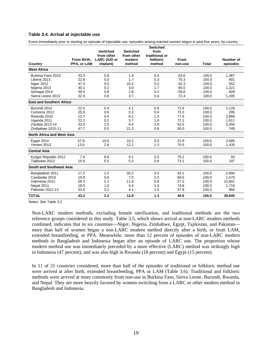#### **Table 3.4. Arrival at injectable use**

Event immediately prior to starting an episode of injectable use, episodes among married women begun in past five years, by country

|                                   |             |                                   |                      | <b>Switched</b>             |         |              |           |
|-----------------------------------|-------------|-----------------------------------|----------------------|-----------------------------|---------|--------------|-----------|
|                                   |             | <b>Switched</b>                   | <b>Switched</b>      | from                        |         |              |           |
|                                   | From Birth. | from other<br><b>LARC (IUD or</b> | from other<br>modern | traditional or<br>folkloric | From    |              | Number of |
| Country                           | PPA, or LAM | implant)                          | method               | method                      | non-use | <b>Total</b> | episodes  |
| <b>West Africa</b>                |             |                                   |                      |                             |         |              |           |
| Burkina Faso 2010                 | 33.3        | 0.8                               | 1.9                  | 0.4                         | 63.6    | 100.0        | 1,387     |
| Liberia 2013                      | 22.6        | 0.0                               | 1.7                  | 0.3                         | 75.3    | 100.0        | 901       |
| Niger 2012                        | 47.3        | 0.0                               | 10.2                 | 0.2                         | 42.3    | 100.0        | 552       |
| Nigeria 2013                      | 30.1        | 0.2                               | 3.0                  | 1.7                         | 65.0    | 100.0        | 1,221     |
| Senegal 2014                      | 39.5        | 0.8                               | 2.8                  | 0.2                         | 56.6    | 100.0        | 828       |
| Sierra Leone 2013                 | 22.9        | 0.6                               | 3.7                  | 0.4                         | 72.4    | 100.0        | 1,205     |
| <b>East and Southern Africa</b>   |             |                                   |                      |                             |         |              |           |
| Burundi 2010                      | 22.0        | 0.4                               | 4.1                  | 0.6                         | 72.9    | 100.0        | 1,126     |
| Comoros 2012                      | 25.9        | 0.6                               | 0.3                  | 0.0                         | 73.3    | 100.0        | 285       |
| Rwanda 2010                       | 12.7        | 0.4                               | 8.1                  | 1.3                         | 77.6    | 100.0        | 2,866     |
| Uganda 2011                       | 23.1        | 0.2                               | 3.7                  | 1.0                         | 72.1    | 100.0        | 1,611     |
| Zambia 2013-14                    | 33.9        | 1.5                               | 9.4                  | 2.8                         | 52.5    | 100.0        | 3,204     |
| Zimbabwe 2010-11                  | 47.7        | 0.5                               | 21.2                 | 0.6                         | 30.0    | 100.0        | 749       |
| <b>North Africa and West Asia</b> |             |                                   |                      |                             |         |              |           |
| <b>Egypt 2014</b>                 | 57.9        | 10.0                              | 10.2                 | 0.0                         | 21.9    | 100.0        | 2,685     |
| <b>Yemen 2013</b>                 | 13.6        | 2.6                               | 12.1                 | 1.3                         | 70.5    | 100.0        | 1,435     |
| <b>Central Asia</b>               |             |                                   |                      |                             |         |              |           |
| Kyrgyz Republic 2012              | 7.4         | 8.8                               | 8.1                  | 0.5                         | 75.2    | 100.0        | 50        |
| Tajikistan 2012                   | 15.9        | 5.0                               | 5.2                  | 0.8                         | 73.1    | 100.0        | 197       |
| South and Southeast Asia          |             |                                   |                      |                             |         |              |           |
| Bangladesh 2011                   | 17.2        | 1.2                               | 35.2                 | 3.3                         | 43.1    | 100.0        | 2,694     |
| Cambodia 2010                     | 19.9        | 0.6                               | 7.5                  | 2.5                         | 69.5    | 100.0        | 1,570     |
| Indonesia 2012                    | 58.3        | 2.1                               | 11.6                 | 0.8                         | 27.2    | 100.0        | 12,601    |
| Nepal 2011                        | 18.5        | 1.0                               | 4.4                  | 1.3                         | 74.8    | 100.0        | 1,716     |
| Pakistan 2012-13                  | 33.4        | 3.2                               | 4.1                  | 1.5                         | 57.8    | 100.0        | 966       |
| <b>TOTAL</b>                      | 43.2        | 2.2                               | 12.8                 | 1.3                         | 40.6    | 100.0        | 39,845    |

Notes: See Table 3.2

Non-LARC modern methods, excluding female sterilization, and traditional methods are the two reference groups considered in this study. Table 3.5, which shows arrival at non-LARC modern methods combined, indicates that in six countries—Niger, Nigeria, Zimbabwe, Egypt, Tajikistan, and Pakistan more than half of women began a non-LARC modern method directly after a birth, or from LAM, extended breastfeeding, or PPA. Meanwhile, more than 12 percent of episodes of non-LARC modern methods in Bangladesh and Indonesia began after an episode of LARC use. The proportion whose modern method use was immediately preceded by a more effective (LARC) method was strikingly high in Indonesia (47 percent), and was also high in Rwanda (18 percent) and Egypt (15 percent).

In 11 of 21 countries considered, more than half of the episodes of traditional or folkloric method use were arrived at after birth, extended breastfeeding, PPA or LAM (Table 3.6). Traditional and folkloric methods were arrived at more commonly from non-use in Burkina Faso, Sierra Leone, Burundi, Rwanda, and Nepal. They are more heavily favored by women switching from a LARC or other modern method in Bangladesh and Indonesia.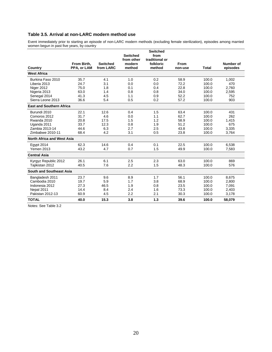## **Table 3.5. Arrival at non-LARC modern method use**

Event immediately prior to starting an episode of non-LARC modern methods (excluding female sterilization), episodes among married women begun in past five years, by country

|                                   |                            |                              | <b>Switched</b><br>from other | <b>Switched</b><br>from<br>traditional or |                 |              |                       |
|-----------------------------------|----------------------------|------------------------------|-------------------------------|-------------------------------------------|-----------------|--------------|-----------------------|
| Country                           | From Birth.<br>PPA, or LAM | <b>Switched</b><br>from LARC | modern<br>method              | folkloric<br>method                       | From<br>non-use | <b>Total</b> | Number of<br>episodes |
| <b>West Africa</b>                |                            |                              |                               |                                           |                 |              |                       |
| Burkina Faso 2010                 | 35.7                       | 4.1                          | 1.0                           | 0.2                                       | 58.9            | 100.0        | 1,002                 |
| Liberia 2013                      | 24.7                       | 3.1                          | 0.0                           | 0.0                                       | 72.2            | 100.0        | 470                   |
| Niger 2012                        | 75.0                       | 1.8                          | 0.1                           | 0.4                                       | 22.8            | 100.0        | 2.760                 |
| Nigeria 2013                      | 63.0                       | 1.4                          | 0.8                           | 0.8                                       | 34.0            | 100.0        | 2,595                 |
| Senegal 2014                      | 41.3                       | 4.5                          | 1.1                           | 0.9                                       | 52.2            | 100.0        | 752                   |
| Sierra Leone 2013                 | 36.6                       | 5.4                          | 0.5                           | 0.2                                       | 57.2            | 100.0        | 903                   |
| <b>East and Southern Africa</b>   |                            |                              |                               |                                           |                 |              |                       |
| Burundi 2010                      | 22.1                       | 12.6                         | 0.4                           | 1.5                                       | 63.4            | 100.0        | 431                   |
| Comoros 2012                      | 31.7                       | 4.6                          | 0.0                           | 1.1                                       | 62.7            | 100.0        | 262                   |
| Rwanda 2010                       | 20.8                       | 17.5                         | 1.5                           | 1.2                                       | 58.9            | 100.0        | 1.415                 |
| Uganda 2011                       | 33.7                       | 12.3                         | 0.8                           | 1.9                                       | 51.2            | 100.0        | 675                   |
| Zambia 2013-14                    | 44.6                       | 6.3                          | 2.7                           | 2.5                                       | 43.8            | 100.0        | 3,335                 |
| Zimbabwe 2010-11                  | 68.4                       | 4.2                          | 3.1                           | 0.5                                       | 23.8            | 100.0        | 3,764                 |
| <b>North Africa and West Asia</b> |                            |                              |                               |                                           |                 |              |                       |
| <b>Egypt 2014</b>                 | 62.3                       | 14.6                         | 0.4                           | 0.1                                       | 22.5            | 100.0        | 6.538                 |
| <b>Yemen 2013</b>                 | 43.2                       | 4.7                          | 0.7                           | 1.5                                       | 49.9            | 100.0        | 7.583                 |
| <b>Central Asia</b>               |                            |                              |                               |                                           |                 |              |                       |
| Kyrgyz Republic 2012              | 26.1                       | 6.1                          | 2.5                           | 2.3                                       | 63.0            | 100.0        | 869                   |
| Tajikistan 2012                   | 40.5                       | 7.6                          | 2.2                           | 1.5                                       | 48.3            | 100.0        | 576                   |
| <b>South and Southeast Asia</b>   |                            |                              |                               |                                           |                 |              |                       |
| Bangladesh 2011                   | 23.7                       | 9.6                          | 8.9                           | 1.7                                       | 56.1            | 100.0        | 8,675                 |
| Cambodia 2010                     | 19.7                       | 5.9                          | 1.7                           | 3.8                                       | 68.9            | 100.0        | 2,800                 |
| Indonesia 2012                    | 27.3                       | 46.5                         | 1.9                           | 0.8                                       | 23.5            | 100.0        | 7,091                 |
| Nepal 2011                        | 14.4                       | 8.4                          | 2.4                           | 1.6                                       | 73.3            | 100.0        | 2,403                 |
| Pakistan 2012-13                  | 60.9                       | 4.5                          | 2.2                           | 2.1                                       | 30.3            | 100.0        | 3,178                 |
| <b>TOTAL</b>                      | 40.0                       | 15.3                         | 3.8                           | 1.3                                       | 39.6            | 100.0        | 58,079                |

Notes: See Table 3.2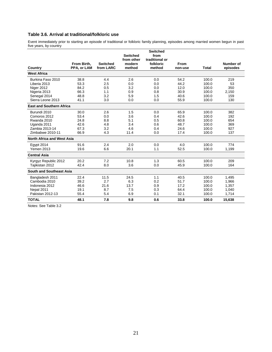## **Table 3.6. Arrival at traditional/folkloric use**

Event immediately prior to starting an episode of traditional or folkloric family planning, episodes among married women begun in past five years, by country

|                                 | From Birth, | <b>Switched</b> | <b>Switched</b><br>from other<br>modern | <b>Switched</b><br>from<br>traditional or<br>folkloric | <b>From</b> |              | Number of |
|---------------------------------|-------------|-----------------|-----------------------------------------|--------------------------------------------------------|-------------|--------------|-----------|
| Country                         | PPA, or LAM | from LARC       | method                                  | method                                                 | non-use     | <b>Total</b> | episodes  |
| <b>West Africa</b>              |             |                 |                                         |                                                        |             |              |           |
| Burkina Faso 2010               | 38.8        | 4.4             | 2.6                                     | 0.0                                                    | 54.2        | 100.0        | 219       |
| Liberia 2013                    | 53.3        | 2.5             | 0.0                                     | 0.0                                                    | 44.2        | 100.0        | 53        |
| Niger 2012                      | 84.2        | 0.5             | 3.2                                     | 0.0                                                    | 12.0        | 100.0        | 350       |
| Nigeria 2013                    | 66.3        | 1.1             | 0.9                                     | 0.8                                                    | 30.9        | 100.0        | 2,150     |
| Senegal 2014                    | 48.8        | 3.2             | 5.9                                     | 1.5                                                    | 40.6        | 100.0        | 159       |
| Sierra Leone 2013               | 41.1        | 3.0             | 0.0                                     | 0.0                                                    | 55.9        | 100.0        | 130       |
| <b>East and Southern Africa</b> |             |                 |                                         |                                                        |             |              |           |
| Burundi 2010                    | 30.0        | 2.6             | 1.5                                     | 0.0                                                    | 65.9        | 100.0        | 382       |
| Comoros 2012                    | 53.4        | 0.0             | 3.6                                     | 0.4                                                    | 42.6        | 100.0        | 192       |
| Rwanda 2010                     | 24.8        | 8.8             | 5.1                                     | 0.5                                                    | 60.8        | 100.0        | 654       |
| Uganda 2011                     | 42.6        | 4.8             | 3.4                                     | 0.6                                                    | 48.7        | 100.0        | 369       |
| Zambia 2013-14                  | 67.3        | 3.2             | 4.6                                     | 0.4                                                    | 24.6        | 100.0        | 927       |
| Zimbabwe 2010-11                | 66.9        | 4.3             | 11.4                                    | 0.0                                                    | 17.4        | 100.0        | 137       |
| North Africa and West Asia      |             |                 |                                         |                                                        |             |              |           |
| <b>Egypt 2014</b>               | 91.6        | 2.4             | 2.0                                     | 0.0                                                    | 4.0         | 100.0        | 774       |
| <b>Yemen 2013</b>               | 19.6        | 6.6             | 20.1                                    | 1.1                                                    | 52.5        | 100.0        | 1,199     |
| <b>Central Asia</b>             |             |                 |                                         |                                                        |             |              |           |
| Kyrgyz Republic 2012            | 20.2        | 7.2             | 10.8                                    | 1.3                                                    | 60.5        | 100.0        | 209       |
| Taiikistan 2012                 | 42.4        | 8.0             | 3.6                                     | 0.0                                                    | 45.9        | 100.0        | 164       |
| South and Southeast Asia        |             |                 |                                         |                                                        |             |              |           |
| Bangladesh 2011                 | 22.4        | 11.5            | 24.5                                    | 1.1                                                    | 40.5        | 100.0        | 1,495     |
| Cambodia 2010                   | 39.2        | 2.7             | 6.3                                     | 0.2                                                    | 51.7        | 100.0        | 1,966     |
| Indonesia 2012                  | 46.6        | 21.6            | 13.7                                    | 0.9                                                    | 17.2        | 100.0        | 1,357     |
| Nepal 2011                      | 19.1        | 8.7             | 7.5                                     | 0.3                                                    | 64.4        | 100.0        | 1,040     |
| Pakistan 2012-13                | 55.4        | 5.4             | 6.9                                     | 0.1                                                    | 32.1        | 100.0        | 1,714     |
| <b>TOTAL</b>                    | 48.1        | 7.8             | 9.8                                     | 0.6                                                    | 33.8        | 100.0        | 15,638    |

Notes: See Table 3.2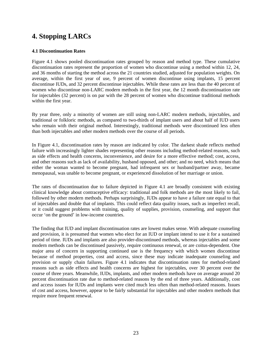# **4. Stopping LARCs**

## **4.1 Discontinuation Rates**

Figure 4.1 shows pooled discontinuation rates grouped by reason and method type. These cumulative discontinuation rates represent the proportion of women who discontinue using a method within 12, 24, and 36 months of starting the method across the 21 countries studied, adjusted for population weights. On average, within the first year of use, 9 percent of women discontinue using implants, 15 percent discontinue IUDs, and 32 percent discontinue injectables. While these rates are less than the 40 percent of women who discontinue non-LARC modern methods in the first year, the 12 month discontinuation rate for injectables (32 percent) is on par with the 28 percent of women who discontinue traditional methods within the first year.

By year three, only a minority of women are still using non-LARC modern methods, injectables, and traditional or folkloric methods, as compared to two-thirds of implant users and about half of IUD users who remain with their original method. Interestingly, traditional methods were discontinued less often than both injectables and other modern methods over the course of all periods.

In Figure 4.1, discontinuation rates by reason are indicated by color. The darkest shade reflects method failure with increasingly lighter shades representing other reasons including method-related reasons, such as side effects and health concerns, inconvenience, and desire for a more effective method; cost, access, and other reasons such as lack of availability, husband opposed, and other; and no need, which means that either the woman wanted to become pregnant, had infrequent sex or husband/partner away, became menopausal, was unable to become pregnant, or experienced dissolution of her marriage or union.

The rates of discontinuation due to failure depicted in Figure 4.1 are broadly consistent with existing clinical knowledge about contraceptive efficacy: traditional and folk methods are the most likely to fail, followed by other modern methods. Perhaps surprisingly, IUDs appear to have a failure rate equal to that of injectables and double that of implants. This could reflect data quality issues, such as imperfect recall, or it could suggest problems with training, quality of supplies, provision, counseling, and support that occur 'on the ground' in low-income countries.

The finding that IUD and implant discontinuation rates are lowest makes sense. With adequate counseling and provision, it is presumed that women who elect for an IUD or implant intend to use it for a sustained period of time. IUDs and implants are also provider-discontinued methods, whereas injectables and some modern methods can be discontinued passively, require continuous renewal, or are coitus-dependent. One major area of concern in supporting continued use is the frequency with which women discontinue because of method properties, cost and access, since these may indicate inadequate counseling and provision or supply chain failures. Figure 4.1 indicates that discontinuation rates for method-related reasons such as side effects and health concerns are highest for injectables, over 30 percent over the course of three years. Meanwhile, IUDs, implants, and other modern methods have on average around 20 percent discontinuation rate due to method-related reasons by the end of three years. Additionally, cost and access issues for IUDs and implants were cited much less often than method-related reasons. Issues of cost and access, however, appear to be fairly substantial for injectables and other modern methods that require more frequent renewal.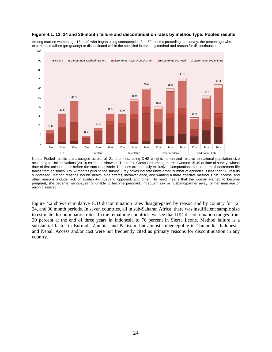#### **Figure 4.1. 12, 24 and 36-month failure and discontinuation rates by method type: Pooled results**

Among married women age 15 to 49 who began using contraception 3 to 62 months preceding the survey, the percentage who experienced failure (pregnancy) or discontinued within the specified interval, by method and reason for discontinuation



Notes: Pooled results are averaged across all 21 countries, using DHS weights normalized relative to national population size according to United Nations (2010) estimates shown in Table 2.1. Computed among married women 15-49 at time of survey, whose date of first union is at or before the start of episode. Reasons are mutually exclusive. Computations based on multi-decrement life tables from episodes 3 to 62 months prior to the survey. Grey boxes indicate unweighted number of episodes is less than 50, results suppressed. Method reasons include health, side effects, inconvenience, and wanting a more effective method. Cost, access, and other reasons include lack of availability, husband opposed, and other. No need means that the woman wanted to become pregnant, she became menopausal or unable to become pregnant, infrequent sex or husband/partner away, or her marriage or union dissolved.

Figure 4.2 shows cumulative IUD discontinuation rates disaggregated by reason and by country for 12, 24, and 36 month periods. In seven countries, all in sub-Saharan Africa, there was insufficient sample size to estimate discontinuation rates. In the remaining countries, we see that IUD discontinuation ranges from 20 percent at the end of three years in Indonesia to 76 percent in Sierra Leone. Method failure is a substantial factor in Burundi, Zambia, and Pakistan, but almost imperceptible in Cambodia, Indonesia, and Nepal. Access and/or cost were not frequently cited as primary reasons for discontinuation in any country.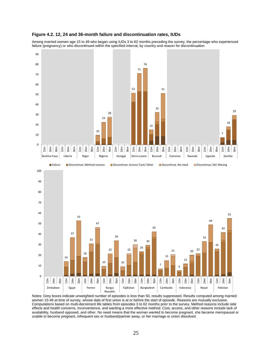#### **Figure 4.2. 12, 24 and 36-month failure and discontinuation rates, IUDs**

Among married women age 15 to 49 who began using IUDs 3 to 62 months preceding the survey, the percentage who experienced failure (pregnancy) or who discontinued within the specified interval, by country and reason for discontinuation





Notes: Grey boxes indicate unweighted number of episodes is less than 50, results suppressed. Results computed among married women 15-49 at time of survey, whose date of first union is at or before the start of episode. Reasons are mutually exclusive. Computations based on multi-decrement life tables from episodes 3 to 62 months prior to the survey. Method reasons include side effects and health concerns, inconvenience, and wanting a more effective method. Cost, access, and other reasons include lack of availability, husband opposed, and other. No need means that the woman wanted to become pregnant, she became menopausal or unable to become pregnant, infrequent sex or husband/partner away, or her marriage or union dissolved.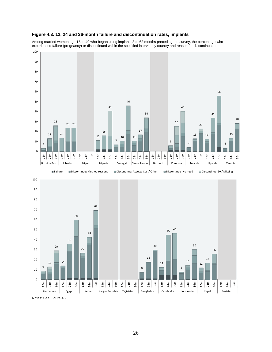

Among married women age 15 to 49 who began using implants 3 to 62 months preceding the survey, the percentage who experienced failure (pregnancy) or discontinued within the specified interval, by country and reason for discontinuation





Notes: See Figure 4.2.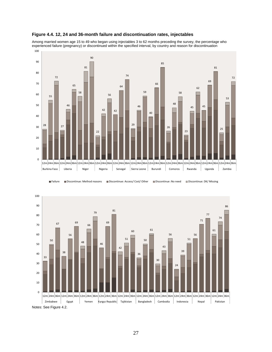

#### **Figure 4.4. 12, 24 and 36-month failure and discontinuation rates, injectables**

Among married women age 15 to 49 who began using injectables 3 to 62 months preceding the survey, the percentage who experienced failure (pregnancy) or discontinued within the specified interval, by country and reason for discontinuation

■Failure ■ Discontinue: Method reasons ■ Discontinue: Access/ Cost/ Other ■ Discontinue :No need ■ Discontinue: DK/ Missing

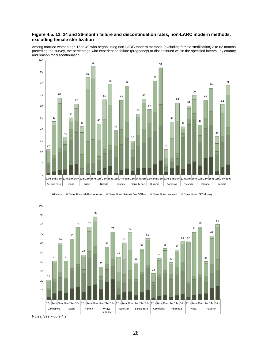### **Figure 4.5. 12, 24 and 36-month failure and discontinuation rates, non-LARC modern methods, excluding female sterilization**

Among married women age 15 to 49 who began using non-LARC modern methods (excluding female sterilization) 3 to 62 months preceding the survey, the percentage who experienced failure (pregnancy) or discontinued within the specified interval, by country and reason for discontinuation







Notes: See Figure 4.2.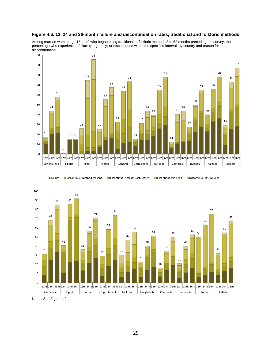

Among married women age 15 to 49 who began using traditional or folkloric methods 3 to 62 months preceding the survey, the percentage who experienced failure (pregnancy) or discontinued within the specified interval, by country and reason for discontinuation



#### ■Failure ■ Discontinue: Method reasons ■ Discontinue: Access/ Cost/ Other ■ Discontinue :No need ■ Discontinue: DK/ Missing



Notes: See Figure 4.2.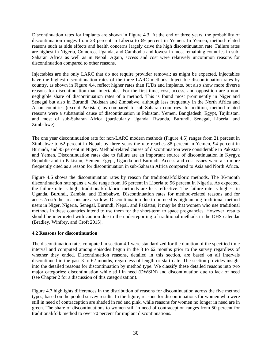Discontinuation rates for implants are shown in Figure 4.3. At the end of three years, the probability of discontinuation ranges from 23 percent in Liberia to 69 percent in Yemen. In Yemen, method-related reasons such as side effects and health concerns largely drive the high discontinuation rate. Failure rates are highest in Nigeria, Comoros, Uganda, and Cambodia and lowest in most remaining countries in sub-Saharan Africa as well as in Nepal. Again, access and cost were relatively uncommon reasons for discontinuation compared to other reasons.

Injectables are the only LARC that do not require provider removal; as might be expected, injectables have the highest discontinuation rates of the three LARC methods. Injectable discontinuation rates by country, as shown in Figure 4.4, reflect higher rates than IUDs and implants, but also show more diverse reasons for discontinuation than injectables. For the first time, cost, access, and opposition are a nonnegligible share of discontinuation rates of a method. This is found most prominently in Niger and Senegal but also in Burundi, Pakistan and Zimbabwe, although less frequently in the North Africa and Asian countries (except Pakistan) as compared to sub-Saharan countries. In addition, method-related reasons were a substantial cause of discontinuation in Pakistan, Yemen, Bangladesh, Egypt, Tajikistan, and most of sub-Saharan Africa (particularly Uganda, Rwanda, Burundi, Senegal, Liberia, and Zimbabwe).

The one year discontinuation rate for non-LARC modern methods (Figure 4.5) ranges from 21 percent in Zimbabwe to 62 percent in Nepal; by three years the rate reaches 88 percent in Yemen, 94 percent in Burundi, and 95 percent in Niger. Method-related causes of discontinuation were considerable in Pakistan and Yemen. Discontinuation rates due to failure are an important source of discontinuation in Kyrgyz Republic and in Pakistan, Yemen, Egypt, Uganda and Burundi. Access and cost issues were also more frequently cited as a reason for discontinuation in sub-Saharan Africa compared to Asia and North Africa.

Figure 4.6 shows the discontinuation rates by reason for traditional/folkloric methods. The 36-month discontinuation rate spans a wide range from 16 percent in Liberia to 96 percent in Nigeria. As expected, the failure rate is high; traditional/folkloric methods are least effective. The failure rate is highest in Uganda, Burundi, Zambia, and Zimbabwe. Discontinuation rates for method-related reasons and for access/cost/other reasons are also low. Discontinuation due to no need is high among traditional method users in Niger, Nigeria, Senegal, Burundi, Nepal, and Pakistan; it may be that women who use traditional methods in these countries intend to use them for the short-term to space pregnancies. However, results should be interpreted with caution due to the underreporting of traditional methods in the DHS calendar (Bradley, Winfrey, and Croft 2015).

## **4.2 Reasons for discontinuation**

The discontinuation rates computed in section 4.1 were standardized for the duration of the specified time interval and computed among episodes begun in the 3 to 62 months prior to the survey regardless of whether they ended. Discontinuation reasons, detailed in this section, are based on all intervals discontinued in the past 3 to 62 months, regardless of length or start date. The section provides insight into the detailed reasons for discontinuation by method type. We classify these detailed reasons into two major categories: discontinuation while still in need (DWSIN) and discontinuation due to lack of need (see Chapter 2 for a discussion of this categorization).

Figure 4.7 highlights differences in the distribution of reasons for discontinuation across the five method types, based on the pooled survey results. In the figure, reasons for discontinuations for women who were still in need of contraception are shaded in red and pink, while reasons for women no longer in need are in green. The share of discontinuations to women still in need of contraception ranges from 50 percent for traditional/folk method to over 70 percent for implant discontinuations.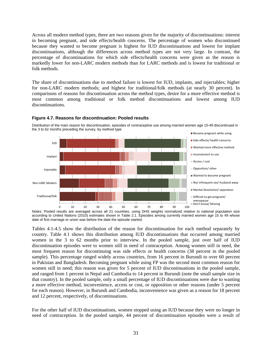Across all modern method types, there are two reasons given for the majority of discontinuations: interest in becoming pregnant, and side effects/health concerns. The percentage of women who discontinued because they wanted to become pregnant is highest for IUD discontinuations and lowest for implant discontinuations, although the differences across method types are not very large. In contrast, the percentage of discontinuations for which side effects/health concerns were given as the reason is markedly lower for non-LARC modern methods than for LARC methods and is lowest for traditional or folk methods.

The share of discontinuations due to method failure is lowest for IUD, implants, and injectables; higher for non-LARC modern methods; and highest for traditional/folk methods (at nearly 30 percent). In comparisons of reasons for discontinuation across the method types, desire for a more effective method is most common among traditional or folk method discontinuations and lowest among IUD discontinuations.



#### **Figure 4.7. Reasons for discontinuation: Pooled results**

Distribution of the main reason for discontinuation, episodes of contraceptive use among married women age 15-49 discontinued in the 3 to 62 months preceding the survey, by method type

Notes: Pooled results are averaged across all 21 countries, using DHS weights normalized relative to national population size according to United Nations (2010) estimates shown in Table 2.1. Episodes among currently married women age 15 to 49 whose date of first marriage or union was before the date the episode started.

Tables 4.1-4.5 show the distribution of the reason for discontinuation for each method separately by country. Table 4.1 shows this distribution among IUD discontinuations that occurred among married women in the 3 to 62 months prior to interview. In the pooled sample, just over half of IUD discontinuation episodes were to women still in need of contraception. Among women still in need, the most frequent reason for discontinuing was side effects or health concerns (38 percent in the pooled sample). This percentage ranged widely across countries, from 16 percent in Burundi to over 60 percent in Pakistan and Bangladesh. Becoming pregnant while using FP was the second most common reason for women still in need; this reason was given for 5 percent of IUD discontinuations in the pooled sample, and ranged from 1 percent in Nepal and Cambodia to 14 percent in Burundi (note the small sample size in that country). In the pooled sample, only a small percentage of IUD discontinuations were due to wanting a more effective method, inconvenience, access or cost, or opposition or other reasons (under 5 percent for each reason). However, in Burundi and Cambodia, inconvenience was given as a reason for 18 percent and 12 percent, respectively, of discontinuations.

For the other half of IUD discontinuations, women stopped using an IUD because they were no longer in need of contraception. In the pooled sample, 44 percent of discontinuation episodes were a result of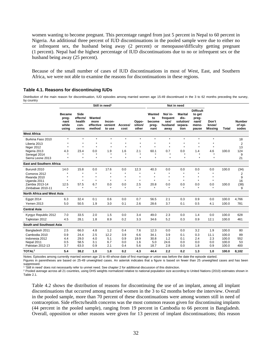women wanting to become pregnant. This percentage ranged from just 5 percent in Nepal to 60 percent in Nigeria. An additional three percent of IUD discontinuations in the pooled sample were due to either no or infrequent sex, the husband being away (2 percent) or menopause/difficulty getting pregnant (1 percent). Nepal had the highest percentage of IUD discontinuations due to no or infrequent sex or the husband being away (25 percent).

Because of the small number of cases of IUD discontinuations in most of West, East, and Southern Africa, we were not able to examine the reasons for discontinuations in these regions.

#### **Table 4.1. Reasons for discontinuing IUDs**

Distribution of the main reason for discontinuation, IUD episodes among married women age 15-49 discontinued in the 3 to 62 months preceding the survey, by country

|                                   | Still in need <sup>1</sup>                       |                                             |                                       |                             |                    |                           | Not in need                             |                                                |                                                        |                                                                |                           |       |                                   |
|-----------------------------------|--------------------------------------------------|---------------------------------------------|---------------------------------------|-----------------------------|--------------------|---------------------------|-----------------------------------------|------------------------------------------------|--------------------------------------------------------|----------------------------------------------------------------|---------------------------|-------|-----------------------------------|
|                                   | <b>Became</b><br>preg-<br>nant<br>while<br>using | Side<br>effects/<br>health<br>con-<br>cerns | Wanted<br>more<br>effective<br>method | Incon-<br>venient<br>to use | Access/<br>cost    | Oppo-<br>sition/<br>other | Wanted<br>to<br>become<br>preg-<br>nant | No/ in-<br>frequent<br>sex/<br>husband<br>away | <b>Marital</b><br>dis-<br>solution/<br>separa-<br>tion | <b>Difficult</b><br>to get<br>preg-<br>nant/<br>meno-<br>pause | Don't<br>know/<br>Missing | Total | <b>Number</b><br>of epi-<br>sodes |
| <b>West Africa</b>                |                                                  |                                             |                                       |                             |                    |                           |                                         |                                                |                                                        |                                                                |                           |       |                                   |
| Burkina Faso 2010                 | $\star$                                          | $\star$                                     | $\star$                               | $\star$                     | $\star$            | $\star$                   | $\star$                                 | $\star$                                        | $\star$                                                | $\star$                                                        | $\star$                   |       | 18                                |
| Liberia 2013                      | $\star$                                          | $\star$                                     | $\star$                               | $\star$                     | $\star$            | $\star$                   | $\star$                                 | $\star$                                        | $\star$                                                | $\star$                                                        | $\star$                   |       | 2                                 |
| Niger 2012                        | $\star$                                          | $\star$                                     | $\star$                               | $\star$                     | $\star$            | $\star$                   | $\star$                                 | $\star$                                        | $\star$                                                | $\star$                                                        | $\star$                   |       | 13                                |
| Nigeria 2013                      | 4.3                                              | 23.4                                        | 0.0                                   | 1.9<br>٠                    | 1.6<br>$\star$     | 2.1                       | 60.1                                    | 0.7<br>$\star$                                 | 0.0                                                    | 1.4                                                            | 4.6                       | 100.0 | 124                               |
| Senegal 2014<br>Sierra Leone 2013 | $\star$                                          | $\star$                                     | $\star$                               | $\ddot{\phantom{0}}$        | $\star$            | $\star$                   | $\star$                                 | $\star$                                        | $\star$                                                | $\star$                                                        | $\star$                   |       | 9<br>21                           |
| <b>East and Southern Africa</b>   |                                                  |                                             |                                       |                             |                    |                           |                                         |                                                |                                                        |                                                                |                           |       |                                   |
|                                   |                                                  |                                             |                                       |                             |                    |                           |                                         |                                                |                                                        |                                                                |                           |       |                                   |
| Burundi 2010                      | 14.0                                             | 15.8                                        | 0.0                                   | 17.6                        | 0.0                | 12.3                      | 40.3                                    | 0.0                                            | 0.0                                                    | 0.0                                                            | 0.0                       | 100.0 | (34)                              |
| Comoros 2012                      | $\star$                                          | $\star$                                     | $\pmb{\ast}$                          | $\star$                     | $\star$            | $\star$                   | $\star$                                 | $\star$                                        | $\star$                                                | $\star$                                                        | $\star$                   |       | 2                                 |
| Rwanda 2010                       | $\star$                                          | $\star$<br>$\bullet$                        | $\star$<br>$\star$                    | $\star$<br>$\star$          | $\star$<br>$\star$ | $\star$<br>$\star$        | $\star$<br>$\star$                      | $\star$<br>$\star$                             | $\star$<br>$\star$                                     | $\star$<br>$\star$                                             | $\star$<br>$\star$        |       | 9                                 |
| Uganda 2011<br>Zambia 2013-14     | 12.5                                             | 57.5                                        | 6.7                                   | 0.0                         | 0.0                | 2.5                       | 20.8                                    | 0.0                                            | 0.0                                                    | 0.0                                                            | 0.0                       | 100.0 | 16<br>(38)                        |
| Zimbabwe 2010-11                  | $\star$                                          | $\star$                                     | $\star$                               | $\star$                     | $\star$            | $\star$                   | $\star$                                 | $\star$                                        | $\star$                                                | $\star$                                                        | $\star$                   |       | 9                                 |
| <b>North Africa and West Asia</b> |                                                  |                                             |                                       |                             |                    |                           |                                         |                                                |                                                        |                                                                |                           |       |                                   |
| Egypt 2014                        | 6.3                                              | 32.4                                        | 0.1                                   | 0.6                         | 0.0                | 0.7                       | 56.5                                    | 2.1                                            | 0.3                                                    | 0.9                                                            | 0.0                       | 100.0 | 4,766                             |
| <b>Yemen 2013</b>                 | 5.0                                              | 50.5                                        | 1.9                                   | 3.0                         | 0.1                | 2.6                       | 28.6                                    | 3.7                                            | 0.1                                                    | 0.5                                                            | 4.1                       | 100.0 | 781                               |
| <b>Central Asia</b>               |                                                  |                                             |                                       |                             |                    |                           |                                         |                                                |                                                        |                                                                |                           |       |                                   |
|                                   |                                                  |                                             |                                       |                             |                    |                           |                                         |                                                |                                                        |                                                                |                           |       |                                   |
| Kyrgyz Republic 2012              | 7.0                                              | 33.5                                        | 2.0                                   | 1.5                         | 0.0                | 3.4                       | 49.0                                    | 2.3                                            | 0.0                                                    | 1.4                                                            | 0.0                       | 100.0 | 628                               |
| Tajikistan 2012                   | 4.5                                              | 28.1                                        | 1.8                                   | 8.9                         | 0.2                | 3.3                       | 34.6                                    | 5.2                                            | 0.3                                                    | 0.9                                                            | 12.1                      | 100.0 | 461                               |
| <b>South and Southeast Asia</b>   |                                                  |                                             |                                       |                             |                    |                           |                                         |                                                |                                                        |                                                                |                           |       |                                   |
| Bangladesh 2011                   | 2.5                                              | 66.0                                        | 4.8                                   | 1.2                         | 0.4                | 7.6                       | 12.3                                    | 0.0                                            | 0.0                                                    | 3.2                                                            | 1.9                       | 100.0 | 80                                |
| Cambodia 2010                     | 0.9                                              | 24.4                                        | 2.5                                   | 12.2                        | 3.9                | 6.6                       | 34.1                                    | 3.9                                            | 0.1                                                    | 0.3                                                            | 11.1                      | 100.0 | 89                                |
| Indonesia 2012                    | 4.4                                              | 29.0                                        | 4.0                                   | 5.1                         | 0.9                | 19.9                      | 30.8                                    | 1.2                                            | 0.1                                                    | 2.4                                                            | 2.3                       | 100.0 | 552                               |
| Nepal 2011                        | 0.5                                              | 58.5                                        | 3.1                                   | 6.7                         | 0.0                | 1.6                       | 5.0                                     | 24.6                                           | 0.0                                                    | 0.0                                                            | 0.0                       | 100.0 | 53                                |
| Pakistan 2012-13                  | 3.7                                              | 63.0                                        | 0.9                                   | 2.1                         | 0.4                | 5.6                       | 18.7                                    | 2.8                                            | 0.0                                                    | 1.8                                                            | 0.9                       | 100.0 | 400                               |
| TOTAL <sup>2</sup>                | 5.4                                              | 38.2                                        | 1.0                                   | 1.8                         | 0.2                | 4.3                       | 44.4                                    | 2.2                                            | 0.2                                                    | 1.3                                                            | 1.0                       | 100.0 | 8,102                             |

Notes: Episodes among currently married women age 15 to 49 whose date of first marriage or union was before the date the episode started.

Figures in parentheses are based on 25-49 unweighted cases. An asterisk indicates that a figure is based on fewer than 25 unweighted cases and has been suppressed.

<sup>1</sup> 'Still in need' does not necessarily refer to unmet need. See chapter 2 for additional discussion of this distinction.

<sup>2</sup> Pooled average across all 21 countries, using DHS weights normalized relative to national population size according to United Nations (2010) estimates shown in Table 2.1.

Table 4.2 shows the distribution of reasons for discontinuing the use of an implant, among all implant discontinuations that occurred among married women in the 3 to 62 months before the interview. Overall in the pooled sample, more than 70 percent of these discontinuations were among women still in need of contraception. Side effects/health concerns was the most common reason given for discontinuing implants (44 percent in the pooled sample), ranging from 19 percent in Cambodia to 66 percent in Bangladesh. Overall, opposition or other reasons were given for 13 percent of implant discontinuations; this reason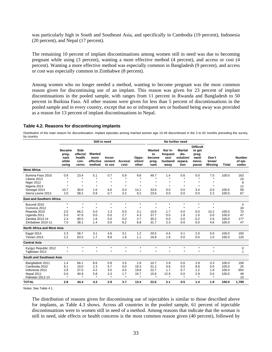was particularly high in South and Southeast Asia, and specifically in Cambodia (19 percent), Indonesia (20 percent), and Nepal (17 percent).

The remaining 10 percent of implant discontinuations among women still in need was due to becoming pregnant while using (3 percent), wanting a more effective method (4 percent), and access or cost (4 percent). Wanting a more effective method was especially common in Bangladesh (9 percent), and access or cost was especially common in Zimbabwe (8 percent).

Among women who no longer needed a method, wanting to become pregnant was the most common reason given for discontinuing use of an implant. This reason was given for 23 percent of implant discontinuations in the pooled sample, with ranges from 11 percent in Rwanda and Bangladesh to 50 percent in Burkina Faso. All other reasons were given for less than 5 percent of discontinuations in the pooled sample and in every country, except that no or infrequent sex or husband being away was provided as a reason for 13 percent of implant discontinuations in Nepal.

#### **Table 4.2. Reasons for discontinuing implants**

Distribution of the main reason for discontinuation, implant episodes among married women age 15-49 discontinued in the 3 to 62 months preceding the survey, by country

|                                                                                                                                | Still in need                                    |                                                                 |                                                |                                                |                                                |                                                | No further need                                      |                                                |                                                        |                                                                |                                                 |                                  |                                   |
|--------------------------------------------------------------------------------------------------------------------------------|--------------------------------------------------|-----------------------------------------------------------------|------------------------------------------------|------------------------------------------------|------------------------------------------------|------------------------------------------------|------------------------------------------------------|------------------------------------------------|--------------------------------------------------------|----------------------------------------------------------------|-------------------------------------------------|----------------------------------|-----------------------------------|
|                                                                                                                                | <b>Became</b><br>preg-<br>nant<br>while<br>using | Side<br>effects/<br>health<br>con-<br>cerns                     | Wanted<br>more<br>effective<br>method          | Incon-<br>venient<br>to use                    | Access/<br>cost                                | Oppo-<br>sition/<br>other                      | Wanted<br>to<br>become<br>preg-<br>nant              | No/ in-<br>frequent<br>sex/<br>husband<br>away | <b>Marital</b><br>dis-<br>solution/<br>separa-<br>tion | <b>Difficult</b><br>to get<br>preg-<br>nant/<br>meno-<br>pause | Don't<br>know/<br><b>Missing</b>                | <b>Total</b>                     | <b>Number</b><br>of epi-<br>sodes |
| <b>West Africa</b>                                                                                                             |                                                  |                                                                 |                                                |                                                |                                                |                                                |                                                      |                                                |                                                        |                                                                |                                                 |                                  |                                   |
| Burkina Faso 2010<br>Liberia 2013<br>Niger 2012<br>Nigeria 2013<br>Senegal 2014                                                | 0.9<br>$\star$<br>10.7                           | 23.4<br>$\star$<br>$\star$<br>$\star$<br>30.0                   | 5.1<br>$\star$<br>$\star$<br>$\star$<br>1.6    | 0.7<br>$\star$<br>$\star$<br>$\star$<br>6.6    | 0.9<br>$\star$<br>$\star$<br>$\star$<br>0.0    | 9.8<br>$\star$<br>$\star$<br>$\star$<br>14.1   | 49.7<br>$\star$<br>$\star$<br>$\star$<br>33.6        | 1.4<br>$\star$<br>$\star$<br>$\star$<br>0.0    | 0.6<br>$\star$<br>$\star$<br>0.0                       | 0.0<br>$\star$<br>$\star$<br>$\star$<br>3.4                    | 7.5<br>$\star$<br>$\star$<br>$\star$<br>0.0     | 100.0<br>100.0                   | 163<br>10<br>8<br>12<br>58        |
| Sierra Leone 2013                                                                                                              | 2.0                                              | 58.2                                                            | 0.9                                            | 0.7                                            | 3.2                                            | 9.2                                            | 23.6                                                 | 0.0                                            | 0.0                                                    | 0.0                                                            | 2.2                                             | 100.0                            | 67                                |
| <b>East and Southern Africa</b>                                                                                                |                                                  |                                                                 |                                                |                                                |                                                |                                                |                                                      |                                                |                                                        |                                                                |                                                 |                                  |                                   |
| Burundi 2010<br>Comoros 2012<br>Rwanda 2010<br>Uganda 2011<br>Zambia 2013-14<br>Zimbabwe 2010-11<br>North Africa and West Asia | $\star$<br>$\star$<br>2.0<br>5.0<br>2.4<br>7.0   | $\star$<br>$\ddot{\phantom{0}}$<br>66.2<br>47.6<br>60.5<br>38.1 | $\star$<br>$\star$<br>5.0<br>0.0<br>1.6<br>1.4 | $\star$<br>$\star$<br>1.3<br>0.0<br>0.0<br>0.0 | $\star$<br>$\star$<br>0.0<br>2.7<br>0.0<br>8.2 | $\star$<br>$\star$<br>3.1<br>4.3<br>2.7<br>6.8 | $\star$<br>$\bullet$<br>10.6<br>37.7<br>30.2<br>31.7 | $\star$<br>$\star$<br>1.7<br>0.0<br>0.0<br>2.3 | $\star$<br>$\star$<br>0.0<br>1.8<br>0.0<br>0.0         | $\star$<br>$\star$<br>0.0<br>1.0<br>0.2<br>0.0                 | $\star$<br>$\star$<br>10.2<br>0.0<br>2.6<br>4.6 | 100.0<br>100.0<br>100.0<br>100.0 | 4<br>20<br>70<br>47<br>177<br>47  |
| Egypt 2014<br>Yemen 2013                                                                                                       | 2.3<br>2.2                                       | 58.7<br>63.5                                                    | 3.1<br>1.7                                     | 4.6<br>9.9                                     | 3.1<br>1.9                                     | 1.2<br>1.1                                     | 20.5<br>16.8                                         | 4.4<br>1.9                                     | 0.1<br>0.0                                             | 2.0<br>0.0                                                     | 0.0<br>1.0                                      | 100.0<br>100.0                   | 150<br>120                        |
| <b>Central Asia</b>                                                                                                            |                                                  |                                                                 |                                                |                                                |                                                |                                                |                                                      |                                                |                                                        |                                                                |                                                 |                                  |                                   |
| Kyrgyz Republic 2012<br>Tajikistan 2012                                                                                        | $\star$<br>$\star$                               | $\star$<br>$\star$                                              | $\star$<br>$\star$                             | $\star$<br>$\star$                             | $\star$<br>$\star$                             | $\star$<br>$\star$                             | $\star$<br>$\star$                                   | $\star$<br>$\star$                             | $\star$<br>$\star$                                     | $\star$<br>$\star$                                             | $\star$<br>$\star$                              |                                  | 0<br>1                            |
| South and Southeast Asia                                                                                                       |                                                  |                                                                 |                                                |                                                |                                                |                                                |                                                      |                                                |                                                        |                                                                |                                                 |                                  |                                   |
| Bangladesh 2011<br>Cambodia 2010<br>Indonesia 2012<br>Nepal 2011<br>Pakistan 2012-13                                           | 1.4<br>9.1<br>2.8<br>0.0<br>$\star$              | 66.1<br>19.0<br>37.0<br>40.9                                    | 8.6<br>2.3<br>4.2<br>5.8<br>$\star$            | 0.9<br>5.7<br>3.5<br>3.3<br>$\star$            | 3.5<br>0.0<br>4.5<br>1.7<br>$\star$            | 2.9<br>19.3<br>19.8<br>16.7<br>$\star$         | 10.7<br>31.2<br>22.7<br>15.8<br>$\star$              | 2.9<br>4.6<br>1.7<br>12.9<br>$\star$           | 0.0<br>0.0<br>0.7<br>0.0<br>$\star$                    | 2.8<br>8.8<br>1.2<br>2.9<br>$\star$                            | 0.3<br>0.0<br>1.8<br>0.0<br>$\star$             | 100.0<br>100.0<br>100.0<br>100.0 | 108<br>25<br>654<br>49<br>10      |
| <b>TOTAL</b>                                                                                                                   | 2.8                                              | 44.4                                                            | 4.3                                            | 2.9                                            | 3.7                                            | 13.4                                           | 22.6                                                 | 2.1                                            | 0.5                                                    | 1.4                                                            | 1.9                                             | 100.0                            | 1,799                             |

Notes: See Table 4.1.

The distribution of reasons given for discontinuing use of injectables is similar to those described above for implants, as Table 4.3 shows. Across all countries in the pooled sample, 61 percent of injectable discontinuations were to women still in need of a method. Among reasons that indicate that the woman is still in need, side effects or health concerns is the most common reason given (40 percent), followed by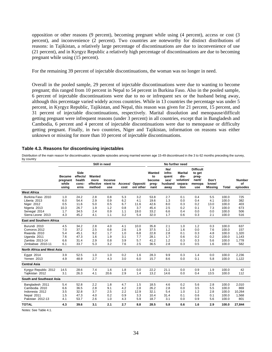opposition or other reasons (9 percent), becoming pregnant while using (4 percent), access or cost (3 percent), and inconvenience (2 percent). Two countries are noteworthy for distinct distributions of reasons: in Tajikistan, a relatively large percentage of discontinuations are due to inconvenience of use (21 percent), and in Kyrgyz Republic a relatively high percentage of discontinuations are due to becoming pregnant while using (15 percent).

For the remaining 39 percent of injectable discontinuations, the woman was no longer in need.

Overall in the pooled sample, 29 percent of injectable discontinuations were due to wanting to become pregnant; this ranged from 10 percent in Nepal to 54 percent in Burkina Faso. Also in the pooled sample, 6 percent of injectable discontinuations were due to no or infrequent sex or the husband being away, although this percentage varied widely across countries. While in 13 countries the percentage was under 5 percent, in Kyrgyz Republic, Tajikistan, and Nepal, this reason was given for 21 percent, 15 percent, and 31 percent of injectable discontinuations, respectively. Marital dissolution and menopause/difficult getting pregnant were infrequent reasons (under 3 percent) in all countries, except that in Bangladesh and Cambodia, 6 percent and 4 percent of injectable discontinuations were due to menopause or difficulty getting pregnant. Finally, in two countries, Niger and Tajikistan, information on reasons was either unknown or missing for more than 10 percent of injectable discontinuations.

## **Table 4.3. Reasons for discontinuing injectables**

Distribution of the main reason for discontinuation, injectable episodes among married women age 15-49 discontinued in the 3 to 62 months preceding the survey, by country

|                                                                                                      | Still in need                           |                                              |                                        |                                        |                                        |                                          | No further need                              |                                                   |                                                 |                                                               |                                         |                                                    |                                              |
|------------------------------------------------------------------------------------------------------|-----------------------------------------|----------------------------------------------|----------------------------------------|----------------------------------------|----------------------------------------|------------------------------------------|----------------------------------------------|---------------------------------------------------|-------------------------------------------------|---------------------------------------------------------------|-----------------------------------------|----------------------------------------------------|----------------------------------------------|
|                                                                                                      | Became<br>pregnant<br>while<br>using    | Side<br>effects/<br>health<br>conc-<br>erns  | Wanted<br>more<br>effective<br>method  | Inconve<br>nient to<br>use             | Access/<br>cost                        | Oppositi<br>on/ other                    | Wanted<br>to<br>become<br>preg-<br>nant      | No/<br>infre-<br>quent<br>sex/<br>husband<br>away | Marital<br>dis-<br>solution/<br>separa-<br>tion | <b>Difficult</b><br>to get<br>preg-<br>nant/<br>menopa<br>use | Don't<br>know/<br><b>Missing</b>        | Total                                              | <b>Number</b><br>of<br>episodes              |
| <b>West Africa</b>                                                                                   |                                         |                                              |                                        |                                        |                                        |                                          |                                              |                                                   |                                                 |                                                               |                                         |                                                    |                                              |
| Burkina Faso 2010<br>Liberia 2013<br>Niger 2012<br>Nigeria 2013<br>Senegal 2014<br>Sierra Leone 2013 | 1.0<br>6.0<br>0.5<br>10.3<br>1.7<br>4.3 | 24.2<br>54.4<br>11.6<br>26.7<br>34.5<br>45.2 | 2.8<br>2.9<br>5.0<br>1.9<br>2.4<br>4.1 | 0.8<br>0.9<br>0.5<br>1.2<br>0.9<br>1.1 | 5.3<br>6.2<br>6.7<br>0.8<br>1.1<br>3.2 | 3.2<br>4.1<br>11.6<br>3.7<br>19.0<br>5.4 | 53.8<br>19.6<br>42.6<br>45.4<br>33.2<br>32.0 | 2.7<br>1.3<br>8.0<br>2.5<br>6.6<br>1.7            | 0.1<br>0.0<br>0.3<br>0.2<br>0.4<br>0.6          | 0.4<br>0.4<br>0.2<br>0.1<br>0.0<br>0.3                        | 5.5<br>4.1<br>13.0<br>7.3<br>0.0<br>2.1 | 100.0<br>100.0<br>100.0<br>100.0<br>100.0<br>100.0 | 725<br>382<br>403<br>673<br>506<br>516       |
|                                                                                                      |                                         |                                              |                                        |                                        |                                        |                                          |                                              |                                                   |                                                 |                                                               |                                         |                                                    |                                              |
| <b>East and Southern Africa</b>                                                                      |                                         |                                              |                                        |                                        |                                        |                                          |                                              |                                                   |                                                 |                                                               |                                         |                                                    |                                              |
| Burundi 2010<br>Comoros 2012<br>Rwanda 2010<br>Uganda 2011<br>Zambia 2013-14<br>Zimbabwe 2010-11     | 4.5<br>7.0<br>5.4<br>7.6<br>6.6<br>6.1  | 34.2<br>37.2<br>45.1<br>47.3<br>31.4<br>33.7 | 2.8<br>2.5<br>9.2<br>1.6<br>2.9<br>5.3 | 4.0<br>0.8<br>1.7<br>1.9<br>0.8<br>3.2 | 4.1<br>2.6<br>1.0<br>3.1<br>3.9<br>7.6 | 10.0<br>1.9<br>6.8<br>7.7<br>5.7<br>2.5  | 35.8<br>37.5<br>22.8<br>28.1<br>41.2<br>36.5 | 2.1<br>1.2<br>2.8<br>1.7<br>1.2<br>2.8            | 1.0<br>1.6<br>0.1<br>0.6<br>0.3<br>0.3          | 1.2<br>0.0<br>0.3<br>0.2<br>0.3<br>0.5                        | 0.3<br>7.6<br>4.8<br>0.2<br>5.6<br>1.6  | 100.0<br>100.0<br>100.0<br>100.0<br>100.0<br>100.0 | 637<br>157<br>1,320<br>1,143<br>1,778<br>582 |
| North Africa and West Asia                                                                           |                                         |                                              |                                        |                                        |                                        |                                          |                                              |                                                   |                                                 |                                                               |                                         |                                                    |                                              |
| Egypt 2014<br><b>Yemen 2013</b>                                                                      | 3.9<br>4.9                              | 52.5<br>48.9                                 | 1.0<br>2.7                             | 1.0<br>4.3                             | 0.2<br>3.0                             | 1.6<br>6.0                               | 28.3<br>15.7                                 | 9.9<br>8.6                                        | 0.3<br>0.0                                      | 1.4<br>0.1                                                    | 0.0<br>5.8                              | 100.0<br>100.0                                     | 2,236<br>1,122                               |
| <b>Central Asia</b>                                                                                  |                                         |                                              |                                        |                                        |                                        |                                          |                                              |                                                   |                                                 |                                                               |                                         |                                                    |                                              |
| Kyrgyz Republic 2012<br>Tajikistan 2012                                                              | 14.5<br>3.1                             | 28.6<br>26.3                                 | 7.4<br>4.1                             | 1.6<br>20.6                            | 1.8<br>2.9                             | 0.0<br>1.4                               | 22.2<br>13.2                                 | 21.1<br>14.6                                      | 0.0<br>0.0                                      | 0.9<br>0.4                                                    | 1.9<br>13.5                             | 100.0<br>100.0                                     | 42<br>112                                    |
| South and Southeast Asia                                                                             |                                         |                                              |                                        |                                        |                                        |                                          |                                              |                                                   |                                                 |                                                               |                                         |                                                    |                                              |
| Bangladesh 2011<br>Cambodia 2010<br>Indonesia 2012<br>Nepal 2011<br>Pakistan 2012-13                 | 5.4<br>6.6<br>3.5<br>1.5<br>4.1         | 52.8<br>36.5<br>32.8<br>47.3<br>53.7         | 2.2<br>2.8<br>3.7<br>4.0<br>2.6        | 1.8<br>9.1<br>2.5<br>0.2<br>1.0        | 4.7<br>4.2<br>2.2<br>0.9<br>4.3        | 1.5<br>2.8<br>12.9<br>3.3<br>5.9         | 18.5<br>26.2<br>32.1<br>10.4<br>18.7         | 4.6<br>2.8<br>5.4<br>31.4<br>3.1                  | 0.2<br>0.0<br>1.0<br>0.1<br>0.0                 | 5.6<br>3.5<br>1.2<br>0.6<br>0.9                               | 2.8<br>5.5<br>2.8<br>0.1<br>5.6         | 100.0<br>100.0<br>100.0<br>100.0<br>100.0          | 2,010<br>869<br>10,264<br>1,568<br>801       |
| <b>TOTAL</b>                                                                                         | 4.3                                     | 39.6                                         | 3.1                                    | 2.1                                    | 2.7                                    | 8.8                                      | 28.5                                         | 5.8                                               | 0.6                                             | 1.6                                                           | 2.9                                     | 100.0                                              | 27,844                                       |

Notes: See Table 4.1.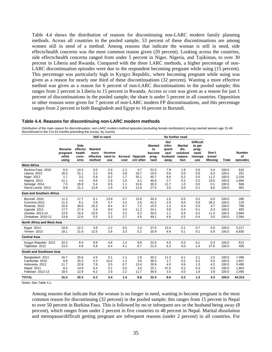Table 4.4 shows the distribution of reasons for discontinuing non-LARC modern family planning methods. Across all countries in the pooled sample, 53 percent of these discontinuations are among women still in need of a method. Among reasons that indicate the woman is still in need, side effects/health concerns was the most common reason given (20 percent). Looking across the countries, side effects/health concerns ranged from under 5 percent in Niger, Nigeria, and Tajikistan, to over 30 percent in Liberia and Rwanda. Compared with the three LARC methods, a higher percentage of non-LARC discontinuation episodes were due to the respondent becoming pregnant while using (15 percent). This percentage was particularly high in Kyrgyz Republic, where becoming pregnant while using was given as a reason for nearly one third of these discontinuations (32 percent). Wanting a more effective method was given as a reason for 6 percent of non-LARC discontinuations in the pooled sample; this ranges from 2 percent in Liberia to 15 percent in Rwanda. Access or cost was given as a reason for just 1 percent of discontinuations in the pooled sample; the share is under 5 percent in all countries. Opposition or other reasons were given for 7 percent of non-LARC modern FP discontinuations, and this percentage ranges from 2 percent in both Bangladesh and Egypt to 16 percent in Burundi.

#### **Table 4.4. Reasons for discontinuing non-LARC modern methods**

Distribution of the main reason for discontinuation, non-LARC modern method episodes (excluding female sterilization) among married women age 15-49 discontinued in the 3 to 62 months preceding the survey, by country

|                                                                                                      | Still in need                                |                                                    |                                          |                                         |                                        |                                            | No further need                              |                                                   |                                                        |                                                               |                                          |                                                    |                                            |
|------------------------------------------------------------------------------------------------------|----------------------------------------------|----------------------------------------------------|------------------------------------------|-----------------------------------------|----------------------------------------|--------------------------------------------|----------------------------------------------|---------------------------------------------------|--------------------------------------------------------|---------------------------------------------------------------|------------------------------------------|----------------------------------------------------|--------------------------------------------|
|                                                                                                      | <b>Became</b><br>pregnant<br>while<br>usina  | <b>Side</b><br>effects/<br>health<br>conc-<br>erns | Wanted<br>more<br>effective<br>method    | Inconve<br>nient to<br>use              | Access/<br>cost                        | Oppositi<br>on/ other                      | Wanted<br>to<br>become<br>preg-<br>nant      | No/<br>infre-<br>quent<br>sex/<br>husband<br>away | <b>Marital</b><br>dis-<br>solution/<br>separa-<br>tion | <b>Difficult</b><br>to get<br>preg-<br>nant/<br>menopa<br>use | Don't<br>know/<br>Missina                | Total                                              | <b>Number</b><br>of<br>episodes            |
| <b>West Africa</b>                                                                                   |                                              |                                                    |                                          |                                         |                                        |                                            |                                              |                                                   |                                                        |                                                               |                                          |                                                    |                                            |
| Burkina Faso 2010<br>Liberia 2013<br>Niger 2012<br>Nigeria 2013<br>Senegal 2014<br>Sierra Leone 2013 | 6.0<br>16.0<br>1.7<br>11.1<br>7.5<br>9.8     | 14.3<br>31.1<br>3.2<br>4.0<br>26.9<br>21.2         | 5.0<br>2.2<br>5.8<br>9.6<br>5.4<br>13.8  | 2.4<br>9.8<br>0.2<br>2.9<br>0.5<br>1.9  | 2.1<br>3.8<br>1.7<br>1.0<br>1.1<br>4.4 | 3.7<br>10.7<br>20.1<br>4.1<br>15.6<br>11.9 | 51.0<br>19.5<br>45.7<br>40.6<br>30.3<br>27.5 | 7.8<br>0.6<br>9.6<br>2.7<br>11.7<br>3.0           | 1.8<br>0.0<br>0.2<br>0.2<br>1.0<br>0.0                 | 0.5<br>0.0<br>0.5<br>0.2<br>0.0<br>0.1                        | 5.4<br>6.3<br>11.2<br>23.6<br>0.1<br>6.6 | 100.0<br>100.0<br>100.0<br>100.0<br>100.0<br>100.0 | 610<br>251<br>2,104<br>1,694<br>506<br>481 |
|                                                                                                      |                                              |                                                    |                                          |                                         |                                        |                                            |                                              |                                                   |                                                        |                                                               |                                          |                                                    |                                            |
| <b>East and Southern Africa</b>                                                                      |                                              |                                                    |                                          |                                         |                                        |                                            |                                              |                                                   |                                                        |                                                               |                                          |                                                    |                                            |
| Burundi 2010<br>Comoros 2012<br>Rwanda 2010<br>Uganda 2011<br>Zambia 2013-14<br>Zimbabwe 2010-11     | 11.2<br>11.3<br>15.6<br>17.7<br>12.6<br>13.8 | 17.7<br>8.1<br>30.6<br>27.4<br>16.4<br>12.6        | 6.1<br>2.9<br>15.3<br>2.6<br>10.9<br>5.5 | 13.9<br>0.7<br>8.4<br>9.0<br>3.1<br>3.3 | 3.7<br>3.2<br>0.7<br>3.4<br>3.2<br>2.7 | 15.9<br>2.6<br>7.2<br>11.2<br>5.2<br>4.5   | 30.3<br>42.2<br>15.5<br>24.1<br>35.5<br>49.1 | 1.0<br>2.9<br>1.3<br>3.8<br>1.1<br>4.6            | 0.0<br>0.0<br>0.4<br>0.5<br>0.4<br>0.5                 | 0.2<br>0.0<br>0.3<br>0.1<br>0.2<br>0.4                        | 0.0<br>26.2<br>4.7<br>0.3<br>11.4<br>3.0 | 100.0<br>100.0<br>100.0<br>100.0<br>100.0<br>100.0 | 280<br>120<br>769<br>450<br>2,684<br>2,564 |
| North Africa and West Asia                                                                           |                                              |                                                    |                                          |                                         |                                        |                                            |                                              |                                                   |                                                        |                                                               |                                          |                                                    |                                            |
| Eqypt 2014<br>Yemen 2013                                                                             | 18.8<br>18.1                                 | 22.2<br>21.6                                       | 4.8<br>12.5                              | 1.2<br>2.6                              | 0.5<br>3.3                             | 1.4<br>5.2                                 | 37.0<br>20.9                                 | 13.4<br>9.9                                       | 0.1<br>0.1                                             | 0.7<br>0.1                                                    | 0.0<br>5.8                               | 100.0<br>100.0                                     | 5,217<br>6,635                             |
| <b>Central Asia</b>                                                                                  |                                              |                                                    |                                          |                                         |                                        |                                            |                                              |                                                   |                                                        |                                                               |                                          |                                                    |                                            |
| Kyrgyz Republic 2012<br>Tajikistan 2012                                                              | 32.0<br>13.3                                 | 6.4<br>4.8                                         | 9.9<br>5.8                               | 4.6<br>6.4                              | 1.4<br>4.1                             | 8.8<br>8.7                                 | 32.5<br>21.5                                 | 4.0<br>6.3                                        | 0.0<br>0.0                                             | 0.1<br>1.4                                                    | 0.3<br>27.6                              | 100.0<br>100.0                                     | 613<br>400                                 |
| South and Southeast Asia                                                                             |                                              |                                                    |                                          |                                         |                                        |                                            |                                              |                                                   |                                                        |                                                               |                                          |                                                    |                                            |
| Bangladesh 2011<br>Cambodia 2010<br>Indonesia 2012<br>Nepal 2011<br>Pakistan 2012-13                 | 16.7<br>8.9<br>11.7<br>8.2<br>18.5           | 25.6<br>25.3<br>22.8<br>14.9<br>12.8               | 4.5<br>5.3<br>7.8<br>6.4<br>6.2          | 4.1<br>10.4<br>3.5<br>3.1<br>2.9        | 1.1<br>1.2<br>0.7<br>0.5<br>2.2        | 1.8<br>3.6<br>13.4<br>3.5<br>11.7          | 30.2<br>38.3<br>29.9<br>15.1<br>36.6         | 11.3<br>1.7<br>4.0<br>47.6<br>3.5                 | 0.1<br>0.2<br>0.6<br>0.2<br>0.0                        | 2.1<br>0.2<br>1.3<br>0.3<br>1.6                               | 2.5<br>5.0<br>4.2<br>0.3<br>3.9          | 100.0<br>100.0<br>100.0<br>100.0<br>100.0          | 7,496<br>1,647<br>5,495<br>1,803<br>2,495  |
| <b>TOTAL</b>                                                                                         | 15.3                                         | 20.3                                               | 6.3                                      | 3.4                                     | 1.4                                    | 6.6                                        | 32.4                                         | 8.6                                               | 0.2                                                    | 1.3                                                           | 4.3                                      | 100.0                                              | 44,313                                     |

Notes: See Table 4.1.

Among reasons that indicate that the woman is no longer in need, wanting to become pregnant is the most common reason for discontinuing (32 percent) in the pooled sample; this ranges from 15 percent in Nepal to over 50 percent in Burkina Faso. This is followed by no or infrequent sex or the husband being away (8 percent), which ranges from under 2 percent in five countries to 48 percent in Nepal. Marital dissolution and menopause/difficult getting pregnant are infrequent reasons (under 2 percent) in all countries. For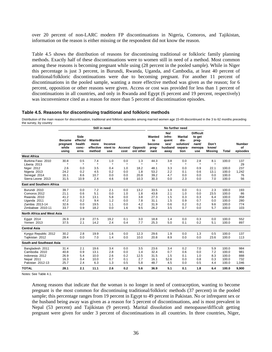over 20 percent of non-LARC modern FP discontinuations in Nigeria, Comoros, and Tajikistan, information on the reason is either missing or the respondent did not know the reason.

Table 4.5 shows the distribution of reasons for discontinuing traditional or folkloric family planning methods. Exactly half of these discontinuations were to women still in need of a method. Most common among these reasons is becoming pregnant while using (28 percent in the pooled sample). While in Niger this percentage is just 3 percent, in Burundi, Rwanda, Uganda, and Cambodia, at least 40 percent of traditional/folkloric discontinuations were due to becoming pregnant. For another 11 percent of discontinuations in the pooled sample, wanting a more effective method was given as the reason; for 6 percent, opposition or other reasons were given. Access or cost was provided for less than 1 percent of discontinuations in all countries, and only in Rwanda and Egypt (6 percent and 19 percent, respectively) was inconvenience cited as a reason for more than 5 percent of discontinuation episodes.

#### **Table 4.5. Reasons for discontinuing traditional and folkloric methods**

Distribution of the main reason for discontinuation, traditional and folkloric episodes among married women age 15-49 discontinued in the 3 to 62 months preceding the survey, by country

|                                                                                                  |                                              |                                             | Still in need                             |                                        |                                        |                                         | No further need                              |                                                   |                                                        |                                                               |                                         |                                                    |                                       |
|--------------------------------------------------------------------------------------------------|----------------------------------------------|---------------------------------------------|-------------------------------------------|----------------------------------------|----------------------------------------|-----------------------------------------|----------------------------------------------|---------------------------------------------------|--------------------------------------------------------|---------------------------------------------------------------|-----------------------------------------|----------------------------------------------------|---------------------------------------|
|                                                                                                  | <b>Became</b><br>pregnant<br>while<br>using  | Side<br>effects/<br>health<br>conc-<br>erns | Wanted<br>more<br>effective<br>method     | Inconve<br>nient to<br>use             | Access/<br>cost                        | Oppositi<br>on/ other                   | Wanted<br>to<br>become<br>preg-<br>nant      | No/<br>infre-<br>quent<br>sex/<br>husband<br>away | <b>Marital</b><br>dis-<br>solution/<br>separa-<br>tion | <b>Difficult</b><br>to get<br>preg-<br>nant/<br>menopa<br>use | Don't<br>know/<br><b>Missing</b>        | <b>Total</b>                                       | <b>Number</b><br>of<br>episodes       |
| <b>West Africa</b>                                                                               |                                              |                                             |                                           |                                        |                                        |                                         |                                              |                                                   |                                                        |                                                               |                                         |                                                    |                                       |
| Burkina Faso 2010<br>Liberia 2013<br>Niger 2012                                                  | 30.8<br>$\star$<br>2.6                       | 0.5<br>$\star$<br>0.0                       | 7.4<br>$\star$<br>3.5                     | 1.0<br>$\star$<br>0.4                  | 0.0<br>$\star$<br>1.0                  | 1.3<br>$\star$<br>18.2                  | 44.3<br>$\star$<br>48.1                      | 3.8<br>$\star$<br>3.3                             | 0.0<br>$\star$<br>0.0                                  | 2.8<br>$\star$<br>0.9                                         | 8.1<br>$\star$<br>22.1                  | 100.0<br>100.0                                     | 137<br>29<br>237                      |
| Nigeria 2013<br>Senegal 2014<br>Sierra Leone 2013                                                | 24.2<br>16.1<br>31.5                         | 0.2<br>8.6<br>10.9                          | 4.5<br>10.7<br>2.4                        | 0.2<br>0.0<br>4.6                      | 0.0<br>0.0<br>0.8                      | 1.8<br>20.8<br>10.3                     | 53.2<br>39.2<br>30.3                         | 2.2<br>4.7<br>0.0                                 | 0.1<br>0.0<br>2.3                                      | 0.6<br>0.0<br>0.0                                             | 13.1<br>0.0<br>7.0                      | 100.0<br>100.0<br>100.0                            | 1,242<br>76<br>56                     |
| <b>East and Southern Africa</b>                                                                  |                                              |                                             |                                           |                                        |                                        |                                         |                                              |                                                   |                                                        |                                                               |                                         |                                                    |                                       |
| Burundi 2010<br>Comoros 2012<br>Rwanda 2010<br>Uganda 2011<br>Zambia 2013-14<br>Zimbabwe 2010-11 | 39.7<br>21.1<br>41.2<br>47.2<br>32.6<br>33.7 | 0.0<br>0.6<br>0.3<br>0.2<br>0.0<br>0.9      | 7.2<br>5.1<br>13.1<br>9.4<br>19.5<br>18.2 | 2.1<br>0.0<br>5.8<br>1.2<br>1.1<br>0.0 | 0.0<br>1.0<br>0.0<br>0.0<br>0.0<br>1.6 | 13.2<br>1.8<br>3.8<br>7.8<br>4.2<br>9.5 | 33.5<br>43.8<br>27.3<br>31.1<br>31.9<br>26.2 | 1.9<br>2.1<br>1.5<br>1.5<br>0.6<br>3.5            | 0.0<br>1.0<br>0.3<br>0.9<br>0.2<br>0.7                 | 0.1<br>0.0<br>0.3<br>0.7<br>0.2<br>0.0                        | 2.3<br>23.5<br>6.4<br>0.0<br>9.6<br>5.7 | 100.0<br>100.0<br>100.0<br>100.0<br>100.0<br>100.0 | 193<br>86<br>358<br>280<br>774<br>103 |
| <b>North Africa and West Asia</b>                                                                |                                              |                                             |                                           |                                        |                                        |                                         |                                              |                                                   |                                                        |                                                               |                                         |                                                    |                                       |
| Egypt 2014<br>Yemen 2013                                                                         | 26.9<br>37.5                                 | 2.9<br>2.1                                  | 27.5<br>14.2                              | 19.2<br>2.4                            | 0.1<br>0.4                             | 3.0<br>7.7                              | 18.8<br>25.3                                 | 1.4<br>5.0                                        | 0.0<br>0.1                                             | 0.3<br>0.2                                                    | 0.0<br>5.1                              | 100.0<br>100.0                                     | 552<br>897                            |
| <b>Central Asia</b>                                                                              |                                              |                                             |                                           |                                        |                                        |                                         |                                              |                                                   |                                                        |                                                               |                                         |                                                    |                                       |
| Kyrgyz Republic 2012<br>Tajikistan 2012                                                          | 30.2<br>28.4                                 | 2.8<br>0.0                                  | 19.9<br>7.0                               | 1.6<br>1.4                             | 0.0<br>0.0                             | 12.3<br>10.0                            | 29.6<br>20.8                                 | 1.9<br>8.9                                        | 0.0<br>0.0                                             | 1.3<br>0.0                                                    | 0.5<br>23.6                             | 100.0<br>100.0                                     | 137<br>113                            |
| South and Southeast Asia                                                                         |                                              |                                             |                                           |                                        |                                        |                                         |                                              |                                                   |                                                        |                                                               |                                         |                                                    |                                       |
| Bangladesh 2011<br>Cambodia 2010<br>Indonesia 2012<br>Nepal 2011<br>Pakistan 2012-13             | 31.4<br>40.8<br>26.9<br>16.3<br>25.7         | 2.1<br>0.9<br>5.4<br>0.4<br>2.4             | 19.6<br>13.1<br>10.0<br>10.0<br>6.3       | 3.4<br>2.8<br>2.6<br>0.7<br>1.3        | 0.0<br>0.0<br>0.2<br>0.1<br>0.5        | 3.5<br>1.4<br>12.5<br>2.7<br>5.8        | 23.6<br>32.4<br>31.5<br>16.1<br>48.7         | 3.4<br>0.7<br>1.5<br>52.6<br>4.5                  | 0.2<br>0.6<br>0.1<br>0.0<br>0.0                        | 7.0<br>0.0<br>1.0<br>0.8<br>0.5                               | 5.9<br>7.2<br>8.3<br>0.3<br>4.4         | 100.0<br>100.0<br>100.0<br>100.0<br>100.0          | 984<br>981<br>888<br>732<br>1,046     |
| <b>TOTAL</b>                                                                                     | 28.1                                         | 2.1                                         | 11.1                                      | 2.6                                    | 0.2                                    | 5.6                                     | 36.9                                         | 5.1                                               | 0.1                                                    | 1.8                                                           | 6.4                                     | 100.0                                              | 9,900                                 |

Notes: See Table 4.1.

Among reasons that indicate that the woman is no longer in need of contraception, wanting to become pregnant is the most common for discontinuing traditional/folkloric methods (37 percent) in the pooled sample; this percentage ranges from 19 percent in Egypt to 49 percent in Pakistan. No or infrequent sex or the husband being away was given as a reason for 5 percent of discontinuations, and is most prevalent in Nepal (53 percent) and Tajikistan (9 percent). Marital dissolution and menopause/difficult getting pregnant were given for under 3 percent of discontinuations in all countries. In three countries, Niger,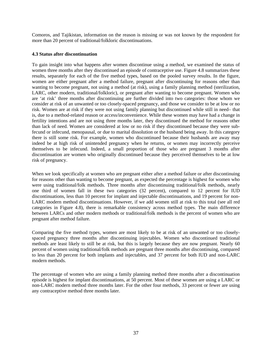Comoros, and Tajikistan, information on the reason is missing or was not known by the respondent for more than 20 percent of traditional/folkloric discontinuations.

## **4.3 Status after discontinuation**

To gain insight into what happens after women discontinue using a method, we examined the status of women three months after they discontinued an episode of contraceptive use. Figure 4.8 summarizes these results, separately for each of the five method types, based on the pooled survey results. In the figure, women are either pregnant after a method failure, pregnant after discontinuing for reasons other than wanting to become pregnant, not using a method (at risk), using a family planning method (sterilization, LARC, other modern, traditional/folkloric), or pregnant after wanting to become pregnant. Women who are 'at risk' three months after discontinuing are further divided into two categories: those whom we consider at risk of an unwanted or too closely-spaced pregnancy, and those we consider to be at low or no risk. Women are at risk if they were not using family planning but discontinued while still in need– that is, due to a method-related reason or access/inconvenience. While these women may have had a change in fertility intentions and are not using three months later, they discontinued the method for reasons other than lack of need. Women are considered at low or no risk if they discontinued because they were subfecund or infecund, menopausal, or due to marital dissolution or the husband being away. In this category there is still some risk. For example, women who discontinued because their husbands are away may indeed be at high risk of unintended pregnancy when he returns, or women may incorrectly perceive themselves to be infecund. Indeed, a small proportion of those who are pregnant 3 months after discontinuation are women who originally discontinued because they perceived themselves to be at low risk of pregnancy.

When we look specifically at women who are pregnant either after a method failure or after discontinuing for reasons other than wanting to become pregnant, as expected the percentage is highest for women who were using traditional/folk methods. Three months after discontinuing traditional/folk methods, nearly one third of women fall in these two categories (32 percent), compared to 12 percent for IUD discontinuations, less than 10 percent for implant and injectable discontinuations, and 19 percent for non-LARC modern method discontinuations. However, if we add women still at risk to this total (see all red categories in Figure 4.8), there is remarkable consistency across method types. The main difference between LARCs and other modern methods or traditional/folk methods is the percent of women who are pregnant after method failure.

Comparing the five method types, women are most likely to be at risk of an unwanted or too closelyspaced pregnancy three months after discontinuing injectables. Women who discontinued traditional methods are least likely to still be at risk, but this is largely because they are now pregnant. Nearly 60 percent of women using traditional/folk methods are pregnant three months after discontinuing, compared to less than 20 percent for both implants and injectables, and 37 percent for both IUD and non-LARC modern methods.

The percentage of women who are using a family planning method three months after a discontinuation episode is highest for implant discontinuations, at 50 percent. Most of these women are using a LARC or non-LARC modern method three months later. For the other four methods, 33 percent or fewer are using any contraceptive method three months later.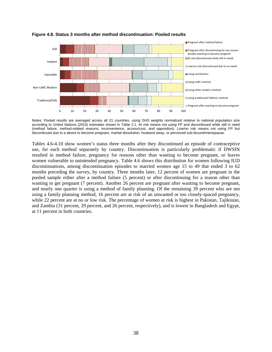

### **Figure 4.8. Status 3 months after method discontinuation: Pooled results**

Notes: Pooled results are averaged across all 21 countries, using DHS weights normalized relative to national population size according to United Nations (2010) estimates shown in Table 2.1. At risk means not using FP and discontinued while still in need (method failure, method-related reasons, inconvenience, access/cost, and opposition). Low/no risk means not using FP but discontinued due to a desire to become pregnant, marital dissolution, husband away, or perceived sub-fecund/menopause.

Tables 4.6-4.10 show women's status three months after they discontinued an episode of contraceptive use, for each method separately by country. Discontinuation is particularly problematic if DWSIN resulted in method failure, pregnancy for reasons other than wanting to become pregnant, or leaves women vulnerable to unintended pregnancy. Table 4.6 shows this distribution for women following IUD discontinuations, among discontinuation episodes to married women age 15 to 49 that ended 3 to 62 months preceding the survey, by country. Three months later, 12 percent of women are pregnant in the pooled sample either after a method failure (5 percent) or after discontinuing for a reason other than wanting to get pregnant (7 percent). Another 26 percent are pregnant after wanting to become pregnant, and nearly one quarter is using a method of family planning. Of the remaining 39 percent who are not using a family planning method, 16 percent are at risk of an unwanted or too closely-spaced pregnancy, while 22 percent are at no or low risk. The percentage of women at risk is highest in Pakistan, Tajikistan, and Zambia (31 percent, 29 percent, and 26 percent, respectively), and is lowest in Bangladesh and Egypt, at 11 percent in both countries.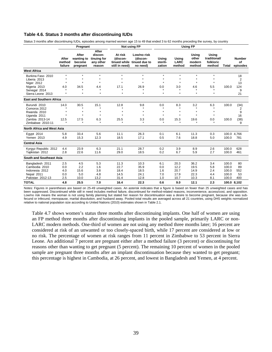## **Table 4.6. Status 3 months after discontinuing IUDs**

Status 3 months after discontinuing IUDs, episodes among married women age 15 to 49 that ended 3 to 62 months preceding the survey, by country

|                                                                                                      | Pregnant                             |                                                    |                                                        | Not using FP                                  |                                                                   |                                                        | <b>Using FP</b>                                 |                                                 |                                              |                                           |                                              |
|------------------------------------------------------------------------------------------------------|--------------------------------------|----------------------------------------------------|--------------------------------------------------------|-----------------------------------------------|-------------------------------------------------------------------|--------------------------------------------------------|-------------------------------------------------|-------------------------------------------------|----------------------------------------------|-------------------------------------------|----------------------------------------------|
|                                                                                                      | After<br>method<br>failure           | After<br>wanting to<br>become<br>pregnant          | After<br>discon-<br>tinuing for<br>any other<br>reason | At risk<br>(discon-<br>still in need)         | Low/no risk<br>(discon-<br>tinued while tinued due to<br>no need) | Using<br>sterili-<br>zation                            | Using<br><b>LARC</b><br>method                  | Using<br>other<br>modern<br>method              | Using<br>traditional/<br>folkloric<br>method | Total                                     | <b>Number</b><br>οf<br>episodes              |
| <b>West Africa</b>                                                                                   |                                      |                                                    |                                                        |                                               |                                                                   |                                                        |                                                 |                                                 |                                              |                                           |                                              |
| Burkina Faso 2010<br>Liberia 2013<br>Niger 2012<br>Nigeria 2013<br>Senegal 2014<br>Sierra Leone 2013 | $\star$<br>$\star$<br>4.0<br>$\star$ | $\star$<br>$\star$<br>$\bullet$<br>34.5<br>$\star$ | $\star$<br>$\star$<br>$\star$<br>4.4<br>$\star$        | $\star$<br>$\star$<br>17.1<br>$\star$         | $\star$<br>$\star$<br>$\star$<br>26.9<br>$\star$                  | $\star$<br>$\star$<br>$\star$<br>0.0<br>$\star$        | $\star$<br>$\star$<br>$\star$<br>3.0<br>$\star$ | $\star$<br>$\star$<br>$\star$<br>4.6<br>$\star$ | $\star$<br>$\star$<br>5.5<br>$\star$         | 100.0                                     | 18<br>$\overline{2}$<br>13<br>124<br>9<br>21 |
| <b>East and Southern Africa</b>                                                                      |                                      |                                                    |                                                        |                                               |                                                                   |                                                        |                                                 |                                                 |                                              |                                           |                                              |
| Burundi 2010<br>Comoros 2012<br>Rwanda 2010<br>Uganda 2011<br>Zambia 2013-14<br>Zimbabwe 2010-11     | 14.0<br>12.5                         | 30.5<br>$\star$<br>$\star$<br>17.5<br>$\star$      | 15.1<br>$\star$<br>$\star$<br>6.3<br>$\star$           | 12.8<br>$\star$<br>$\star$<br>25.5<br>$\star$ | 9.8<br>$\star$<br>$\star$<br>3.3<br>$\star$                       | 0.0<br>$\star$<br>$\star$<br>$\star$<br>0.0<br>$\star$ | 8.3<br>$\star$<br>$\star$<br>15.3<br>$\star$    | 3.2<br>$\star$<br>$\star$<br>$\star$<br>19.6    | 6.3<br>$\star$<br>$\star$<br>0.0             | 100.0<br>100.0                            | (34)<br>2<br>9<br>16<br>(38)<br>9            |
| <b>North Africa and West Asia</b>                                                                    |                                      |                                                    |                                                        |                                               |                                                                   |                                                        |                                                 |                                                 |                                              |                                           |                                              |
| Egypt 2014<br>Yemen 2013                                                                             | 5.8<br>4.9                           | 33.4<br>15.3                                       | 5.6<br>12.3                                            | 11.1<br>18.5                                  | 26.3<br>17.1                                                      | 0.1<br>0.5                                             | 6.1<br>7.6                                      | 11.3<br>18.8                                    | 0.3<br>5.0                                   | 100.0                                     | 100.0 4,766<br>781                           |
| <b>Central Asia</b>                                                                                  |                                      |                                                    |                                                        |                                               |                                                                   |                                                        |                                                 |                                                 |                                              |                                           |                                              |
| Kyrgyz Republic 2012<br>Tajikistan 2012                                                              | 4.4<br>2.8                           | 23.9<br>22.6                                       | 6.3<br>11.6                                            | 21.1<br>29.0                                  | 28.7<br>18.5                                                      | 0.2<br>0.2                                             | 3.9<br>6.7                                      | 8.9<br>5.9                                      | 2.6<br>2.7                                   | 100.0<br>100.0                            | 628<br>461                                   |
| South and Southeast Asia                                                                             |                                      |                                                    |                                                        |                                               |                                                                   |                                                        |                                                 |                                                 |                                              |                                           |                                              |
| Bangladesh 2011<br>Cambodia 2010<br>Indonesia 2012<br>Nepal 2011<br>Pakistan 2012-13                 | 2.5<br>0.0<br>4.0<br>0.0<br>2.5      | 4.5<br>2.2<br>15.6<br>5.0<br>10.0                  | 5.3<br>1.6<br>3.8<br>4.8<br>13.2                       | 11.3<br>22.7<br>18.4<br>14.5<br>31.4          | 10.3<br>35.9<br>18.5<br>24.1<br>12.8                              | 6.1<br>0.0<br>1.6<br>7.0<br>1.0                        | 20.3<br>12.2<br>20.7<br>17.9<br>10.7            | 36.2<br>19.5<br>14.9<br>22.3<br>10.3            | 3.4<br>5.8<br>2.4<br>4.4<br>8.1              | 100.0<br>100.0<br>100.0<br>100.0<br>100.0 | 80<br>89<br>552<br>53<br>400                 |
| <b>TOTAL</b>                                                                                         | 4.8                                  | 25.5                                               | 7.0                                                    | 16.4                                          | 22.3                                                              | 0.6                                                    | 9.0                                             | 12.1                                            | 2.3                                          |                                           | 100.0 8,102                                  |

Notes: Figures in parentheses are based on 25-49 unweighted cases. An asterisk indicates that a figure is based on fewer than 25 unweighted cases and has been suppressed. Discontinued while still in need includes method failure, discontinued for method-related reasons, inconvenience, access/cost, and opposition. Low/no risk means the woman is not using family planning but stated her reason for discontinuation was a desire to become pregnant, because she was subfecund or infecund, menopause, marital dissolution, and husband away. Pooled total results are averaged across all 21 countries, using DHS weights normalized relative to national population size according to United Nations (2010) estimates shown in Table 2.1.

Table 4.7 shows women's status three months after discontinuing implants. One half of women are using an FP method three months after discontinuing implants in the pooled sample, primarily LARC or non-LARC modern methods. One-third of women are not using any method three months later; 16 percent are considered at risk of an unwanted or too closely-spaced birth, while 17 percent are considered at low or no risk. The percentage of women at risk ranges from 11 percent in Zimbabwe to 53 percent in Sierra Leone. An additional 7 percent are pregnant either after a method failure (3 percent) or discontinuing for reasons other than wanting to get pregnant (5 percent). The remaining 10 percent of women in the pooled sample are pregnant three months after an implant discontinuation because they wanted to get pregnant; this percentage is highest in Cambodia, at 26 percent, and lowest in Bangladesh and Yemen, at 4 percent.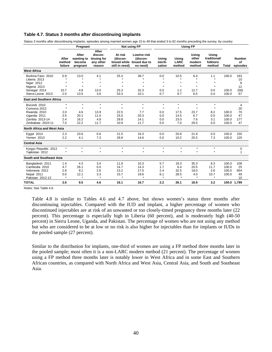#### **Table 4.7. Status 3 months after discontinuing implants**

Status 3 months after discontinuing implants, episodes among married women age 15 to 49 that ended 3 to 62 months preceding the survey, by country

|                                                                                                                                                                                                                         | Pregnant                                                                           |                                                                                        |                                                                                       | Not using FP                                                                               | <b>Using FP</b>                                                                         |                                                                                    |                                                                                         |                                                                                        |                                                                                    |                                                    |                                                     |
|-------------------------------------------------------------------------------------------------------------------------------------------------------------------------------------------------------------------------|------------------------------------------------------------------------------------|----------------------------------------------------------------------------------------|---------------------------------------------------------------------------------------|--------------------------------------------------------------------------------------------|-----------------------------------------------------------------------------------------|------------------------------------------------------------------------------------|-----------------------------------------------------------------------------------------|----------------------------------------------------------------------------------------|------------------------------------------------------------------------------------|----------------------------------------------------|-----------------------------------------------------|
|                                                                                                                                                                                                                         | After<br>method<br>failure                                                         | After<br>wanting to<br>become<br>pregnant                                              | After<br>discon-<br>tinuing for<br>any other<br>reason                                | At risk<br>(discon-<br>still in need)                                                      | Low/no risk<br>(discon-<br>tinued while tinued due to<br>no need)                       | Usina<br>sterili-<br>zation                                                        | Usina<br><b>LARC</b><br>method                                                          | Using<br>other<br>modern<br>method                                                     | Using<br>traditional/<br>folkloric<br>method                                       | <b>Total</b>                                       | <b>Number</b><br>Οf<br>episodes                     |
| <b>West Africa</b>                                                                                                                                                                                                      |                                                                                    |                                                                                        |                                                                                       |                                                                                            |                                                                                         |                                                                                    |                                                                                         |                                                                                        |                                                                                    |                                                    |                                                     |
| Burkina Faso 2010<br>Liberia 2013<br>Niger 2012                                                                                                                                                                         | 0.9                                                                                | 13.0<br>$\bullet$                                                                      | 4.1<br>$\star$                                                                        | 25.3<br>$\star$                                                                            | 38.7                                                                                    | 0.0<br>$\star$                                                                     | 10.5<br>$\star$                                                                         | 6.4<br>$\bullet$                                                                       | 1.1<br>$\star$                                                                     | 100.0                                              | 163<br>10<br>8                                      |
| Nigeria 2013<br>Senegal 2014<br>Sierra Leone 2013                                                                                                                                                                       | 10.7<br>2.0                                                                        | $\bullet$<br>4.8<br>13.5                                                               | $\star$<br>13.0<br>3.6                                                                | ٠<br>25.3<br>53.3                                                                          | $\star$<br>32.3<br>10.1                                                                 | $\star$<br>0.0<br>0.7                                                              | $\star$<br>1.2<br>9.7                                                                   | $\star$<br>12.7<br>6.5                                                                 | $\star$<br>0.0<br>0.4                                                              | 100.0<br>100.0                                     | 12<br>(58)<br>67                                    |
| <b>East and Southern Africa</b>                                                                                                                                                                                         |                                                                                    |                                                                                        |                                                                                       |                                                                                            |                                                                                         |                                                                                    |                                                                                         |                                                                                        |                                                                                    |                                                    |                                                     |
| Burundi 2010<br>Comoros 2012<br>Rwanda 2010<br>Uganda 2011<br>Zambia 2013-14<br>Zimbabwe 2010-11<br><b>North Africa and West Asia</b><br>Egypt 2014<br><b>Yemen 2013</b><br><b>Central Asia</b><br>Kyrgyz Republic 2012 | $\star$<br>$\star$<br>2.0<br>3.5<br>2.4<br>7.0<br>2.3<br>2.2<br>$\star$<br>$\star$ | $\star$<br>$\star$<br>4.6<br>20.1<br>16.2<br>22.2<br>10.6<br>4.1<br>$\star$<br>$\star$ | $\star$<br>$\star$<br>13.9<br>11.0<br>4.8<br>11.7<br>6.6<br>7.3<br>$\star$<br>$\star$ | $\star$<br>$\bullet$<br>22.5<br>24.0<br>28.8<br>10.9<br>21.5<br>28.8<br>$\star$<br>$\star$ | $\star$<br>$\star$<br>7.7<br>20.3<br>14.1<br>11.7<br>16.3<br>14.6<br>$\star$<br>$\star$ | $\star$<br>$\star$<br>0.0<br>0.0<br>0.0<br>0.0<br>0.0<br>0.0<br>$\star$<br>$\star$ | $\star$<br>$\star$<br>17.5<br>14.5<br>23.0<br>7.0<br>20.8<br>10.2<br>$\star$<br>$\star$ | $\star$<br>$\star$<br>23.7<br>6.7<br>7.6<br>29.5<br>21.9<br>25.5<br>$\star$<br>$\star$ | $\star$<br>$\star$<br>8.2<br>0.0<br>3.1<br>0.0<br>0.0<br>7.3<br>$\star$<br>$\star$ | 100.0<br>100.0<br>100.0<br>100.0<br>100.0<br>100.0 | 4<br>20<br>70<br>47<br>177<br>47<br>150<br>120<br>0 |
| Tajikistan 2012<br>South and Southeast Asia                                                                                                                                                                             |                                                                                    |                                                                                        |                                                                                       |                                                                                            |                                                                                         |                                                                                    |                                                                                         |                                                                                        |                                                                                    |                                                    | 1                                                   |
|                                                                                                                                                                                                                         |                                                                                    |                                                                                        |                                                                                       |                                                                                            |                                                                                         |                                                                                    |                                                                                         |                                                                                        |                                                                                    |                                                    |                                                     |
| Bangladesh 2011<br>Cambodia 2010<br>Indonesia 2012<br>Nepal 2011<br>Pakistan 2012-13                                                                                                                                    | 1.4<br>4.7<br>2.6<br>0.0<br>$\star$                                                | 4.3<br>26.1<br>9.1<br>12.1<br>$\star$                                                  | 3.4<br>0.0<br>2.6<br>3.3<br>$\star$                                                   | 11.9<br>14.7<br>13.2<br>15.7<br>٠                                                          | 10.3<br>14.3<br>17.0<br>19.6<br>$\mathbf{r}$                                            | 5.7<br>1.7<br>2.4<br>6.1<br>$\star$                                                | 19.3<br>6.4<br>32.5<br>28.5<br>٠                                                        | 35.3<br>20.5<br>18.0<br>4.0<br>$\star$                                                 | 8.3<br>11.7<br>2.6<br>10.7<br>$\star$                                              | 100.0<br>100.0<br>100.0<br>100.0                   | 108<br>25<br>654<br>49<br>10                        |
| <b>TOTAL</b>                                                                                                                                                                                                            | 2.6                                                                                | 9.5                                                                                    | 4.6                                                                                   | 16.1                                                                                       | 16.7                                                                                    | 2.2                                                                                | 26.1                                                                                    | 18.9                                                                                   | 3.2                                                                                |                                                    | 100.0 1,799                                         |

Notes: See Table 4.6.

Table 4.8 is similar to Tables 4.6 and 4.7 above, but shows women's status three months after discontinuing injectables. Compared with the IUD and implant, a higher percentage of women who discontinued injectables are at risk of an unwanted or too closely-timed pregnancy three months later (22 percent). This percentage is especially high in Liberia (60 percent), and is moderately high (40-50 percent) in Sierra Leone, Uganda, and Pakistan. The percentage of women who are not using any method but who are considered to be at low or no risk is also higher for injectables than for implants or IUDs in the pooled sample (27 percent).

Similar to the distribution for implants, one-third of women are using a FP method three months later in the pooled sample; most often it is a non-LARC modern method (21 percent). The percentage of women using a FP method three months later is notably lower in West Africa and in some East and Southern African countries, as compared with North Africa and West Asia, Central Asia, and South and Southeast Asia.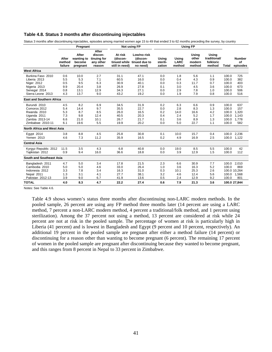## **Table 4.8. Status 3 months after discontinuing injectables**

Status 3 months after discontinuing injectables, episodes among married women age 15 to 49 that ended 3 to 62 months preceding the survey, by country

|                                                                                                                                                                   | Pregnant                                             |                                                         | <b>Not using FP</b>                                     |                                                              | <b>Using FP</b>                                                   |                                                      |                                                        |                                                          |                                                      |                                                                      |                                                                |
|-------------------------------------------------------------------------------------------------------------------------------------------------------------------|------------------------------------------------------|---------------------------------------------------------|---------------------------------------------------------|--------------------------------------------------------------|-------------------------------------------------------------------|------------------------------------------------------|--------------------------------------------------------|----------------------------------------------------------|------------------------------------------------------|----------------------------------------------------------------------|----------------------------------------------------------------|
|                                                                                                                                                                   | After<br>method<br>failure                           | After<br>wanting to<br>become<br>pregnant               | After<br>discon-<br>tinuing for<br>any other<br>reason  | At risk<br>(discon-<br>still in need)                        | Low/no risk<br>(discon-<br>tinued while tinued due to<br>no need) | Usina<br>sterili-<br>zation                          | Using<br><b>LARC</b><br>method                         | Using<br>other<br>modern<br>method                       | Using<br>traditional/<br>folkloric<br>method         | Total                                                                | <b>Number</b><br>Οf<br>episodes                                |
| <b>West Africa</b>                                                                                                                                                |                                                      |                                                         |                                                         |                                                              |                                                                   |                                                      |                                                        |                                                          |                                                      |                                                                      |                                                                |
| Burkina Faso 2010<br>Liberia 2013<br>Niger 2012<br>Nigeria 2013<br>Senegal 2014<br>Sierra Leone 2013                                                              | 0.6<br>5.5<br>0.5<br>9.9<br>0.8<br>4.3               | 10.0<br>5.3<br>9.5<br>20.4<br>13.1<br>13.7              | 2.7<br>7.1<br>6.3<br>3.8<br>12.9<br>9.0                 | 31.1<br>60.5<br>30.9<br>26.9<br>34.3<br>43.2                 | 47.1<br>16.0<br>40.1<br>27.8<br>27.1<br>19.2                      | 0.0<br>0.0<br>0.0<br>0.1<br>0.0<br>0.0               | 1.8<br>0.4<br>0.3<br>3.0<br>2.9<br>1.9                 | 5.6<br>4.3<br>11.7<br>4.5<br>7.8<br>7.9                  | 1.1<br>0.9<br>0.7<br>3.6<br>1.0<br>0.8               | 100.0<br>100.0<br>100.0<br>100.0<br>100.0<br>100.0                   | 725<br>382<br>403<br>673<br>506<br>516                         |
| <b>East and Southern Africa</b>                                                                                                                                   |                                                      |                                                         |                                                         |                                                              |                                                                   |                                                      |                                                        |                                                          |                                                      |                                                                      |                                                                |
| Burundi 2010<br>Comoros 2012<br>Rwanda 2010<br>Uganda 2011<br>Zambia 2013-14<br>Zimbabwe 2010-11<br>North Africa and West Asia<br>Egypt 2014<br><b>Yemen 2013</b> | 4.5<br>5.4<br>5.3<br>7.3<br>6.6<br>6.1<br>3.8<br>4.6 | 8.2<br>14.4<br>8.7<br>9.8<br>21.0<br>19.6<br>8.8<br>7.3 | 6.9<br>9.7<br>8.5<br>12.4<br>10.1<br>5.5<br>4.5<br>11.2 | 34.5<br>35.5<br>26.0<br>40.5<br>26.7<br>19.9<br>25.8<br>35.9 | 31.9<br>22.7<br>16.5<br>20.3<br>21.7<br>20.2<br>30.8<br>16.5      | 0.2<br>0.0<br>0.2<br>0.4<br>0.1<br>0.0<br>0.1<br>0.2 | 6.3<br>2.8<br>14.0<br>2.4<br>3.6<br>5.0<br>10.0<br>4.9 | 6.6<br>8.3<br>16.6<br>5.2<br>8.9<br>22.7<br>15.7<br>16.9 | 0.9<br>1.3<br>4.2<br>1.7<br>1.3<br>1.1<br>0.4<br>2.5 | 100.0<br>100.0<br>100.0<br>100.0<br>100.0<br>100.0<br>100.0<br>100.0 | 637<br>157<br>1.320<br>1.143<br>1,778<br>582<br>2.236<br>1,122 |
| <b>Central Asia</b>                                                                                                                                               |                                                      |                                                         |                                                         |                                                              |                                                                   |                                                      |                                                        |                                                          |                                                      |                                                                      |                                                                |
| Kyrgyz Republic 2012<br>Tajikistan 2012                                                                                                                           | 11.5<br>0.9                                          | 3.5<br>9.4                                              | 4.3<br>16.0                                             | 6.8<br>36.6                                                  | 40.8<br>18.8                                                      | 0.0<br>0.0                                           | 19.0<br>3.9                                            | 8.5<br>12.9                                              | 5.5<br>1.5                                           | 100.0<br>100.0                                                       | 42<br>112                                                      |
| South and Southeast Asia                                                                                                                                          |                                                      |                                                         |                                                         |                                                              |                                                                   |                                                      |                                                        |                                                          |                                                      |                                                                      |                                                                |
| Bangladesh 2011<br>Cambodia 2010<br>Indonesia 2012<br>Nepal 2011<br>Pakistan 2012-13                                                                              | 4.7<br>5.0<br>3.3<br>1.3<br>3.9                      | 5.0<br>5.0<br>7.8<br>3.1<br>9.0                         | 3.4<br>4.6<br>3.4<br>4.1<br>6.7                         | 17.8<br>33.0<br>16.3<br>27.7<br>41.9                         | 21.5<br>26.4<br>31.0<br>38.1<br>13.6                              | 2.3<br>1.0<br>0.3<br>3.2<br>0.5                      | 6.6<br>3.6<br>10.1<br>4.6<br>2.4                       | 30.9<br>16.3<br>25.3<br>12.4<br>12.9                     | 7.7<br>5.2<br>2.6<br>5.6<br>9.2                      | 100.0<br>100.0<br>100.0<br>100.0                                     | 2,010<br>869<br>100.0 10.264<br>1,568<br>801                   |
| <b>TOTAL</b>                                                                                                                                                      | 4.0                                                  | 8.3                                                     | 4.7                                                     | 22.2                                                         | 27.4                                                              | 0.6                                                  | 7.9                                                    | 21.3                                                     | 3.6                                                  |                                                                      | 100.0 27,844                                                   |

Notes: See Table 4.6.

Table 4.9 shows women's status three months after discontinuing non-LARC modern methods. In the pooled sample, 26 percent are using any FP method three months later (14 percent are using a LARC method, 7 percent a non-LARC modern method, 4 percent a traditional/folk method, and 1 percent using sterilization). Among the 37 percent not using a method, 13 percent are considered at risk while 24 percent are not at risk in the pooled sample. The percentage of women at risk is particularly high in Liberia (41 percent) and is lowest in Bangladesh and Egypt (9 percent and 10 percent, respectively). An additional 19 percent in the pooled sample are pregnant after either a method failure (14 percent) or discontinuing for a reason other than wanting to become pregnant (6 percent). The remaining 17 percent of women in the pooled sample are pregnant after discontinuing because they wanted to become pregnant, and this ranges from 8 percent in Nepal to 33 percent in Zimbabwe.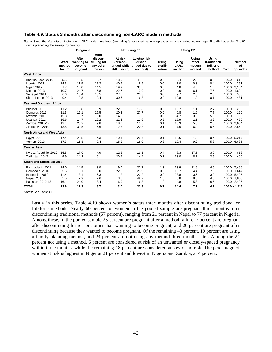## **Table 4.9. Status 3 months after discontinuing non-LARC modern methods**

Status 3 months after discontinuing non-LARC modern methods (excluding female sterilization), episodes among married women age 15 to 49 that ended 3 to 62 months preceding the survey, by country

|                                                                                                                                | Pregnant                                     |                                             | Not using FP                                           |                                              | <b>Using FP</b>                                                   |                                        |                                            |                                        |                                              |                                           |                                                       |
|--------------------------------------------------------------------------------------------------------------------------------|----------------------------------------------|---------------------------------------------|--------------------------------------------------------|----------------------------------------------|-------------------------------------------------------------------|----------------------------------------|--------------------------------------------|----------------------------------------|----------------------------------------------|-------------------------------------------|-------------------------------------------------------|
|                                                                                                                                | After<br>method<br>failure                   | After<br>wanting to<br>become<br>pregnant   | After<br>discon-<br>tinuing for<br>any other<br>reason | At risk<br>(discon-<br>still in need)        | Low/no risk<br>(discon-<br>tinued while tinued due to<br>no need) | Using<br>sterili-<br>zation            | Using<br><b>LARC</b><br>method             | Using<br>other<br>modern<br>method     | Using<br>traditional/<br>folkloric<br>method | Total                                     | <b>Number</b><br>of<br>episodes                       |
| <b>West Africa</b>                                                                                                             |                                              |                                             |                                                        |                                              |                                                                   |                                        |                                            |                                        |                                              |                                           |                                                       |
| Burkina Faso 2010<br>Liberia 2013<br>Niger 2012<br>Nigeria 2013<br>Senegal 2014                                                | 5.5<br>14.3<br>1.7<br>10.7<br>6.6            | 18.5<br>11.5<br>18.0<br>24.7<br>16.4        | 5.7<br>17.2<br>14.5<br>5.8<br>10.5                     | 18.9<br>40.9<br>19.9<br>22.7<br>27.5         | 41.2<br>8.5<br>35.5<br>17.9<br>25.3                               | 0.3<br>0.0<br>0.0<br>0.0<br>0.0        | 6.4<br>7.0<br>4.8<br>4.6<br>9.7            | 2.8<br>0.3<br>4.5<br>6.1<br>2.0        | 0.6<br>0.4<br>1.0<br>7.5<br>2.0              | 100.0<br>100.0<br>100.0<br>100.0<br>100.0 | 610<br>251<br>2.104<br>1,694<br>506                   |
| Sierra Leone 2013                                                                                                              | 9.4                                          | 12.8                                        | 9.4                                                    | 30.6                                         | 16.8                                                              | 0.0                                    | 19.8                                       | 1.2                                    | 0.1                                          | 100.0                                     | 481                                                   |
| <b>East and Southern Africa</b>                                                                                                |                                              |                                             |                                                        |                                              |                                                                   |                                        |                                            |                                        |                                              |                                           |                                                       |
| Burundi 2010<br>Comoros 2012<br>Rwanda 2010<br>Uganda 2011<br>Zambia 2013-14<br>Zimbabwe 2010-11<br>North Africa and West Asia | 11.2<br>11.3<br>15.3<br>16.6<br>12.4<br>13.5 | 13.8<br>15.1<br>9.7<br>14.7<br>23.2<br>32.5 | 10.9<br>15.5<br>9.0<br>12.2<br>9.8<br>6.6              | 22.8<br>20.3<br>14.9<br>22.2<br>18.0<br>12.3 | 17.8<br>27.7<br>7.5<br>12.6<br>13.6<br>20.8                       | 0.0<br>0.0<br>0.0<br>0.5<br>0.1<br>0.1 | 19.7<br>0.8<br>34.7<br>15.9<br>15.3<br>7.6 | 1.1<br>1.6<br>3.5<br>2.1<br>5.5<br>6.2 | 2.7<br>7.7<br>5.6<br>3.2<br>2.0<br>0.5       | 100.0<br>100.0<br>100.0<br>100.0<br>100.0 | 280<br>120<br>769<br>450<br>2,684<br>100.0 2,564      |
| Egypt 2014<br><b>Yemen 2013</b>                                                                                                | 17.4<br>17.3                                 | 20.8<br>11.8                                | 4.3<br>9.4                                             | 10.4<br>18.2                                 | 29.4<br>18.0                                                      | 0.1<br>0.3                             | 15.6<br>10.4                               | 1.8<br>9.2                             | 0.4<br>5.3                                   |                                           | 100.0 5,217<br>100.0 6,635                            |
| <b>Central Asia</b>                                                                                                            |                                              |                                             |                                                        |                                              |                                                                   |                                        |                                            |                                        |                                              |                                           |                                                       |
| Kyrgyz Republic 2012<br>Tajikistan 2012                                                                                        | 16.5<br>9.9                                  | 17.0<br>14.2                                | 4.9<br>6.1                                             | 12.3<br>30.5                                 | 19.1<br>14.4                                                      | 0.4<br>0.7                             | 8.3<br>13.0                                | 17.5<br>8.7                            | 3.9<br>2.5                                   | 100.0<br>100.0                            | 613<br>400                                            |
| South and Southeast Asia                                                                                                       |                                              |                                             |                                                        |                                              |                                                                   |                                        |                                            |                                        |                                              |                                           |                                                       |
| Bangladesh 2011<br>Cambodia 2010<br>Indonesia 2012<br>Nepal 2011<br>Pakistan 2012-13                                           | 14.0<br>5.5<br>11.4<br>5.5<br>16.1           | 14.5<br>16.1<br>13.1<br>7.9<br>24.0         | 3.0<br>8.0<br>6.3<br>2.6<br>8.4                        | 9.0<br>22.9<br>11.2<br>13.0<br>16.9          | 27.7<br>23.9<br>22.2<br>49.7<br>16.3                              | 1.3<br>0.9<br>0.2<br>1.6<br>1.2        | 13.9<br>10.7<br>28.8<br>6.8<br>4.8         | 11.9<br>4.4<br>3.6<br>8.3<br>5.8       | 4.6<br>7.6<br>3.2<br>4.6<br>6.5              | 100.0<br>100.0<br>100.0                   | 7.496<br>1,647<br>5.495<br>100.0 1,803<br>100.0 2,495 |
| <b>TOTAL</b>                                                                                                                   | 13.6                                         | 17.3                                        | 5.7                                                    | 13.0                                         | 23.9                                                              | 0.7                                    | 14.4                                       | 7.1                                    | 4.1                                          |                                           | 100.0 44,313                                          |

Notes: See Table 4.6.

Lastly in this series, Table 4.10 shows women's status three months after discontinuing traditional or folkloric methods. Nearly 60 percent of women in the pooled sample are pregnant three months after discontinuing traditional methods (57 percent), ranging from 21 percent in Nepal to 77 percent in Nigeria. Among these, in the pooled sample 25 percent are pregnant after a method failure, 7 percent are pregnant after discontinuing for reasons other than wanting to become pregnant, and 26 percent are pregnant after discontinuing because they wanted to become pregnant. Of the remaining 43 percent, 19 percent are using a family planning method, and 24 percent are not using any method three months later. Among the 24 percent not using a method, 6 percent are considered at risk of an unwanted or closely-spaced pregnancy within three months, while the remaining 18 percent are considered at low or no risk. The percentage of women at risk is highest in Niger at 21 percent and lowest in Nigeria and Zambia, at 4 percent.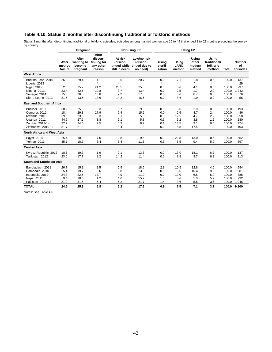## **Table 4.10. Status 3 months after discontinuing traditional or folkloric methods**

Status 3 months after discontinuing traditional or folkloric episodes, episodes among married women age 15 to 49 that ended 3 to 62 months preceding the survey, by country

|                                   | Pregnant                   |                                           | Not using FP                                           |                                       | <b>Using FP</b>                                                   |                             |                                |                                    |                                              |       |                                 |
|-----------------------------------|----------------------------|-------------------------------------------|--------------------------------------------------------|---------------------------------------|-------------------------------------------------------------------|-----------------------------|--------------------------------|------------------------------------|----------------------------------------------|-------|---------------------------------|
|                                   | After<br>method<br>failure | After<br>wanting to<br>become<br>pregnant | After<br>discon-<br>tinuing for<br>any other<br>reason | At risk<br>(discon-<br>still in need) | Low/no risk<br>(discon-<br>tinued while tinued due to<br>no need) | Using<br>sterili-<br>zation | Using<br><b>LARC</b><br>method | Using<br>other<br>modern<br>method | Usina<br>traditional/<br>folkloric<br>method | Total | <b>Number</b><br>Οf<br>episodes |
| <b>West Africa</b>                |                            |                                           |                                                        |                                       |                                                                   |                             |                                |                                    |                                              |       |                                 |
| Burkina Faso 2010<br>Liberia 2013 | 26.8<br>$\star$            | 29.4<br>$\star$                           | 4.1<br>$\star$                                         | 9.6<br>$\star$                        | 20.7<br>$\star$                                                   | 0.0<br>$\star$              | 7.1<br>$\star$                 | 1.8<br>$\star$                     | 0.5<br>$\star$                               | 100.0 | 137<br>29                       |
| Niger 2012                        | 2.6                        | 25.7                                      | 21.2                                                   | 20.5                                  | 25.3                                                              | 0.0                         | 0.6                            | 4.1                                | 0.0                                          | 100.0 | 237                             |
| Nigeria 2013                      | 23.4                       | 42.5                                      | 10.8                                                   | 3.7                                   | 13.4                                                              | 0.0                         | 2.5                            | 1.7                                | 2.0                                          | 100.0 | 1,242                           |
| Senegal 2014                      | 15.3                       | 26.5                                      | 13.8                                                   | 9.2                                   | 17.3                                                              | 0.0                         | 8.6                            | 8.7                                | 0.6                                          | 100.0 | 76                              |
| Sierra Leone 2013                 | 31.5                       | 13.6                                      | 13.6                                                   | 14.2                                  | 16.6                                                              | 0.0                         | 8.6                            | 1.9                                | 0.0                                          | 100.0 | 56                              |
| <b>East and Southern Africa</b>   |                            |                                           |                                                        |                                       |                                                                   |                             |                                |                                    |                                              |       |                                 |
| Burundi 2010                      | 38.2                       | 25.3                                      | 9.3                                                    | 8.7                                   | 9.9                                                               | 0.3                         | 5.6                            | 2.0                                | 0.8                                          | 100.0 | 193                             |
| Comoros 2012                      | 18.4                       | 29.3                                      | 17.9                                                   | 9.4                                   | 15.5                                                              | 0.0                         | 2.5                            | 4.7                                | 2.4                                          | 100.0 | 86                              |
| Rwanda 2010                       | 39.8                       | 23.6                                      | 6.3                                                    | 5.1                                   | 5.8                                                               | 0.0                         | 12.5                           | 4.7                                | 2.2                                          | 100.0 | 358                             |
| Uganda 2011                       | 44.7                       | 27.6                                      | 3.8                                                    | 6.1                                   | 5.8                                                               | 0.5                         | 6.2                            | 3.8                                | 1.5                                          | 100.0 | 280                             |
| Zambia 2013-14                    | 32.2                       | 24.5                                      | 7.5                                                    | 4.2                                   | 8.2                                                               | 0.1                         | 13.5                           | 9.1                                | 0.6                                          | 100.0 | 774                             |
| Zimbabwe 2010-11                  | 31.7                       | 21.3                                      | 2.1                                                    | 13.4                                  | 7.3                                                               | 0.0                         | 5.8                            | 17.5                               | 1.0                                          | 100.0 | 103                             |
| North Africa and West Asia        |                            |                                           |                                                        |                                       |                                                                   |                             |                                |                                    |                                              |       |                                 |
| Egypt 2014                        | 25.4                       | 10.9                                      | 7.0                                                    | 10.8                                  | 9.5                                                               | 0.0                         | 22.8                           | 13.0                               | 0.6                                          | 100.0 | 552                             |
| Yemen 2013                        | 35.1                       | 18.7                                      | 6.4                                                    | 6.4                                   | 11.3                                                              | 0.3                         | 6.5                            | 9.4                                | 5.9                                          | 100.0 | 897                             |
| <b>Central Asia</b>               |                            |                                           |                                                        |                                       |                                                                   |                             |                                |                                    |                                              |       |                                 |
| Kyrgyz Republic 2012              | 18.6                       | 19.3                                      | 1.9                                                    | 9.1                                   | 13.3                                                              | 0.0                         | 13.0                           | 18.1                               | 6.7                                          | 100.0 | 137                             |
| Tajikistan 2012                   | 23.6                       | 17.7                                      | 8.2                                                    | 14.2                                  | 11.4                                                              | 0.0                         | 8.8                            | 9.7                                | 6.3                                          | 100.0 | 113                             |
| South and Southeast Asia          |                            |                                           |                                                        |                                       |                                                                   |                             |                                |                                    |                                              |       |                                 |
| Bangladesh 2011                   | 26.7                       | 15.3                                      | 2.5                                                    | 6.9                                   | 18.5                                                              | 2.3                         | 10.5                           | 12.8                               | 4.6                                          | 100.0 | 984                             |
| Cambodia 2010                     | 25.4                       | 19.7                                      | 3.6                                                    | 10.8                                  | 13.9                                                              | 0.5                         | 6.6                            | 10.4                               | 9.3                                          | 100.0 | 981                             |
| Indonesia 2012                    | 24.3                       | 22.6                                      | 13.7                                                   | 4.9                                   | 11.0                                                              | 0.0                         | 12.0                           | 6.5                                | 5.0                                          | 100.0 | 888                             |
| Nepal 2011                        | 9.4                        | 10.6                                      | 1.2                                                    | 4.6                                   | 55.9                                                              | 1.8                         | 5.6                            | 5.0                                | 5.9                                          | 100.0 | 732                             |
| Pakistan 2012-13                  | 21.2                       | 31.5                                      | 5.4                                                    | 6.2                                   | 21.7                                                              | 1.4                         | 3.6                            | 5.5                                | 3.6                                          | 100.0 | 1,046                           |
| <b>TOTAL</b>                      | 24.5                       | 25.8                                      | 6.8                                                    | 6.2                                   | 17.6                                                              | 0.9                         | 7.5                            | 7.1                                | 3.7                                          | 100.0 | 9,900                           |

Notes: See Table 4.6.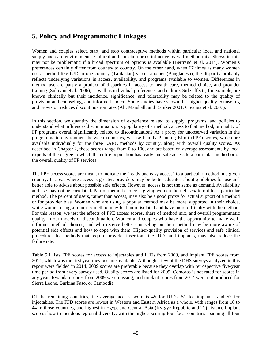## **5. Policy and Programmatic Linkages**

Women and couples select, start, and stop contraceptive methods within particular local and national supply and care environments. Cultural and societal norms influence overall method mix. Skews in mix may not be problematic if a broad spectrum of options is available (Bertrand et al. 2014). Women's preferences certainly differ from country to country. On the other hand, when 67 times as many women use a method like IUD in one country (Tajikistan) versus another (Bangladesh), the disparity probably reflects underlying variations in access, availability, and programs available to women. Differences in method use are partly a product of disparities in access to health care, method choice, and provider training (Sullivan et al. 2006), as well as individual preferences and culture. Side effects, for example, are known clinically but their incidence, significance, and tolerability may be related to the quality of provision and counseling, and informed choice. Some studies have shown that higher-quality counseling and provision reduces discontinuation rates (Ali, Marshall, and Babiker 2001; Creanga et al. 2007).

In this section, we quantify the dimension of experience related to supply, programs, and policies to understand what influences discontinuation. Is popularity of a method, access to that method, or quality of FP programs overall significantly related to discontinuation? As a proxy for unobserved variation in the programmatic environment between countries, we use Family Planning Effort (FPE) scores, which are available individually for the three LARC methods by country, along with overall quality scores. As described in Chapter 2, these scores range from 0 to 100, and are based on average assessments by local experts of the degree to which the entire population has ready and safe access to a particular method or of the overall quality of FP services.

The FPE access scores are meant to indicate the "ready and easy access" to a particular method in a given country. In areas where access is greater, providers may be better-educated about guidelines for use and better able to advise about possible side effects. However, access is not the same as demand. Availability and use may not be correlated. Part of method choice is giving women the right *not* to opt for a particular method. The percent of users, rather than access, may also be a good proxy for actual support of a method or for provider bias. Women who are using a popular method may be more supported in their choice, while women using a minority method may feel more isolated and have more difficulty with the method. For this reason, we test the effects of FPE access scores, share of method mix, and overall programmatic quality in our models of discontinuation. Women and couples who have the opportunity to make wellinformed method choices, and who receive better counseling on their method may be more aware of potential side effects and how to cope with them. Higher-quality provision of services and safe clinical procedures for methods that require provider insertion, like IUDs and implants, may also reduce the failure rate.

Table 5.1 lists FPE scores for access to injectables and IUDs from 2009, and implant FPE scores from 2014, which was the first year they became available. Although a few of the DHS surveys analyzed in this report were fielded in 2014, 2009 scores are preferable because they overlap with retrospective five-year time period from every survey used. Quality scores are listed for 2009. Comoros is not rated for scores in any year; Rwandan scores from 2009 were missing; and implant scores from 2014 were not produced for Sierra Leone, Burkina Faso, or Cambodia.

Of the remaining countries, the average access score is 45 for IUDs, 51 for implants, and 57 for injectables. The IUD scores are lowest in Western and Eastern Africa as a whole, with ranges from 16 to 44 in those countries, and highest in Egypt and Central Asia (Kyrgyz Republic and Tajikistan). Implant scores show tremendous regional diversity, with the highest scoring four focal countries spanning all four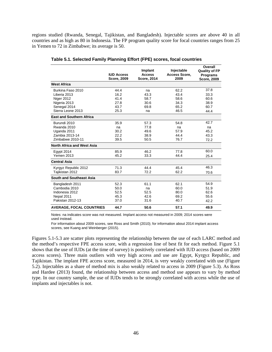regions studied (Rwanda, Senegal, Tajikistan, and Bangladesh). Injectable scores are above 40 in all countries and as high as 80 in Indonesia. The FP program quality score for focal countries ranges from 25 in Yemen to 72 in Zimbabwe; its average is 50.

|                                   |                    |                          |                                    | Overall                        |
|-----------------------------------|--------------------|--------------------------|------------------------------------|--------------------------------|
|                                   | <b>IUD Access</b>  | Implant<br><b>Access</b> | Injectable<br><b>Access Score,</b> | <b>Quality of FP</b>           |
|                                   | <b>Score, 2009</b> | <b>Score, 2014</b>       | 2009                               | Programs<br><b>Score, 2009</b> |
| <b>West Africa</b>                |                    |                          |                                    |                                |
| Burkina Faso 2010                 | 44.4               | na                       | 62.2                               | 37.8                           |
| Liberia 2013                      | 16.2               | 43.3                     | 43.4                               | 33.3                           |
| Niger 2012                        | 41.4               | 58.7                     | 58.6                               | 60.6                           |
| Nigeria 2013                      | 27.8               | 30.6                     | 34.3                               | 38.9                           |
| Senegal 2014                      | 43.7               | 69.8                     | 65.2                               | 60.7                           |
| Sierra Leone 2013                 | 25.3               | na                       | 46.5                               | 44.4                           |
| <b>East and Southern Africa</b>   |                    |                          |                                    |                                |
| Burundi 2010                      | 35.9               | 57.3                     | 54.8                               | 42.7                           |
| Rwanda 2010                       | na                 | 77.8                     | na                                 | na                             |
| Uganda 2011                       | 30.2               | 49.6                     | 57.9                               | 45.2                           |
| Zambia 2013-14                    | 22.2               | 38.9                     | 44.4                               | 43.3                           |
| Zimbabwe 2010-11                  | 39.5               | 50.5                     | 76.7                               | 72.2                           |
| <b>North Africa and West Asia</b> |                    |                          |                                    |                                |
| Egypt 2014                        | 85.9               | 46.2                     | 77.8                               | 60.0                           |
| <b>Yemen 2013</b>                 | 45.2               | 33.3                     | 44.4                               | 25.4                           |
| <b>Central Asia</b>               |                    |                          |                                    |                                |
| Kyrgyz Republic 2012              | 71.3               | 44.4                     | 45.4                               | 46.3                           |
| Tajikistan 2012                   | 83.7               | 72.2                     | 62.2                               | 70.6                           |
| South and Southeast Asia          |                    |                          |                                    |                                |
| Bangladesh 2011                   | 52.3               | 61.1                     | 62.1                               | 54.9                           |
| Cambodia 2010                     | 50.0               | na                       | 60.0                               | 51.9                           |
| Indonesia 2012                    | 52.5               | 52.5                     | 80.0                               | 62.6                           |
| Nepal 2011                        | 45.3               | 42.6                     | 69.2                               | 55.6                           |
| Pakistan 2012-13                  | 37.0               | 31.6                     | 40.7                               | 42.2                           |
| <b>AVERAGE, FOCAL COUNTRIES</b>   | 44.7               | 50.6                     | 57.1                               | 49.9                           |

**Table 5.1. Selected Family Planning Effort (FPE) scores, focal countries** 

Notes: na indicates score was not measured. Implant access not measured in 2009; 2014 scores were used instead.

For information about 2009 scores, see Ross and Smith (2010); for information about 2014 implant access scores, see Kuang and Weinberger (2015).

Figures 5.1-5.3 are scatter plots representing the relationship between the use of each LARC method and the method's respective FPE access score, with a regression line of best fit for each method. Figure 5.1 shows that the use of IUDs (at the time of survey) is positively correlated with IUD access (based on 2009 access scores). Three main outliers with very high access and use are Egypt, Kyrgyz Republic, and Tajikistan. The implant FPE access score, measured in 2014, is very weakly correlated with use (Figure 5.2). Injectables as a share of method mix is also weakly related to access in 2009 (Figure 5.3). As Ross and Hardee (2013) found, the relationship between access and method use appears to vary by method type. In our country sample, the use of IUDs tends to be strongly correlated with access while the use of implants and injectables is not.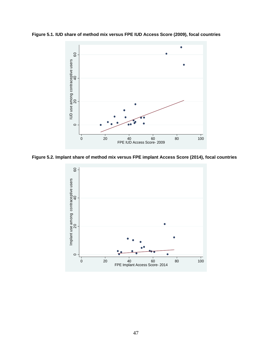**Figure 5.1. IUD share of method mix versus FPE IUD Access Score (2009), focal countries** 



**Figure 5.2. Implant share of method mix versus FPE implant Access Score (2014), focal countries** 

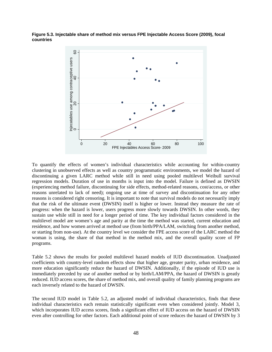**Figure 5.3. Injectable share of method mix versus FPE Injectable Access Score (2009), focal countries** 



To quantify the effects of women's individual characteristics while accounting for within-country clustering in unobserved effects as well as country programmatic environments, we model the hazard of discontinuing a given LARC method while still in need using pooled multilevel Weibull survival regression models. Duration of use in months is input into the model. Failure is defined as DWSIN (experiencing method failure, discontinuing for side effects, method-related reasons, cost/access, or other reasons unrelated to lack of need); ongoing use at time of survey and discontinuation for any other reasons is considered right censoring. It is important to note that survival models do not necessarily imply that the risk of the ultimate event (DWSIN) itself is higher or lower. Instead they measure the rate of progress: when the hazard is lower, users progress more slowly towards DWSIN. In other words, they sustain use while still in need for a longer period of time. The key individual factors considered in the multilevel model are women's age and parity at the time the method was started, current education and residence, and how women arrived at method use (from birth/PPA/LAM, switching from another method, or starting from non-use). At the country level we consider the FPE access score of the LARC method the woman is using, the share of that method in the method mix, and the overall quality score of FP programs.

Table 5.2 shows the results for pooled multilevel hazard models of IUD discontinuation. Unadjusted coefficients with country-level random effects show that higher age, greater parity, urban residence, and more education significantly reduce the hazard of DWSIN. Additionally, if the episode of IUD use is immediately preceded by use of another method or by birth/LAM/PPA, the hazard of DWSIN is greatly reduced. IUD access scores, the share of method mix, and overall quality of family planning programs are each inversely related to the hazard of DWSIN.

The second IUD model in Table 5.2, an adjusted model of individual characteristics, finds that these individual characteristics each remain statistically significant even when considered jointly. Model 3, which incorporates IUD access scores, finds a significant effect of IUD access on the hazard of DWSIN even after controlling for other factors. Each additional point of score reduces the hazard of DWSIN by 3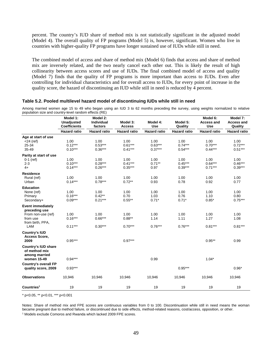percent. The country's IUD share of method mix is not statistically significant in the adjusted model (Model 4). The overall quality of FP programs (Model 5) is, however, significant. Women who live in countries with higher-quality FP programs have longer sustained use of IUDs while still in need.

The combined model of access and share of method mix (Model 6) finds that access and share of method mix are inversely related, and the two nearly cancel each other out. This is likely the result of high collinearity between access scores and use of IUDs. The final combined model of access and quality (Model 7) finds that the quality of FP programs is more important than access to IUDs. Even after controlling for individual characteristics and for overall access to IUDs, for every point of increase in the quality score, the hazard of discontinuing an IUD while still in need is reduced by 4 percent.

#### **Table 5.2. Pooled multilevel hazard model of discontinuing IUDs while still in need**

Among married women age 15 to 49 who began using an IUD 3 to 62 months preceding the survey, using weights normalized to relative population size and country-level random effects (RE)

| population size and country forch random checks $(12)$                                                 | Model 1:<br><b>Unadjusted</b><br><b>Coefficients</b><br><b>Hazard ratio</b> | Model 2:<br><b>Individual</b><br>factors<br><b>Hazard ratio</b> | Model 3:<br><b>Access</b><br><b>Hazard ratio</b> | Model 4:<br><b>Use</b><br><b>Hazard ratio</b> | Model 5:<br>Quality<br><b>Hazard ratio</b> | Model 6:<br><b>Access and</b><br><b>Use</b><br><b>Hazard ratio</b> | Model 7:<br><b>Access and</b><br>Quality<br><b>Hazard ratio</b> |
|--------------------------------------------------------------------------------------------------------|-----------------------------------------------------------------------------|-----------------------------------------------------------------|--------------------------------------------------|-----------------------------------------------|--------------------------------------------|--------------------------------------------------------------------|-----------------------------------------------------------------|
|                                                                                                        |                                                                             |                                                                 |                                                  |                                               |                                            |                                                                    |                                                                 |
| Age at start of use<br>$<$ 24 (ref)<br>25-34<br>35-49                                                  | 1.00<br>$0.12***$<br>$0.10***$                                              | 1.00<br>$0.53***$<br>$0.36***$                                  | 1.00<br>$0.61***$<br>$0.41***$                   | 1.00<br>$0.63***$<br>$0.37***$                | 1.00<br>$0.74***$<br>$0.54***$             | 1.00<br>$0.70***$<br>$0.44***$                                     | 1.00<br>$0.72***$<br>$0.51***$                                  |
| Parity at start of use<br>$0-1$ (ref)<br>$2 - 3$<br>$4+$                                               | 1.00<br>$0.10***$<br>$0.14***$                                              | 1.00<br>$0.28***$<br>$0.26***$                                  | 1.00<br>$0.41***$<br>$0.35***$                   | 1.00<br>$0.71***$<br>0.97                     | 1.00<br>$0.45***$<br>$0.39***$             | 1.00<br>$0.64***$<br>$0.71***$                                     | 1.00<br>$0.46***$<br>$0.39***$                                  |
| <b>Residence</b><br>Rural (ref)<br>Urban                                                               | 1.00<br>$0.14***$                                                           | 1.00<br>$0.78***$                                               | 1.00<br>$0.72**$                                 | 1.00<br>0.93                                  | 1.00<br>0.78                               | 1.00<br>0.92                                                       | 1.00<br>0.77                                                    |
| <b>Education</b><br>None (ref)<br>Primary<br>Secondary+                                                | 1.00<br>$0.16***$<br>$0.09***$                                              | 1.00<br>$0.42**$<br>$0.21***$                                   | 1.00<br>0.70<br>$0.55***$                        | 1.00<br>1.03<br>$0.71*$                       | 1.00<br>0.76<br>$0.71*$                    | 1.00<br>1.10<br>$0.85*$                                            | 1.00<br>0.80<br>$0.75***$                                       |
| <b>Event immediately</b><br>preceding use<br>From non-use (ref)<br>from use<br>from birth, PPA,<br>LAM | 1.00<br>$0.16***$<br>$0.11***$                                              | 1.00<br>$0.66***$<br>$0.30***$                                  | 1.00<br>$0.88**$<br>$0.70***$                    | 1.00<br>1.14<br>$0.76***$                     | 1.00<br>1.11<br>$0.76***$                  | 1.00<br>1.27<br>$0.81***$                                          | 1.00<br>1.08<br>$0.81***$                                       |
| <b>Country's IUD</b><br>Access Score,<br>2009                                                          | $0.95***$                                                                   |                                                                 | $0.97***$                                        |                                               |                                            | $0.95***$                                                          | 0.99                                                            |
| <b>Country's IUD share</b><br>of method mix<br>among married<br>women 15-49                            | $0.94***$                                                                   |                                                                 |                                                  | 0.99                                          |                                            | $1.04*$                                                            |                                                                 |
| <b>Country's overall FP</b><br>quality score, 2009                                                     | $0.93***$                                                                   |                                                                 |                                                  |                                               | $0.95***$                                  |                                                                    | $0.96*$                                                         |
| <b>Observations</b>                                                                                    | 10,946                                                                      | 10,946                                                          | 10,946                                           | 10,946                                        | 10,946                                     | 10,946                                                             | 10,946                                                          |
| Countries <sup>1</sup>                                                                                 | 19                                                                          | 19                                                              | 19                                               | 19                                            | 19                                         | 19                                                                 | 19                                                              |

\* p<0.05, \*\* p<0.01, \*\*\* p<0.001

Notes: Share of method mix and FPE scores are continuous variables from 0 to 100. Discontinuation while still in need means the woman became pregnant due to method failure, or discontinued due to side effects, method-related reasons, cost/access, opposition, or other. <sup>1</sup> Models exclude Comoros and Rwanda which lacked 2009 FPE scores.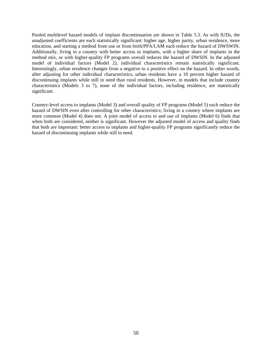Pooled multilevel hazard models of implant discontinuation are shown in Table 5.3. As with IUDs, the unadjusted coefficients are each statistically significant: higher age, higher parity, urban residence, more education, and starting a method from use or from birth/PPA/LAM each reduce the hazard of DWSWIN. Additionally, living in a country with better access to implants, with a higher share of implants in the method mix, or with higher-quality FP programs overall reduces the hazard of DWSIN. In the adjusted model of individual factors (Model 2), individual characteristics remain statistically significant. Interestingly, urban residence changes from a negative to a positive effect on the hazard. In other words, after adjusting for other individual characteristics, urban residents have a 10 percent higher hazard of discontinuing implants while still in need than rural residents. However, in models that include country characteristics (Models 3 to 7), none of the individual factors, including residence, are statistically significant.

Country-level access to implants (Model 3) and overall quality of FP programs (Model 5) each reduce the hazard of DWSIN even after controlling for other characteristics; living in a country where implants are more common (Model 4) does not. A joint model of access to and use of implants (Model 6) finds that when both are considered, neither is significant. However the adjusted model of access and quality finds that both are important: better access to implants and higher-quality FP programs significantly reduce the hazard of discontinuing implants while still in need.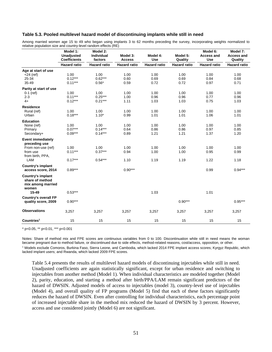#### **Table 5.3. Pooled multilevel hazard model of discontinuing implants while still in need**

Among married women age 15 to 49 who began using implants 3 to 62 months preceding the survey, incorporating weights normalized to relative population size and country-level random effects (RE)

|                                                                                                        | Model 1:<br><b>Unadjusted</b><br><b>Coefficients</b><br><b>Hazard ratio</b> | Model 2:<br>Individual<br>factors<br><b>Hazard ratio</b> | Model 3:<br><b>Access</b><br><b>Hazard ratio</b> | Model 4:<br><b>Use</b><br><b>Hazard ratio</b> | Model 5:<br>Quality<br><b>Hazard ratio</b> | Model 6:<br><b>Access and</b><br><b>Use</b><br><b>Hazard ratio</b> | Model 7:<br><b>Access and</b><br>Quality<br><b>Hazard ratio</b> |
|--------------------------------------------------------------------------------------------------------|-----------------------------------------------------------------------------|----------------------------------------------------------|--------------------------------------------------|-----------------------------------------------|--------------------------------------------|--------------------------------------------------------------------|-----------------------------------------------------------------|
|                                                                                                        |                                                                             |                                                          |                                                  |                                               |                                            |                                                                    |                                                                 |
| Age at start of use<br>$<$ 24 (ref)<br>25-34<br>35-49                                                  | 1.00<br>$0.12***$<br>$0.11***$                                              | 1.00<br>$0.62***$<br>$0.56*$                             | 1.00<br>0.60<br>0.59                             | 1.00<br>0.69<br>0.72                          | 1.00<br>0.69<br>0.72                       | 1.00<br>0.84<br>0.97                                               | 1.00<br>0.68<br>0.71                                            |
| Parity at start of use<br>$0-1$ (ref)<br>$2 - 3$<br>$4+$                                               | 1.00<br>$0.11***$<br>$0.12***$                                              | 1.00<br>$0.25***$<br>$0.21***$                           | 1.00<br>1.00<br>1.11                             | 1.00<br>0.96<br>1.03                          | 1.00<br>0.96<br>1.03                       | 1.00<br>0.77<br>0.75                                               | 1.00<br>0.96<br>1.03                                            |
| <b>Residence</b><br>Rural (ref)<br>Urban                                                               | 1.00<br>$0.18***$                                                           | 1.00<br>$1.10*$                                          | 1.00<br>0.99                                     | 1.00<br>1.01                                  | 1.00<br>1.01                               | 1.00<br>1.06                                                       | 1.00<br>1.01                                                    |
| <b>Education</b><br>None (ref)<br>Primary<br>Secondary+                                                | 1.00<br>$0.07***$<br>$0.09***$                                              | 1.00<br>$0.14***$<br>$0.14***$                           | 1.00<br>0.64<br>0.89                             | 1.00<br>0.86<br>1.21                          | 1.00<br>0.86<br>1.21                       | 1.00<br>0.97<br>1.37                                               | 1.00<br>0.85<br>1.20                                            |
| <b>Event immediately</b><br>preceding use<br>From non-use (ref)<br>from use<br>from birth, PPA,<br>LAM | 1.00<br>$0.11***$<br>$0.17***$                                              | 1.00<br>$0.37***$<br>$0.54***$                           | 1.00<br>0.94<br>1.10                             | 1.00<br>1.00<br>1.19                          | 1.00<br>1.00<br>1.19                       | 1.00<br>0.95<br>1.22                                               | 1.00<br>0.99<br>1.18                                            |
| <b>Country's implant</b><br>access score, 2014                                                         | $0.89***$                                                                   |                                                          | $0.90***$                                        |                                               |                                            | 0.99                                                               | $0.94***$                                                       |
| Country's implant<br>share of method<br>mix among married<br>women<br>$15 - 49$                        | $0.53***$                                                                   |                                                          |                                                  | 1.03                                          |                                            | 1.01                                                               |                                                                 |
| <b>Country's overall FP</b><br>quality score, 2009                                                     | $0.90***$                                                                   |                                                          |                                                  |                                               | $0.90***$                                  |                                                                    | $0.95***$                                                       |
| <b>Observations</b>                                                                                    | 3,257                                                                       | 3,257                                                    | 3,257                                            | 3,257                                         | 3,257                                      | 3,257                                                              | 3,257                                                           |
| Countries <sup>1</sup>                                                                                 | 15                                                                          | 15                                                       | 15                                               | 15                                            | 15                                         | 15                                                                 | 15                                                              |

\* p<0.05, \*\* p<0.01, \*\*\* p<0.001

Notes: Share of method mix and FPE scores are continuous variables from 0 to 100. Discontinuation while still in need means the woman became pregnant due to method failure, or discontinued due to side effects, method-related reasons, cost/access, opposition, or other. 1 Models exclude Comoros, Burkina Faso, Sierra Leone, and Cambodia, which lacked 2014 FPE implant access scores; Kyrgyz Republic, which lacked implant users; and Rwanda, which lacked 2009 FPE scores.

Table 5.4 presents the results of multilevel hazard models of discontinuing injectables while still in need. Unadjusted coefficients are again statistically significant, except for urban residence and switching to injectables from another method (Model 1). When individual characteristics are modeled together (Model 2), parity, education, and starting a method after birth/PPA/LAM remain significant predictors of the hazard of DWSIN. Adjusted models of access to injectables (model 3), country-level use of injectables (Model 4), and overall quality of FP programs (Model 5) find that each of these factors significantly reduces the hazard of DWSIN. Even after controlling for individual characteristics, each percentage point of increased injectable share in the method mix reduced the hazard of DWSIN by 3 percent. However, access and use considered jointly (Model 6) are not significant.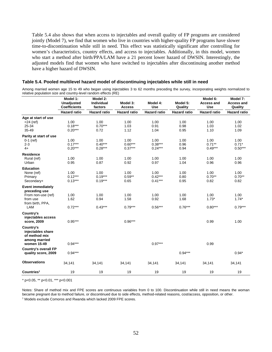Table 5.4 also shows that when access to injectables and overall quality of FP programs are considered jointly (Model 7), we find that women who live in countries with higher-quality FP programs have slower time-to-discontinuation while still in need. This effect was statistically significant after controlling for women's characteristics, country effects, and access to injectables. Additionally, in this model, women who start a method after birth/PPA/LAM have a 21 percent lower hazard of DWSIN. Interestingly, the adjusted models find that women who have switched to injectables after discontinuing another method have a higher hazard of DWSIN.

#### **Table 5.4. Pooled multilevel hazard model of discontinuing injectables while still in need**

Among married women age 15 to 49 who began using injectables 3 to 62 months preceding the survey, incorporating weights normalized to relative population size and country-level random effects (RE)

|                                                                                                        | Model 1:<br><b>Unadjusted</b><br><b>Coefficients</b> | Model 2:<br><b>Individual</b><br>factors | Model 3:<br><b>Access</b>      | Model 4:<br><b>Use</b>         | Model 5:<br>Quality       | Model 6:<br><b>Access and</b><br><b>Use</b> | Model 7:<br><b>Access and</b><br>Quality |
|--------------------------------------------------------------------------------------------------------|------------------------------------------------------|------------------------------------------|--------------------------------|--------------------------------|---------------------------|---------------------------------------------|------------------------------------------|
|                                                                                                        | <b>Hazard ratio</b>                                  | <b>Hazard ratio</b>                      | <b>Hazard ratio</b>            | <b>Hazard ratio</b>            | <b>Hazard ratio</b>       | <b>Hazard ratio</b>                         | <b>Hazard ratio</b>                      |
| Age at start of use<br>$<$ 24 (ref)<br>25-34<br>35-49                                                  | 1.00<br>$0.18***$<br>$0.20***$                       | 1.00<br>$0.70***$<br>0.72                | 1.00<br>1.03<br>1.12           | 1.00<br>0.91<br>1.04           | 1.00<br>0.98<br>0.95      | 1.00<br>1.03<br>1.10                        | 1.00<br>1.02<br>1.09                     |
| Parity at start of use<br>$0-1$ (ref)<br>$2 - 3$<br>$4+$                                               | 1.00<br>$0.17***$<br>$0.20***$                       | 1.00<br>$0.40***$<br>$0.28***$           | 1.00<br>$0.60***$<br>$0.37***$ | 1.00<br>$0.38***$<br>$0.24***$ | 1.00<br>0.96<br>0.94      | 1.00<br>$0.71***$<br>$0.49***$              | 1.00<br>$0.71*$<br>$0.50***$             |
| <b>Residence</b><br>Rural (ref)<br>Urban                                                               | 1.00<br>0.95                                         | 1.00<br>0.87                             | 1.00<br>0.92                   | 1.00<br>0.97                   | 1.00<br>1.04              | 1.00<br>0.96                                | 1.00<br>0.96                             |
| <b>Education</b><br>None (ref)<br>Primary<br>Secondary+                                                | 1.00<br>$0.12***$<br>$0.13***$                       | 1.00<br>$0.19***$<br>$0.19***$           | 1.00<br>$0.59**$<br>0.65       | 1.00<br>$0.42***$<br>$0.41***$ | 1.00<br>0.80<br>0.95      | 1.00<br>$0.70**$<br>0.82                    | 1.00<br>$0.70**$<br>0.82                 |
| <b>Event immediately</b><br>preceding use<br>From non-use (ref)<br>from use<br>from birth, PPA,<br>LAM | 1.00<br>1.62<br>$0.72***$                            | 1.00<br>0.94<br>$0.43***$                | 1.00<br>1.58<br>$0.79***$      | 1.00<br>0.92<br>$0.56***$      | 1.00<br>1.68<br>$0.76***$ | 1.00<br>$1.73*$<br>$0.80***$                | 1.00<br>$1.74*$<br>$0.79***$             |
| Country's<br>injectables access<br>score, 2009                                                         | $0.95***$                                            |                                          | $0.96***$                      |                                |                           | 0.99                                        | 1.00                                     |
| Country's<br>injectables share<br>of method mix<br>among married<br>women 15-49                        | $0.94***$                                            |                                          |                                | $0.97***$                      |                           | 0.99                                        |                                          |
| <b>Country's overall FP</b><br>quality score, 2009                                                     | $0.94***$                                            |                                          |                                |                                | $0.94***$                 |                                             | $0.94*$                                  |
| <b>Observations</b>                                                                                    | 34,141                                               | 34,141                                   | 34,141                         | 34,141                         | 34,141                    | 34,141                                      | 34,141                                   |
| Countries <sup>1</sup>                                                                                 | 19                                                   | 19                                       | 19                             | 19                             | 19                        | 19                                          | 19                                       |

\* p<0.05, \*\* p<0.01, \*\*\* p<0.001

Notes: Share of method mix and FPE scores are continuous variables from 0 to 100. Discontinuation while still in need means the woman became pregnant due to method failure, or discontinued due to side effects, method-related reasons, cost/access, opposition, or other. <sup>1</sup> Models exclude Comoros and Rwanda which lacked 2009 FPE scores.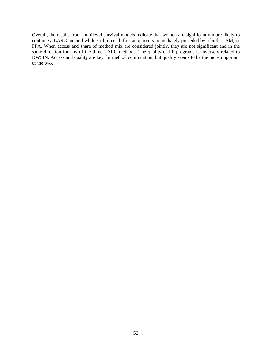Overall, the results from multilevel survival models indicate that women are significantly more likely to continue a LARC method while still in need if its adoption is immediately preceded by a birth, LAM, or PPA. When access and share of method mix are considered jointly, they are not significant and in the same direction for any of the three LARC methods. The quality of FP programs is inversely related to DWSIN. Access and quality are key for method continuation, but quality seems to be the more important of the two.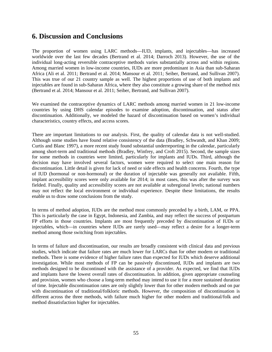## **6. Discussion and Conclusions**

The proportion of women using LARC methods—IUD, implants, and injectables—has increased worldwide over the last few decades (Bertrand et al. 2014; Darroch 2013). However, the use of the individual long-acting reversible contraceptive methods varies substantially across and within regions. Among married women in low-income countries, IUDs are more predominant in Asia than sub-Saharan Africa (Ali et al. 2011; Bertrand et al. 2014; Mansour et al. 2011; Seiber, Bertrand, and Sullivan 2007). This was true of our 21 country sample as well. The highest proportions of use of both implants and injectables are found in sub-Saharan Africa, where they also constitute a growing share of the method mix (Bertrand et al. 2014; Mansour et al. 2011; Seiber, Bertrand, and Sullivan 2007).

We examined the contraceptive dynamics of LARC methods among married women in 21 low-income countries by using DHS calendar episodes to examine adoption, discontinuation, and status after discontinuation. Additionally, we modeled the hazard of discontinuation based on women's individual characteristics, country effects, and access scores.

There are important limitations to our analysis. First, the quality of calendar data is not well-studied. Although some studies have found relative consistency of the data (Bradley, Schwandt, and Khan 2009; Curtis and Blanc 1997), a more recent study found substantial underreporting in the calendar, particularly among short-term and traditional methods (Bradley, Winfrey, and Croft 2015). Second, the sample sizes for some methods in countries were limited, particularly for implants and IUDs. Third, although the decision may have involved several factors, women were required to select one main reason for discontinuation. Little detail is given for lack of need or side effects and health concerns. Fourth, the type of IUD (hormonal or non-hormonal) or the duration of injectable was generally not available. Fifth, implant accessibility scores were only available for 2014; in most cases, this was after the survey was fielded. Finally, quality and accessibility scores are not available at subregional levels; national numbers may not reflect the local environment or individual experience. Despite these limitations, the results enable us to draw some conclusions from the study.

In terms of method adoption, IUDs are the method most commonly preceded by a birth, LAM, or PPA. This is particularly the case in Egypt, Indonesia, and Zambia, and may reflect the success of postpartum FP efforts in those countries. Implants are most frequently preceded by discontinuation of IUDs or injectables, which—in countries where IUDs are rarely used—may reflect a desire for a longer-term method among those switching from injectables.

In terms of failure and discontinuation, our results are broadly consistent with clinical data and previous studies, which indicate that failure rates are much lower for LARCs than for other modern or traditional methods. There is some evidence of higher failure rates than expected for IUDs which deserve additional investigation. While most methods of FP can be passively discontinued, IUDs and implants are two methods designed to be discontinued with the assistance of a provider. As expected, we find that IUDs and implants have the lowest overall rates of discontinuation. In addition, given appropriate counseling and provision, women who choose a long-term method may intend to use it for a more sustained duration of time. Injectable discontinuation rates are only slightly lower than for other modern methods and on par with discontinuation of traditional/folkloric methods. However, the composition of discontinuation is different across the three methods, with failure much higher for other modern and traditional/folk and method dissatisfaction higher for injectables.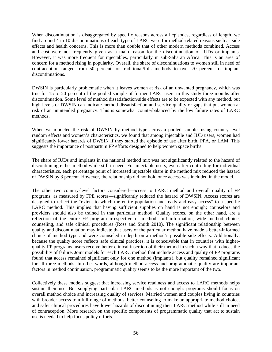When discontinuation is disaggregated by specific reasons across all episodes, regardless of length, we find around 4 in 10 discontinuations of each type of LARC were for method-related reasons such as side effects and health concerns. This is more than double that of other modern methods combined. Access and cost were not frequently given as a main reason for the discontinuation of IUDs or implants. However, it was more frequent for injectables, particularly in sub-Saharan Africa. This is an area of concern for a method rising in popularity. Overall, the share of discontinuations to women still in need of contraception ranged from 50 percent for traditional/folk methods to over 70 percent for implant discontinuations.

DWSIN is particularly problematic when it leaves women at risk of an unwanted pregnancy, which was true for 15 to 20 percent of the pooled sample of former LARC users in this study three months after discontinuation. Some level of method dissatisfaction/side effects are to be expected with any method, but high levels of DWSIN can indicate method dissatisfaction and service quality or gaps that put women at risk of an unintended pregnancy. This is somewhat counterbalanced by the low failure rates of LARC methods.

When we modeled the risk of DWSIN by method type across a pooled sample, using country-level random effects and women's characteristics, we found that among injectable and IUD users, women had significantly lower hazards of DWSIN if they started the episode of use after birth, PPA, or LAM. This suggests the importance of postpartum FP efforts designed to help women space births.

The share of IUDs and implants in the national method mix was not significantly related to the hazard of discontinuing either method while still in need. For injectable users, even after controlling for individual characteristics, each percentage point of increased injectable share in the method mix reduced the hazard of DWSIN by 3 percent. However, the relationship did not hold once access was included in the model.

The other two country-level factors considered—access to LARC method and overall quality of FP programs, as measured by FPE scores—significantly reduced the hazard of DWSIN. Access scores are designed to reflect the "extent to which the entire population and ready and easy access" to a specific LARC method. This implies that having sufficient supplies on hand is not enough; counselors and providers should also be trained in that particular method. Quality scores, on the other hand, are a reflection of the entire FP program irrespective of method: full information, wide method choice, counseling, and safe clinical procedures (Ross and Smith 2010). The significant relationship between quality and discontinuation may indicate that users of the particular method have made a better-informed choice of method type and were counseled in-depth on a method's possible side effects. Additionally, because the quality score reflects safe clinical practices, it is conceivable that in countries with higherquality FP programs, users receive better clinical insertion of their method in such a way that reduces the possibility of failure. Joint models for each LARC method that include access and quality of FP programs found that access remained significant only for one method (implants), but quality remained significant for all three methods. In other words, although method access and programmatic quality are important factors in method continuation, programmatic quality seems to be the more important of the two.

Collectively these models suggest that increasing service readiness and access to LARC methods helps sustain their use. But supplying particular LARC methods is not enough: programs should focus on overall method choice and increasing quality of services. Married women and couples living in countries with broader access to a full range of methods, better counseling to make an appropriate method choice, and safer clinical procedures have lower hazards of discontinuing their LARC method while still in need of contraception. More research on the specific components of programmatic quality that act to sustain use is needed to help focus policy efforts.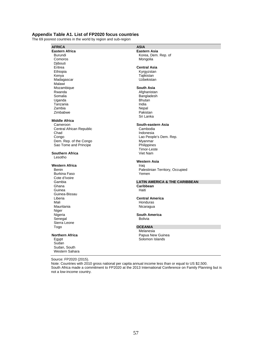### **Appendix Table A1. List of FP2020 focus countries**

The 69 poorest countries in the world by region and sub-region

**AFRICA** ASIA<br> **ASIA ASIA ASIA ASIA ASIA ASIA ASIA ASIA ASIA ASIA Eastern Africa Eastern Asia Eastern Asia**<br>Burundi **Eastern Asia Burundi** Korea, Dem. Djibouti<br>Eritrea Eritrea **Central Asia**  Ethiopia Kyrgyzstan Madagascar **Madagascar** Madagascar **Uzbekistan** Malawi Mozambique **South Asia**  Somalia Bangladesh Uganda Bhutan Tanzania (1999) - India India<br>1999 - India India<br>1999 - India India India India India India Zambia Nepal Zimbabwe **Middle Africa**  Central African Republic Cambodia<br>
Cambodia<br>
Chad Indonesia

## Congo Congo Congo Congo Lao People's Dem. Rep.<br>
Dem. Rep. of the Congo Congo Congo Myanmar Dem. Rep. of the Congo Sao Tome and Principe **Philippines**

**Southern Africa** Lesotho

**Western Africa** Burkina Faso Cote d'Ivoire Guinea Guinea-Bissau Mauritania **Nicaragua** Nicaragua Niger<br>Nigeria Senegal Sierra Leone<br>Togo

Sudan Sudan, South Western Sahara

Burundi **Burundi Korea, Dem. Rep. of** Korea, Dem. Rep. of Comoros Mongolia

Tajikistan

Afghanistan Sri Lanka

### **South-eastern Asia**

Indonesia Timor-Leste<br>Viet Nam

# **Western Asia**

Benin **Palestinian Territory, Occupied**<br>
Burkina Faso **New York Contract Contract Perrie**<br>
Pemen

## Gambia **LATIN AMERICA & THE CARIBBEAN**

**Caribbean**<br> **Haiti** 

Liberia **Central America**  Honduras

**South America**<br>Bolivia

### **OCEANIA**

Melanesia **Northern Africa Papua New Guinea** Egypt **Solomon Islands** 

Source: FP2020 (2015).

Note: Countries with 2010 gross national per capita annual income less than or equal to US \$2,500. South Africa made a commitment to FP2020 at the 2013 International Conference on Family Planning but is not a low-income country.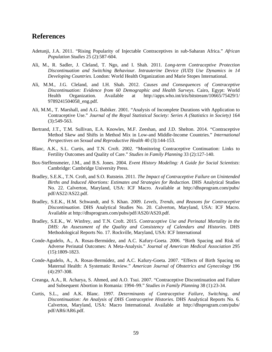## **References**

- Adetunji, J.A. 2011. "Rising Popularity of Injectable Contraceptives in sub-Saharan Africa." *African Population Studies* 25 (2):587-604.
- Ali, M., R. Sadler, J. Cleland, T. Ngo, and I. Shah. 2011. *Long-term Contraceptive Protection Discontinuation and Switching Behaviour. Intrauterine Device (IUD) Use Dynamics in 14 Developing Countries.* London: World Health Organization and Marie Stopes International.
- Ali, M.M., J.G. Cleland, and I.H. Shah. 2012. *Causes and Consequences of Contraceptive Discontinuation: Evidence from 60 Demographic and Health Surveys*. Cairo, Egypt: World Health Organization. Available at http://apps.who.int/iris/bitstream/10665/75429/1/ 9789241504058\_eng.pdf.
- Ali, M.M., T. Marshall, and A.G. Babiker. 2001. "Analysis of Incomplete Durations with Application to Contraceptive Use." *Journal of the Royal Statistical Society: Series A (Statistics in Society)* 164 (3):549-563.
- Bertrand, J.T., T.M. Sullivan, E.A. Knowles, M.F. Zeeshan, and J.D. Shelton. 2014. "Contraceptive Method Skew and Shifts in Method Mix in Low-and Middle-Income Countries." *International Perspectives on Sexual and Reproductive Health* 40 (3):144-153.
- Blanc, A.K., S.L. Curtis, and T.N. Croft. 2002. "Monitoring Contraceptive Continuation: Links to Fertility Outcomes and Quality of Care." *Studies in Family Planning* 33 (2):127-140.
- Box-Steffensmeier, J.M., and B.S. Jones. 2004. *Event History Modeling: A Guide for Social Scientists*: Cambridge: Cambridge University Press.
- Bradley, S.E.K., T.N. Croft, and S.O. Rutstein. 2011. *The Impact of Contraceptive Failure on Unintended Births and Induced Abortions: Estimates and Strategies for Reduction*. DHS Analytical Studies No. 22. Calverton, Maryland, USA: ICF Macro. Available at http://dhsprogram.com/pubs/ pdf/AS22/AS22.pdf.
- Bradley, S.E.K., H.M. Schwandt, and S. Khan. 2009. *Levels, Trends, and Reasons for Contraceptive Discontinuation*. DHS Analytical Studies No. 20. Calverton, Maryland, USA: ICF Macro. Available at http://dhsprogram.com/pubs/pdf/AS20/AS20.pdf.
- Bradley, S.E.K., W. Winfrey, and T.N. Croft. 2015. *Contraceptive Use and Perinatal Mortality in the DHS: An Assessment of the Quality and Consistency of Calendars and Histories*. DHS Methodological Reports No. 17. Rockville, Maryland, USA: ICF International
- Conde-Agudelo, A., A. Rosas-Bermúdez, and A.C. Kafury-Goeta. 2006. "Birth Spacing and Risk of Adverse Perinatal Outcomes: A Meta-Analysis." *Journal of American Medical Association* 295 (15):1809-1823.
- Conde-Agudelo, A., A. Rosas-Bermúdez, and A.C. Kafury-Goeta. 2007. "Effects of Birth Spacing on Maternal Health: A Systematic Review." *American Journal of Obstetrics and Gynecology* 196 (4):297-308.
- Creanga, A.A., R. Acharya, S. Ahmed, and A.O. Tsui. 2007. "Contraceptive Discontinuation and Failure and Subsequent Abortion in Romania: 1994–99." *Studies in Family Planning* 38 (1):23-34.
- Curtis, S.L., and A.K. Blanc. 1997. *Determinants of Contraceptive Failure, Switching, and Discontinuation: An Analysis of DHS Contraceptive Histories*. DHS Analytical Reports No. 6. Calverton, Maryland, USA: Macro International. Available at http://dhsprogram.com/pubs/ pdf/AR6/AR6.pdf.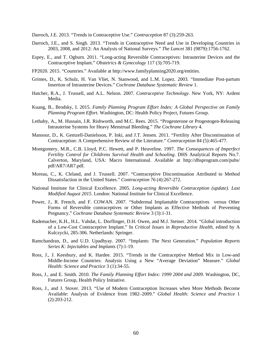Darroch, J.E. 2013. "Trends in Contraceptive Use." *Contraception* 87 (3):259-263.

- Darroch, J.E., and S. Singh. 2013. "Trends in Contraceptive Need and Use in Developing Countries in 2003, 2008, and 2012: An Analysis of National Surveys." *The Lancet* 381 (9879):1756-1762.
- Espey, E., and T. Ogburn. 2011. "Long-acting Reversible Contraceptives: Intrauterine Devices and the Contraceptive Implant." *Obstetrics & Gynecology* 117 (3):705-719.
- FP2020. 2015. "Countries." Available at http://www.familyplanning2020.org/entities.
- Grimes, D., K. Schulz, H. Van Vliet, N. Stanwood, and L.M. Lopez. 2003. "Immediate Post-partum Insertion of Intrauterine Devices." *Cochrane Database Systematic Review* 1.
- Hatcher, R.A., J. Trussell, and A.L. Nelson. 2007. *Contraceptive Technology*. New York, NY: Ardent Media.
- Kuang, B., Brodsky, I. 2015. *Family Planning Program Effort Index: A Global Perspective on Family Planning Program Effort.* Washington, DC: Health Policy Project, Futures Group.
- Lethaby, A., M. Hussain, J.R. Rishworth, and M.C. Rees. 2015. "Progesterone or Progestogen‐Releasing Intrauterine Systems for Heavy Menstrual Bleeding." *The Cochrane Library* 4.
- Mansour, D., K. Gemzell-Danielsson, P. Inki, and J.T. Jensen. 2011. "Fertility After Discontinuation of Contraception: A Comprehensive Review of the Literature." *Contraception* 84 (5):465-477.
- Montgomery, M.R., C.B. Lloyd, P.C. Hewett, and P. Heuveline. 1997. *The Consequences of Imperfect Fertility Control for Childrens Survival Health and Schooling*. DHS Analytical Reports No.7. Calverton, Maryland, USA: Macro International. Available at http://dhsprogram.com/pubs/ pdf/AR7/AR7.pdf.
- Moreau, C., K. Cleland, and J. Trussell. 2007. "Contraceptive Discontinuation Attributed to Method Dissatisfaction in the United States." *Contraception* 76 (4):267-272.
- National Institute for Clinical Excellence. 2005. *Long-acting Reversible Contraception (update). Last Modified August 2015*. London: National Institute for Clinical Excellence.
- Power, J., R. French, and F. COWAN. 2007. "Subdermal Implantable Contraceptives versus Other Forms of Reversible contraceptives or Other Implants as Effective Methods of Preventing Pregnancy." *Cochrane Database Systematic Review* 3 (3):1-31.
- Rademacher, K.H., H.L. Vahdat, L. Dorflinger, D.H. Owen, and M.J. Steiner. 2014. "Global introduction of a Low-Cost Contraceptive Implant." In *Critical Issues in Reproductive Health*, edited by A Kulczycki, 285-306. Netherlands: Springer.
- Ramchandran, D., and U.D. Upadhyay. 2007. "Implants: The Next Generation." *Population Reports Series K: Injectables and Implants* (7):1-19.
- Ross, J., J. Keesbury, and K. Hardee. 2015. "Trends in the Contraceptive Method Mix in Low-and Middle-Income Countries: Analysis Using a New "Average Deviation" Measure." *Global Health: Science and Practice* 3 (1):34-55.
- Ross, J., and E. Smith. 2010. *The Family Planning Effort Index: 1999 2004 and 2009.* Washington, DC, Futures Group, Health Policy Initiative.
- Ross, J., and J. Stover. 2013. "Use of Modern Contraception Increases when More Methods Become Available: Analysis of Evidence from 1982–2009." *Global Health: Science and Practice* 1 (2):203-212.